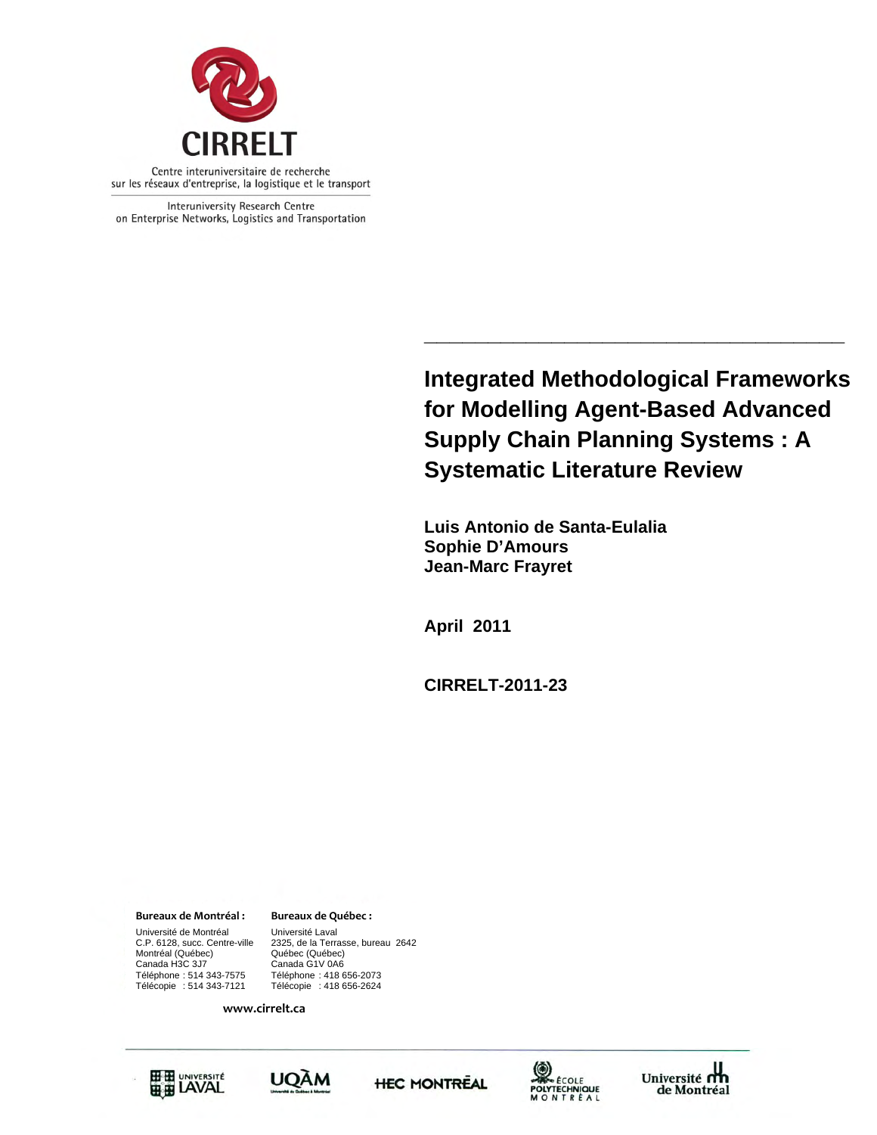

Interuniversity Research Centre on Enterprise Networks, Logistics and Transportation

> **Integrated Methodological Frameworks for Modelling Agent-Based Advanced Supply Chain Planning Systems : A Systematic Literature Review**

> **\_\_\_\_\_\_\_\_\_\_\_\_\_\_\_\_\_\_\_\_\_\_\_\_\_\_\_\_\_\_\_\_\_**

 **Luis Antonio de Santa-Eulalia Sophie D'Amours Jean-Marc Frayret** 

**April 2011** 

**CIRRELT-2011-23** 

#### **Bureaux de Montréal : Bureaux de Québec :**

Canada H3C 3J7 Canada G1V 0A6 Université de Montréal [Université Laval C.P. 6128, succ. Centre-ville [2325, de la Terra Montréal (Québec)<br>Canada H3C 3J7 Téléphone : 514 343-7575 Téléphone : 418 656-2073

2325, de la Terrasse, bureau 2642<br>Québec (Québec) Télécopie : 418 656-2624

**www.cirrelt.ca**









Université<br>de Montréal de Montréal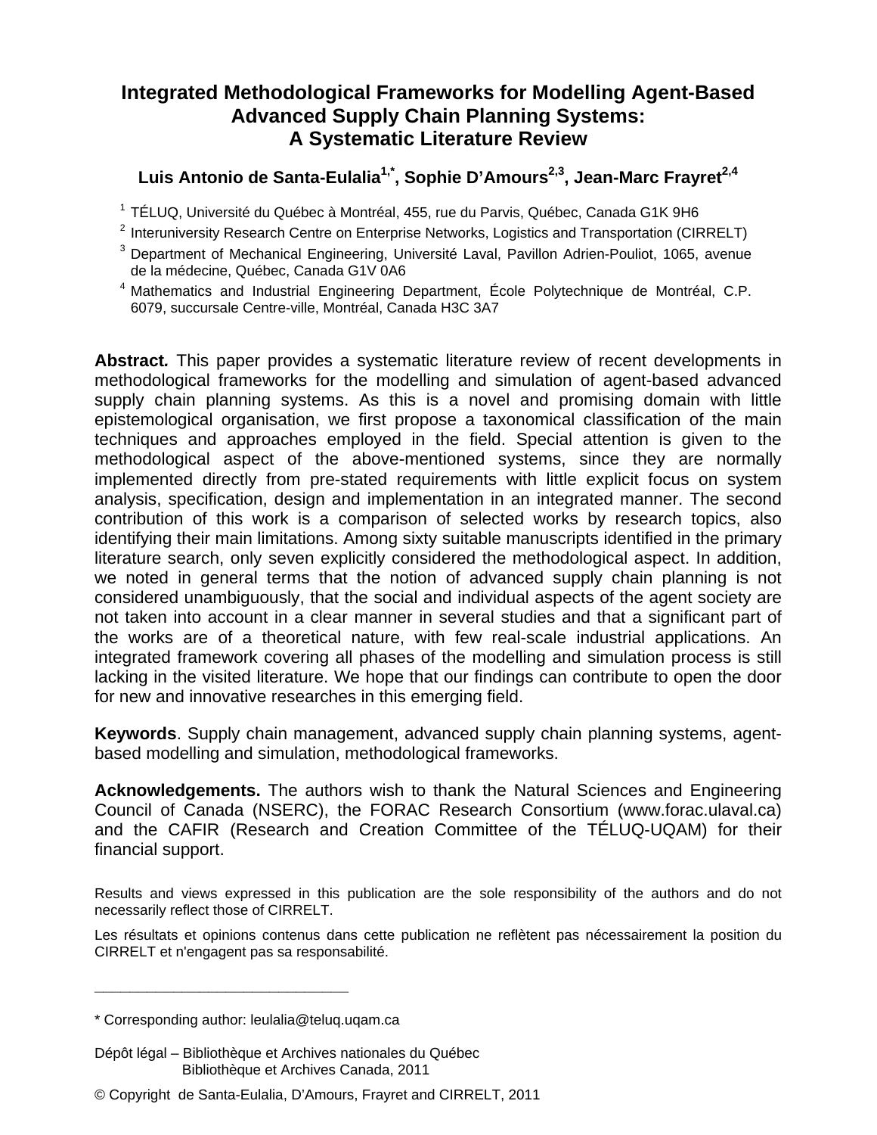Luis Antonio de Santa-Eulalia<sup>1,\*</sup>, Sophie D'Amours<sup>2,3</sup>, Jean-Marc Frayret<sup>2,4</sup>

<sup>1</sup> TÉLUQ, Université du Québec à Montréal, 455, rue du Parvis, Québec, Canada G1K 9H6

- 2 Interuniversity Research Centre on Enterprise Networks, Logistics and Transportation (CIRRELT)
- 3 Department of Mechanical Engineering, Université Laval, Pavillon Adrien-Pouliot, 1065, avenue de la médecine, Québec, Canada G1V 0A6
- 4 Mathematics and Industrial Engineering Department, École Polytechnique de Montréal, C.P. 6079, succursale Centre-ville, Montréal, Canada H3C 3A7

**Abstract***.* This paper provides a systematic literature review of recent developments in methodological frameworks for the modelling and simulation of agent-based advanced supply chain planning systems. As this is a novel and promising domain with little epistemological organisation, we first propose a taxonomical classification of the main techniques and approaches employed in the field. Special attention is given to the methodological aspect of the above-mentioned systems, since they are normally implemented directly from pre-stated requirements with little explicit focus on system analysis, specification, design and implementation in an integrated manner. The second contribution of this work is a comparison of selected works by research topics, also identifying their main limitations. Among sixty suitable manuscripts identified in the primary literature search, only seven explicitly considered the methodological aspect. In addition, we noted in general terms that the notion of advanced supply chain planning is not considered unambiguously, that the social and individual aspects of the agent society are not taken into account in a clear manner in several studies and that a significant part of the works are of a theoretical nature, with few real-scale industrial applications. An integrated framework covering all phases of the modelling and simulation process is still lacking in the visited literature. We hope that our findings can contribute to open the door for new and innovative researches in this emerging field.

**Keywords**. Supply chain management, advanced supply chain planning systems, agentbased modelling and simulation, methodological frameworks.

**Acknowledgements.** The authors wish to thank the Natural Sciences and Engineering Council of Canada (NSERC), the FORAC Research Consortium (www.forac.ulaval.ca) and the CAFIR (Research and Creation Committee of the TÉLUQ-UQAM) for their financial support.

Results and views expressed in this publication are the sole responsibility of the authors and do not necessarily reflect those of CIRRELT.

Les résultats et opinions contenus dans cette publication ne reflètent pas nécessairement la position du CIRRELT et n'engagent pas sa responsabilité.

**\_\_\_\_\_\_\_\_\_\_\_\_\_\_\_\_\_\_\_\_\_\_\_\_\_\_\_\_\_**

<sup>\*</sup> Corresponding author: leulalia@teluq.uqam.ca

Dépôt légal – Bibliothèque et Archives nationales du Québec Bibliothèque et Archives Canada, 2011

<sup>©</sup> Copyright de Santa-Eulalia, D'Amours, Frayret and CIRRELT, 2011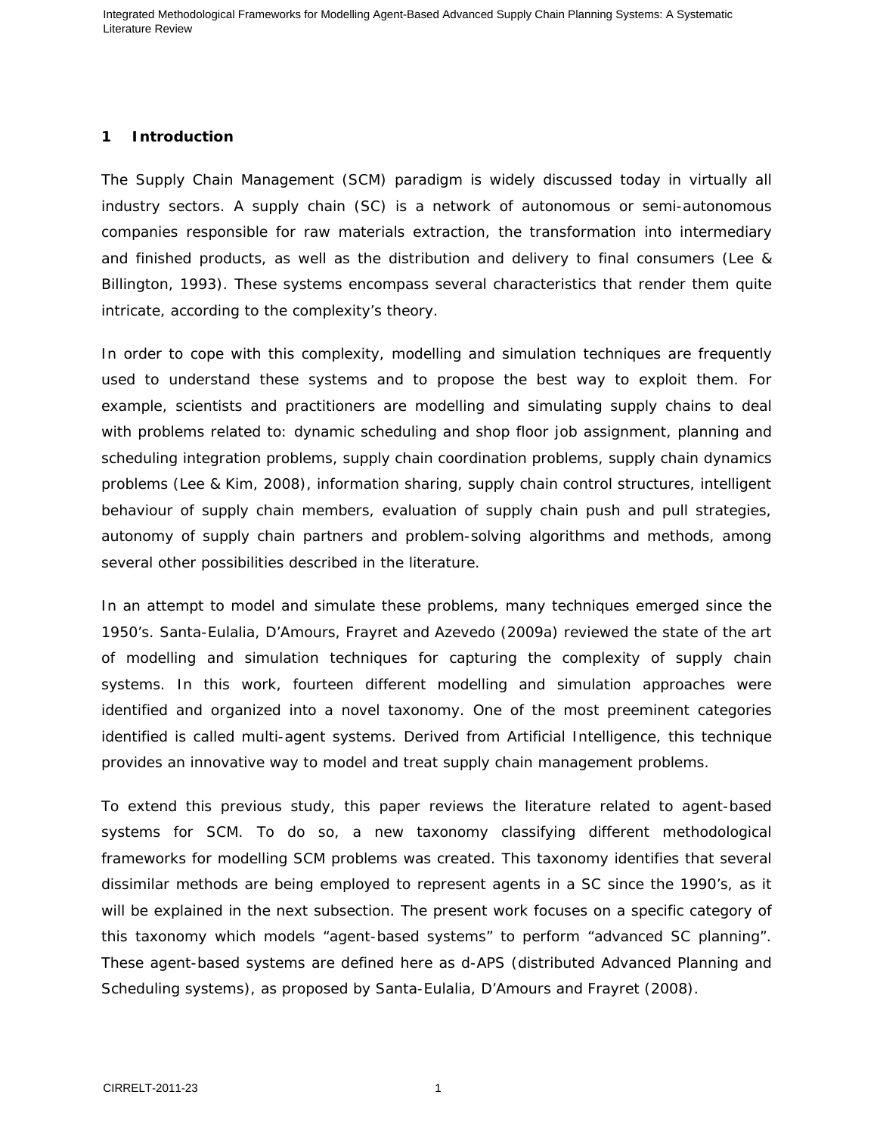#### **1 Introduction**

The Supply Chain Management (SCM) paradigm is widely discussed today in virtually all industry sectors. A supply chain (SC) is a network of autonomous or semi-autonomous companies responsible for raw materials extraction, the transformation into intermediary and finished products, as well as the distribution and delivery to final consumers (Lee & Billington, 1993). These systems encompass several characteristics that render them quite intricate, according to the complexity's theory.

In order to cope with this complexity, modelling and simulation techniques are frequently used to understand these systems and to propose the best way to exploit them. For example, scientists and practitioners are modelling and simulating supply chains to deal with problems related to: dynamic scheduling and shop floor job assignment, planning and scheduling integration problems, supply chain coordination problems, supply chain dynamics problems (Lee & Kim, 2008), information sharing, supply chain control structures, intelligent behaviour of supply chain members, evaluation of supply chain push and pull strategies, autonomy of supply chain partners and problem-solving algorithms and methods, among several other possibilities described in the literature.

In an attempt to model and simulate these problems, many techniques emerged since the 1950's. Santa-Eulalia, D'Amours, Frayret and Azevedo (2009a) reviewed the state of the art of modelling and simulation techniques for capturing the complexity of supply chain systems. In this work, fourteen different modelling and simulation approaches were identified and organized into a novel taxonomy. One of the most preeminent categories identified is called multi-agent systems. Derived from Artificial Intelligence, this technique provides an innovative way to model and treat supply chain management problems.

To extend this previous study, this paper reviews the literature related to agent-based systems for SCM. To do so, a new taxonomy classifying different methodological frameworks for modelling SCM problems was created. This taxonomy identifies that several dissimilar methods are being employed to represent agents in a SC since the 1990's, as it will be explained in the next subsection. The present work focuses on a specific category of this taxonomy which models "agent-based systems" to perform "advanced SC planning". These agent-based systems are defined here as d-APS (distributed Advanced Planning and Scheduling systems), as proposed by Santa-Eulalia, D'Amours and Frayret (2008).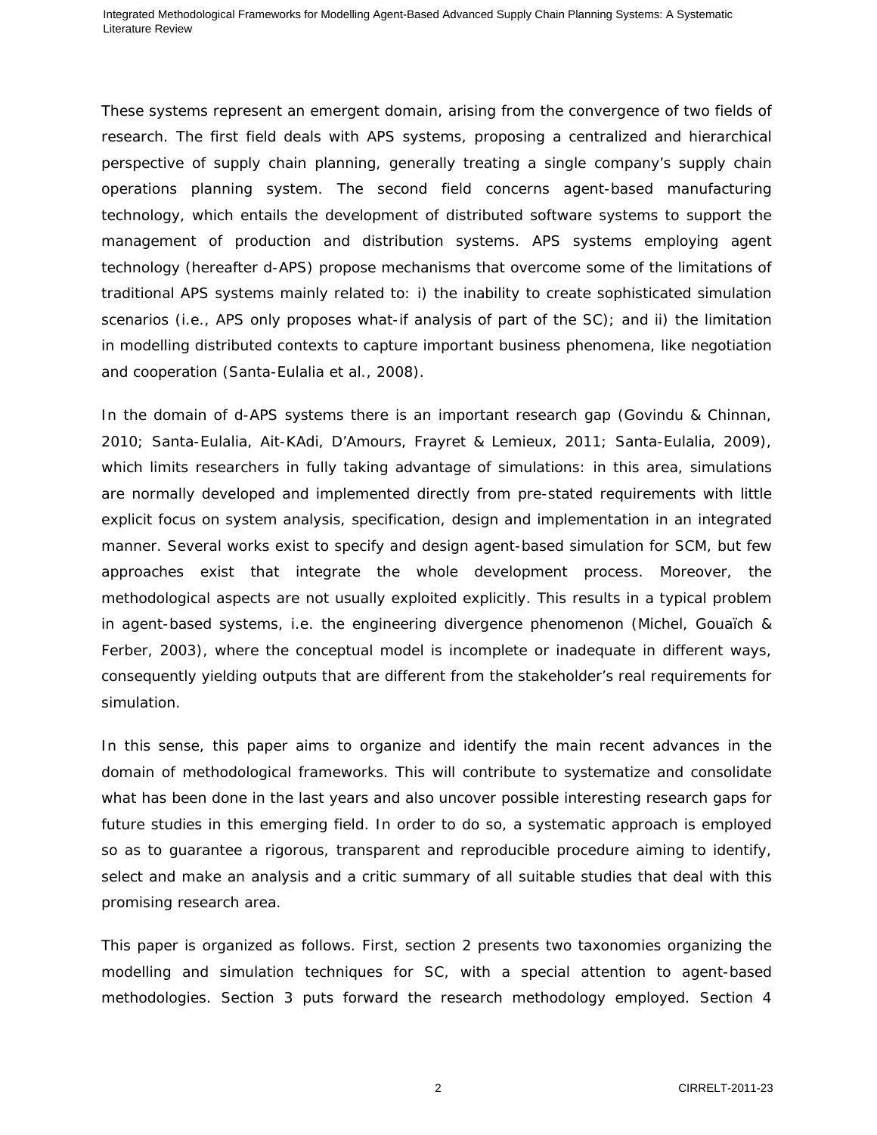These systems represent an emergent domain, arising from the convergence of two fields of research. The first field deals with APS systems, proposing a centralized and hierarchical perspective of supply chain planning, generally treating a single company's supply chain operations planning system. The second field concerns agent-based manufacturing technology, which entails the development of distributed software systems to support the management of production and distribution systems. APS systems employing agent technology (hereafter d-APS) propose mechanisms that overcome some of the limitations of traditional APS systems mainly related to: i) the inability to create sophisticated simulation scenarios (i.e., APS only proposes what-if analysis of part of the SC); and ii) the limitation in modelling distributed contexts to capture important business phenomena, like negotiation and cooperation (Santa-Eulalia et al., 2008).

In the domain of d-APS systems there is an important research gap (Govindu & Chinnan, 2010; Santa-Eulalia, Ait-KAdi, D'Amours, Frayret & Lemieux, 2011; Santa-Eulalia, 2009), which limits researchers in fully taking advantage of simulations: in this area, simulations are normally developed and implemented directly from pre-stated requirements with little explicit focus on system analysis, specification, design and implementation in an integrated manner. Several works exist to specify and design agent-based simulation for SCM, but few approaches exist that integrate the whole development process. Moreover, the methodological aspects are not usually exploited explicitly. This results in a typical problem in agent-based systems, i.e. the engineering divergence phenomenon (Michel, Gouaïch & Ferber, 2003), where the conceptual model is incomplete or inadequate in different ways, consequently yielding outputs that are different from the stakeholder's real requirements for simulation.

In this sense, this paper aims to organize and identify the main recent advances in the domain of methodological frameworks. This will contribute to systematize and consolidate what has been done in the last years and also uncover possible interesting research gaps for future studies in this emerging field. In order to do so, a systematic approach is employed so as to guarantee a rigorous, transparent and reproducible procedure aiming to identify, select and make an analysis and a critic summary of all suitable studies that deal with this promising research area.

This paper is organized as follows. First, section 2 presents two taxonomies organizing the modelling and simulation techniques for SC, with a special attention to agent-based methodologies. Section 3 puts forward the research methodology employed. Section 4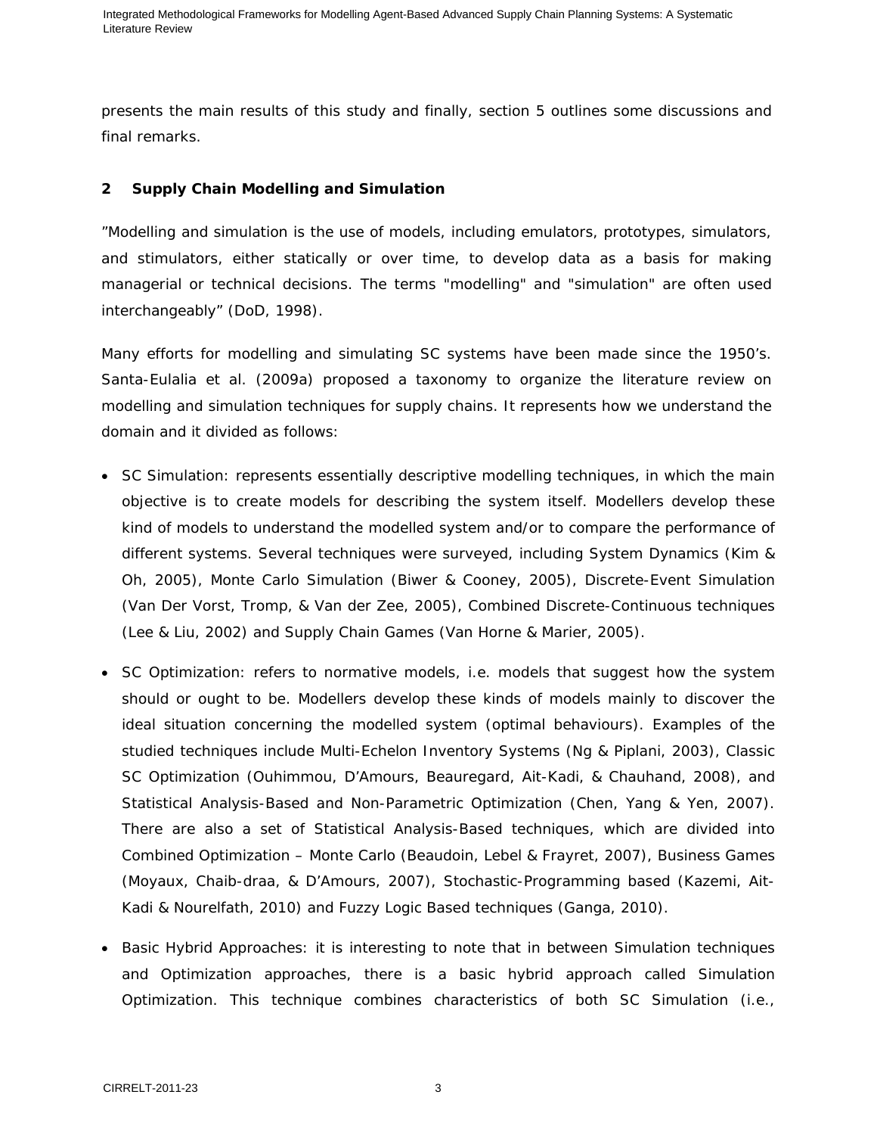presents the main results of this study and finally, section 5 outlines some discussions and final remarks.

# **2 Supply Chain Modelling and Simulation**

"Modelling and simulation is the use of models, including emulators, prototypes, simulators, and stimulators, either statically or over time, to develop data as a basis for making managerial or technical decisions. The terms "modelling" and "simulation" are often used interchangeably" (DoD, 1998).

Many efforts for modelling and simulating SC systems have been made since the 1950's. Santa-Eulalia et al. (2009a) proposed a taxonomy to organize the literature review on modelling and simulation techniques for supply chains. It represents how we understand the domain and it divided as follows:

- *SC Simulation*: represents essentially descriptive modelling techniques, in which the main objective is to create models for describing the system itself. Modellers develop these kind of models to understand the modelled system and/or to compare the performance of different systems. Several techniques were surveyed, including System Dynamics (Kim & Oh, 2005), Monte Carlo Simulation (Biwer & Cooney, 2005), Discrete-Event Simulation (Van Der Vorst, Tromp, & Van der Zee, 2005), Combined Discrete-Continuous techniques (Lee & Liu, 2002) and Supply Chain Games (Van Horne & Marier, 2005).
- *SC Optimization*: refers to normative models, i.e. models that suggest how the system should or ought to be. Modellers develop these kinds of models mainly to discover the ideal situation concerning the modelled system (optimal behaviours). Examples of the studied techniques include Multi-Echelon Inventory Systems (Ng & Piplani, 2003), Classic SC Optimization (Ouhimmou, D'Amours, Beauregard, Ait-Kadi, & Chauhand, 2008), and Statistical Analysis-Based and Non-Parametric Optimization (Chen, Yang & Yen, 2007). There are also a set of Statistical Analysis-Based techniques, which are divided into Combined Optimization – Monte Carlo (Beaudoin, Lebel & Frayret, 2007), Business Games (Moyaux, Chaib-draa, & D'Amours, 2007), Stochastic-Programming based (Kazemi, Ait-Kadi & Nourelfath, 2010) and Fuzzy Logic Based techniques (Ganga, 2010).
- *Basic Hybrid Approaches*: it is interesting to note that in between Simulation techniques and Optimization approaches, there is a basic hybrid approach called Simulation Optimization. This technique combines characteristics of both SC Simulation (i.e.,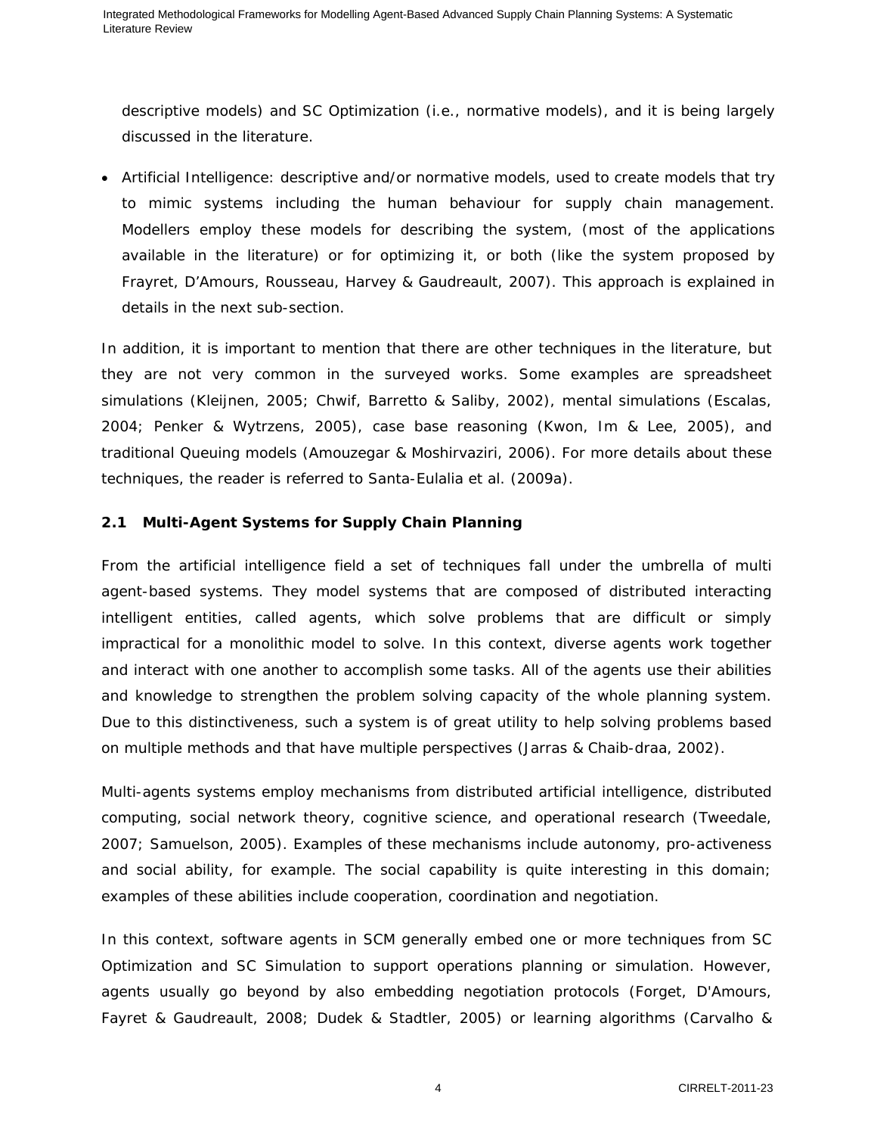descriptive models) and SC Optimization (i.e., normative models), and it is being largely discussed in the literature.

• *Artificial Intelligence*: descriptive and/or normative models, used to create models that try to mimic systems including the human behaviour for supply chain management. Modellers employ these models for describing the system, (most of the applications available in the literature) or for optimizing it, or both (like the system proposed by Frayret, D'Amours, Rousseau, Harvey & Gaudreault, 2007). This approach is explained in details in the next sub-section.

In addition, it is important to mention that there are other techniques in the literature, but they are not very common in the surveyed works. Some examples are spreadsheet simulations (Kleijnen, 2005; Chwif, Barretto & Saliby, 2002), mental simulations (Escalas, 2004; Penker & Wytrzens, 2005), case base reasoning (Kwon, Im & Lee, 2005), and traditional Queuing models (Amouzegar & Moshirvaziri, 2006). For more details about these techniques, the reader is referred to Santa-Eulalia et al. (2009a).

# **2.1 Multi-Agent Systems for Supply Chain Planning**

From the artificial intelligence field a set of techniques fall under the umbrella of multi agent-based systems. They model systems that are composed of distributed interacting intelligent entities, called agents, which solve problems that are difficult or simply impractical for a monolithic model to solve. In this context, diverse agents work together and interact with one another to accomplish some tasks. All of the agents use their abilities and knowledge to strengthen the problem solving capacity of the whole planning system. Due to this distinctiveness, such a system is of great utility to help solving problems based on multiple methods and that have multiple perspectives (Jarras & Chaib-draa, 2002).

Multi-agents systems employ mechanisms from distributed artificial intelligence, distributed computing, social network theory, cognitive science, and operational research (Tweedale, 2007; Samuelson, 2005). Examples of these mechanisms include autonomy, pro-activeness and social ability, for example. The social capability is quite interesting in this domain; examples of these abilities include cooperation, coordination and negotiation.

In this context, software agents in SCM generally embed one or more techniques from SC Optimization and SC Simulation to support operations planning or simulation. However, agents usually go beyond by also embedding negotiation protocols (Forget, D'Amours, Fayret & Gaudreault, 2008; Dudek & Stadtler, 2005) or learning algorithms (Carvalho &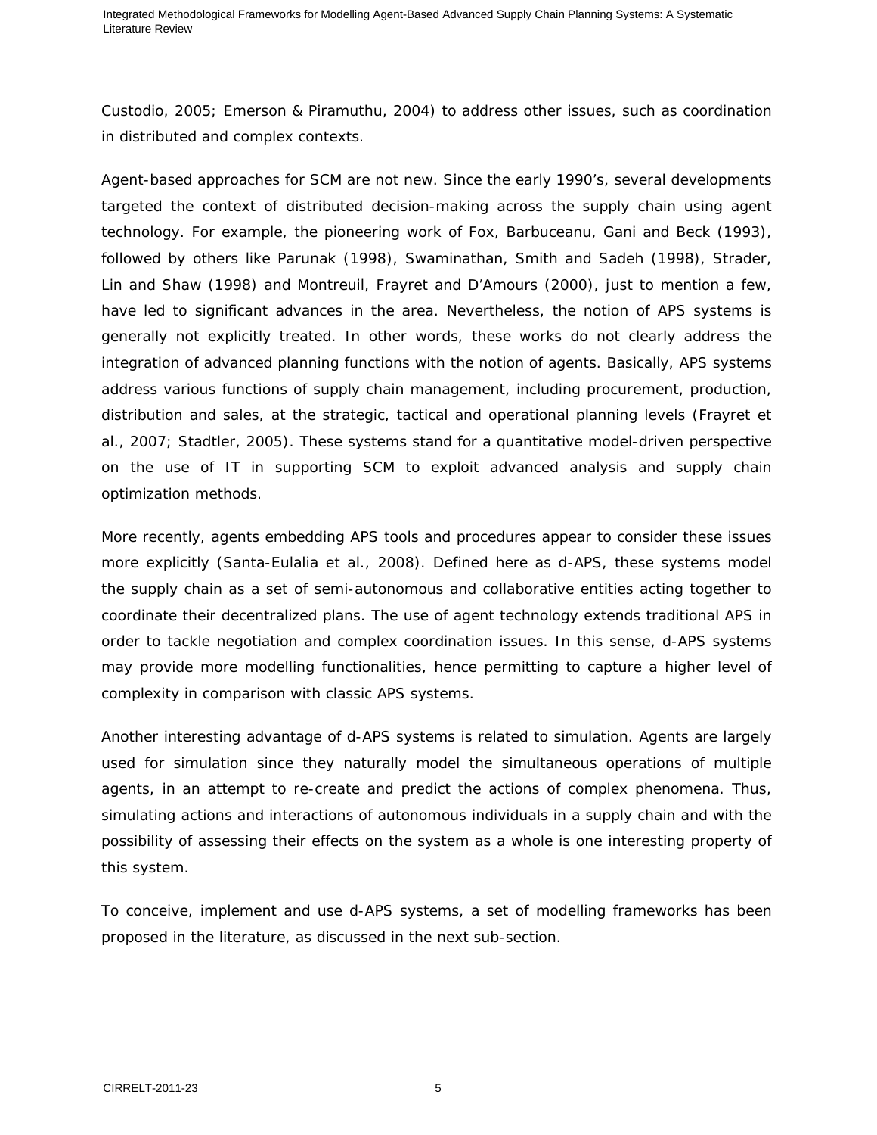Custodio, 2005; Emerson & Piramuthu, 2004) to address other issues, such as coordination in distributed and complex contexts.

Agent-based approaches for SCM are not new. Since the early 1990's, several developments targeted the context of distributed decision-making across the supply chain using agent technology. For example, the pioneering work of Fox, Barbuceanu, Gani and Beck (1993), followed by others like Parunak (1998), Swaminathan, Smith and Sadeh (1998), Strader, Lin and Shaw (1998) and Montreuil, Frayret and D'Amours (2000), just to mention a few, have led to significant advances in the area. Nevertheless, the notion of APS systems is generally not explicitly treated. In other words, these works do not clearly address the integration of advanced planning functions with the notion of agents. Basically, APS systems address various functions of supply chain management, including procurement, production, distribution and sales, at the strategic, tactical and operational planning levels (Frayret et al., 2007; Stadtler, 2005). These systems stand for a quantitative model-driven perspective on the use of IT in supporting SCM to exploit advanced analysis and supply chain optimization methods.

More recently, agents embedding APS tools and procedures appear to consider these issues more explicitly (Santa-Eulalia et al., 2008). Defined here as d-APS, these systems model the supply chain as a set of semi-autonomous and collaborative entities acting together to coordinate their decentralized plans. The use of agent technology extends traditional APS in order to tackle negotiation and complex coordination issues. In this sense, d-APS systems may provide more modelling functionalities, hence permitting to capture a higher level of complexity in comparison with classic APS systems.

Another interesting advantage of d-APS systems is related to simulation. Agents are largely used for simulation since they naturally model the simultaneous operations of multiple agents, in an attempt to re-create and predict the actions of complex phenomena. Thus, simulating actions and interactions of autonomous individuals in a supply chain and with the possibility of assessing their effects on the system as a whole is one interesting property of this system.

To conceive, implement and use d-APS systems, a set of modelling frameworks has been proposed in the literature, as discussed in the next sub-section.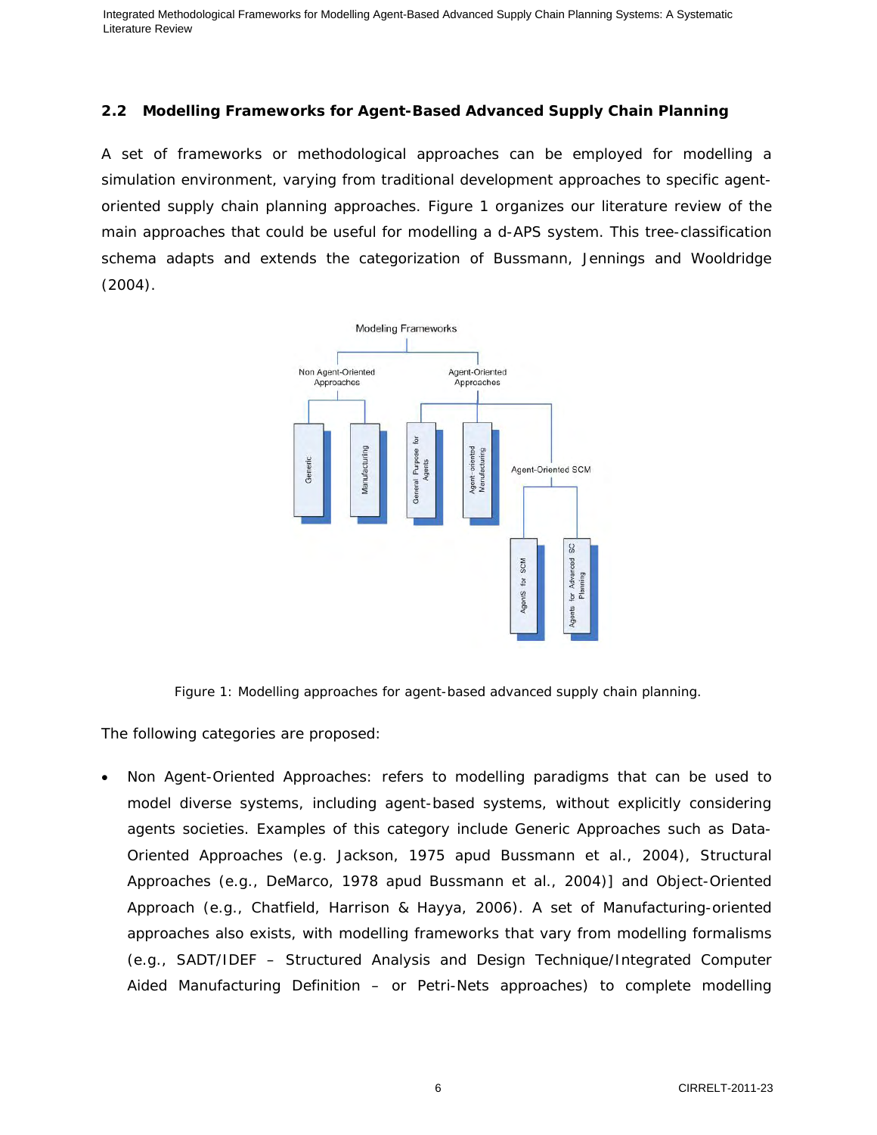# **2.2 Modelling Frameworks for Agent-Based Advanced Supply Chain Planning**

A set of frameworks or methodological approaches can be employed for modelling a simulation environment, varying from traditional development approaches to specific agentoriented supply chain planning approaches. Figure 1 organizes our literature review of the main approaches that could be useful for modelling a d-APS system. This tree-classification schema adapts and extends the categorization of Bussmann, Jennings and Wooldridge (2004).



Figure 1: Modelling approaches for agent-based advanced supply chain planning.

The following categories are proposed:

• Non Agent-Oriented Approaches: refers to modelling paradigms that can be used to model diverse systems, including agent-based systems, without explicitly considering agents societies. Examples of this category include Generic Approaches such as Data-Oriented Approaches (e.g. Jackson, 1975 apud Bussmann et al., 2004), Structural Approaches (e.g., DeMarco, 1978 apud Bussmann et al., 2004)] and Object-Oriented Approach (e.g., Chatfield, Harrison & Hayya, 2006). A set of Manufacturing-oriented approaches also exists, with modelling frameworks that vary from modelling formalisms (e.g., SADT/IDEF – Structured Analysis and Design Technique/Integrated Computer Aided Manufacturing Definition – or Petri-Nets approaches) to complete modelling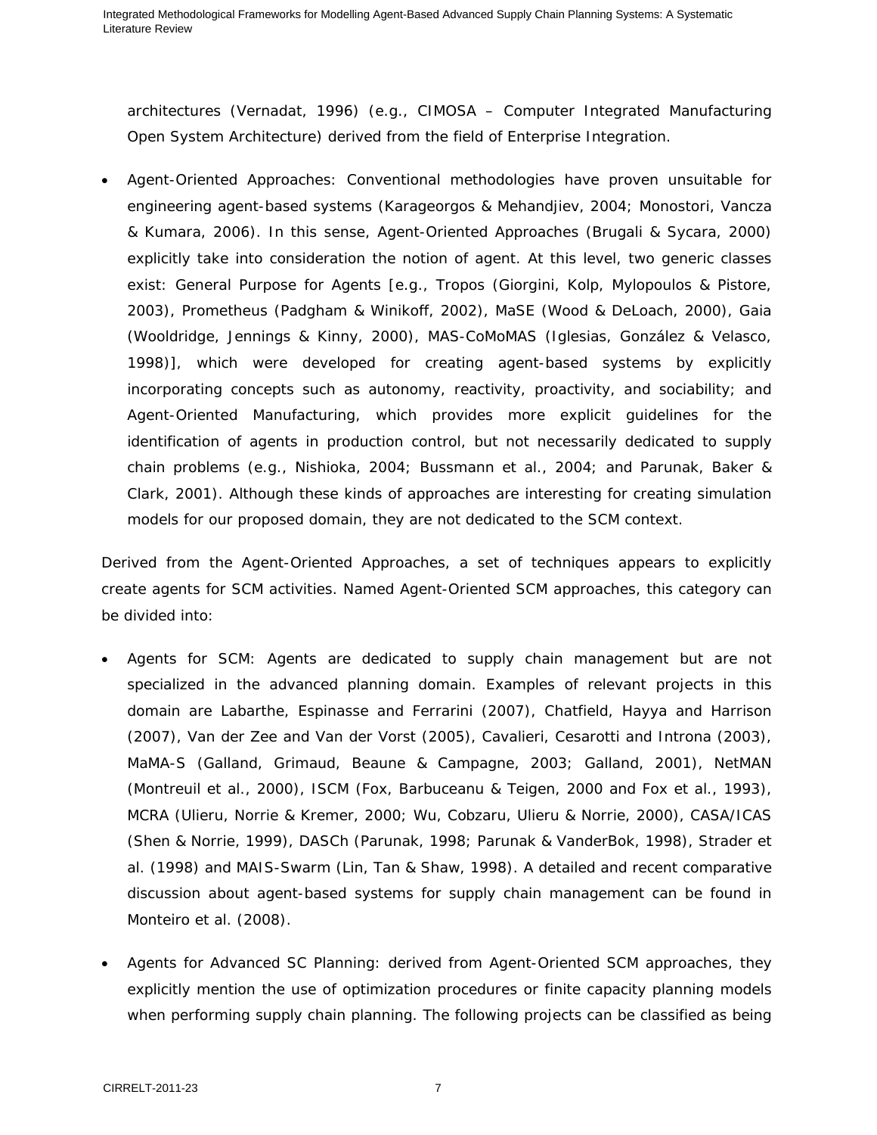architectures (Vernadat, 1996) (e.g., CIMOSA – Computer Integrated Manufacturing Open System Architecture) derived from the field of Enterprise Integration.

• Agent-Oriented Approaches: Conventional methodologies have proven unsuitable for engineering agent-based systems (Karageorgos & Mehandjiev, 2004; Monostori, Vancza & Kumara, 2006). In this sense, Agent-Oriented Approaches (Brugali & Sycara, 2000) explicitly take into consideration the notion of agent. At this level, two generic classes exist: General Purpose for Agents [e.g., Tropos (Giorgini, Kolp, Mylopoulos & Pistore, 2003), Prometheus (Padgham & Winikoff, 2002), MaSE (Wood & DeLoach, 2000), Gaia (Wooldridge, Jennings & Kinny, 2000), MAS-CoMoMAS (Iglesias, González & Velasco, 1998)], which were developed for creating agent-based systems by explicitly incorporating concepts such as autonomy, reactivity, proactivity, and sociability; and Agent-Oriented Manufacturing, which provides more explicit guidelines for the identification of agents in production control, but not necessarily dedicated to supply chain problems (e.g., Nishioka, 2004; Bussmann et al., 2004; and Parunak, Baker & Clark, 2001). Although these kinds of approaches are interesting for creating simulation models for our proposed domain, they are not dedicated to the SCM context.

Derived from the Agent-Oriented Approaches, a set of techniques appears to explicitly create agents for SCM activities. Named Agent-Oriented SCM approaches, this category can be divided into:

- Agents for SCM: Agents are dedicated to supply chain management but are not specialized in the advanced planning domain. Examples of relevant projects in this domain are Labarthe, Espinasse and Ferrarini (2007), Chatfield, Hayya and Harrison (2007), Van der Zee and Van der Vorst (2005), Cavalieri, Cesarotti and Introna (2003), MaMA-S (Galland, Grimaud, Beaune & Campagne, 2003; Galland, 2001), NetMAN (Montreuil et al., 2000), ISCM (Fox, Barbuceanu & Teigen, 2000 and Fox et al., 1993), MCRA (Ulieru, Norrie & Kremer, 2000; Wu, Cobzaru, Ulieru & Norrie, 2000), CASA/ICAS (Shen & Norrie, 1999), DASCh (Parunak, 1998; Parunak & VanderBok, 1998), Strader et al. (1998) and MAIS-Swarm (Lin, Tan & Shaw, 1998). A detailed and recent comparative discussion about agent-based systems for supply chain management can be found in Monteiro et al. (2008).
- Agents for Advanced SC Planning: derived from Agent-Oriented SCM approaches, they explicitly mention the use of optimization procedures or finite capacity planning models when performing supply chain planning. The following projects can be classified as being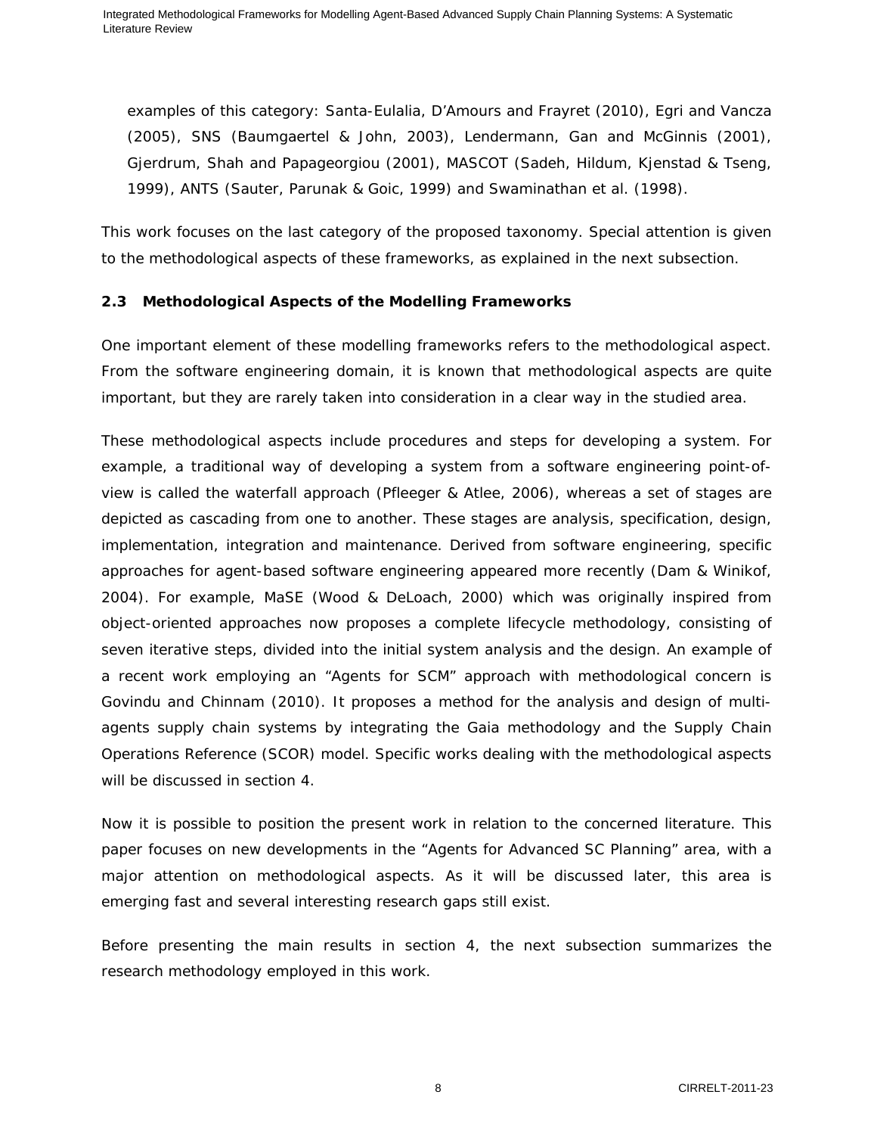examples of this category: Santa-Eulalia, D'Amours and Frayret (2010), Egri and Vancza (2005), SNS (Baumgaertel & John, 2003), Lendermann, Gan and McGinnis (2001), Gjerdrum, Shah and Papageorgiou (2001), MASCOT (Sadeh, Hildum, Kjenstad & Tseng, 1999), ANTS (Sauter, Parunak & Goic, 1999) and Swaminathan et al. (1998).

This work focuses on the last category of the proposed taxonomy. Special attention is given to the methodological aspects of these frameworks, as explained in the next subsection.

# **2.3 Methodological Aspects of the Modelling Frameworks**

One important element of these modelling frameworks refers to the methodological aspect. From the software engineering domain, it is known that methodological aspects are quite important, but they are rarely taken into consideration in a clear way in the studied area.

These methodological aspects include procedures and steps for developing a system. For example, a traditional way of developing a system from a software engineering point-ofview is called the waterfall approach (Pfleeger & Atlee, 2006), whereas a set of stages are depicted as cascading from one to another. These stages are analysis, specification, design, implementation, integration and maintenance. Derived from software engineering, specific approaches for agent-based software engineering appeared more recently (Dam & Winikof, 2004). For example, MaSE (Wood & DeLoach, 2000) which was originally inspired from object-oriented approaches now proposes a complete lifecycle methodology, consisting of seven iterative steps, divided into the initial system analysis and the design. An example of a recent work employing an "Agents for SCM" approach with methodological concern is Govindu and Chinnam (2010). It proposes a method for the analysis and design of multiagents supply chain systems by integrating the Gaia methodology and the Supply Chain Operations Reference (SCOR) model. Specific works dealing with the methodological aspects will be discussed in section 4.

Now it is possible to position the present work in relation to the concerned literature. This paper focuses on new developments in the "Agents for Advanced SC Planning" area, with a major attention on methodological aspects. As it will be discussed later, this area is emerging fast and several interesting research gaps still exist.

Before presenting the main results in section 4, the next subsection summarizes the research methodology employed in this work.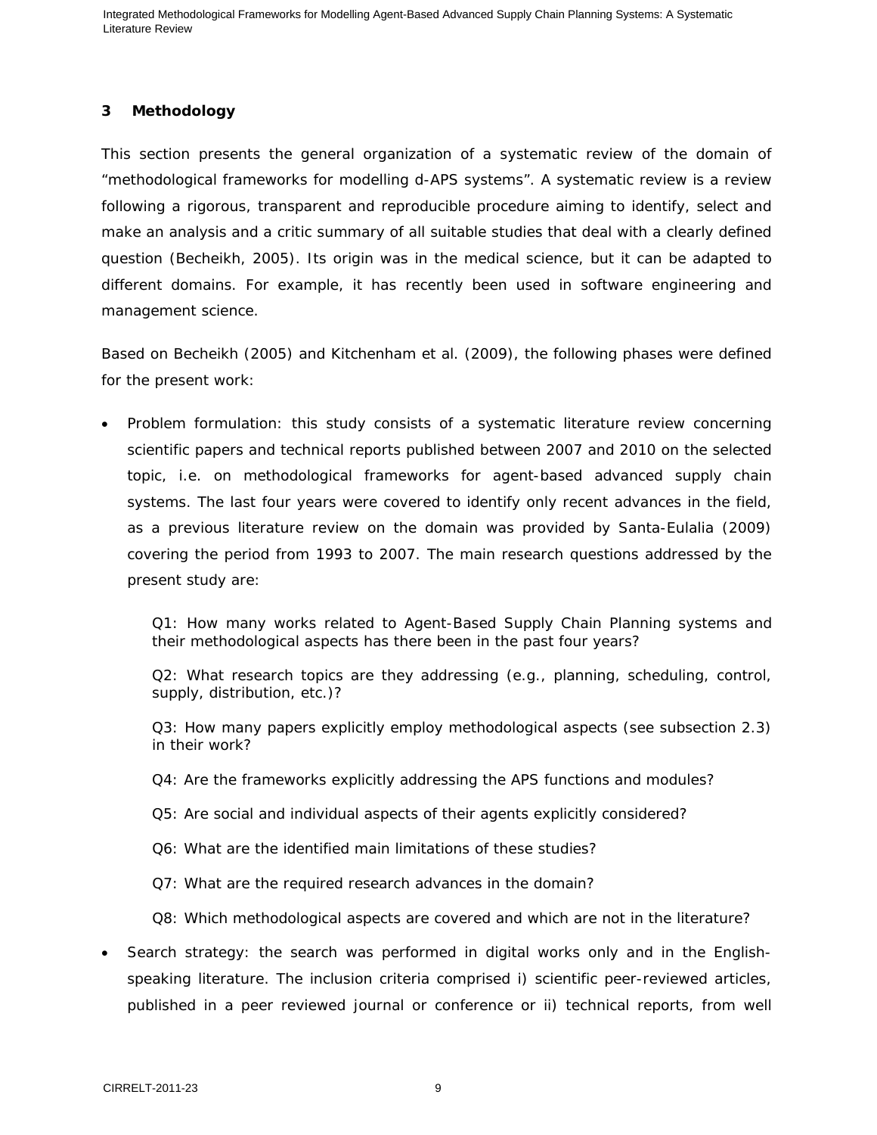# **3 Methodology**

This section presents the general organization of a systematic review of the domain of "methodological frameworks for modelling d-APS systems". A systematic review is a review following a rigorous, transparent and reproducible procedure aiming to identify, select and make an analysis and a critic summary of all suitable studies that deal with a clearly defined question (Becheikh, 2005). Its origin was in the medical science, but it can be adapted to different domains. For example, it has recently been used in software engineering and management science.

Based on Becheikh (2005) and Kitchenham et al. (2009), the following phases were defined for the present work:

• Problem formulation: this study consists of a systematic literature review concerning scientific papers and technical reports published between 2007 and 2010 on the selected topic, i.e. on methodological frameworks for agent-based advanced supply chain systems. The last four years were covered to identify only recent advances in the field, as a previous literature review on the domain was provided by Santa-Eulalia (2009) covering the period from 1993 to 2007. The main research questions addressed by the present study are:

Q1: How many works related to Agent-Based Supply Chain Planning systems and their methodological aspects has there been in the past four years?

Q2: What research topics are they addressing (e.g., planning, scheduling, control, supply, distribution, etc.)?

Q3: How many papers explicitly employ methodological aspects (see subsection 2.3) in their work?

- Q4: Are the frameworks explicitly addressing the APS functions and modules?
- Q5: Are social and individual aspects of their agents explicitly considered?
- Q6: What are the identified main limitations of these studies?
- Q7: What are the required research advances in the domain?

Q8: Which methodological aspects are covered and which are not in the literature?

• Search strategy: the search was performed in digital works only and in the Englishspeaking literature. The inclusion criteria comprised i) scientific peer-reviewed articles, published in a peer reviewed journal or conference or ii) technical reports, from well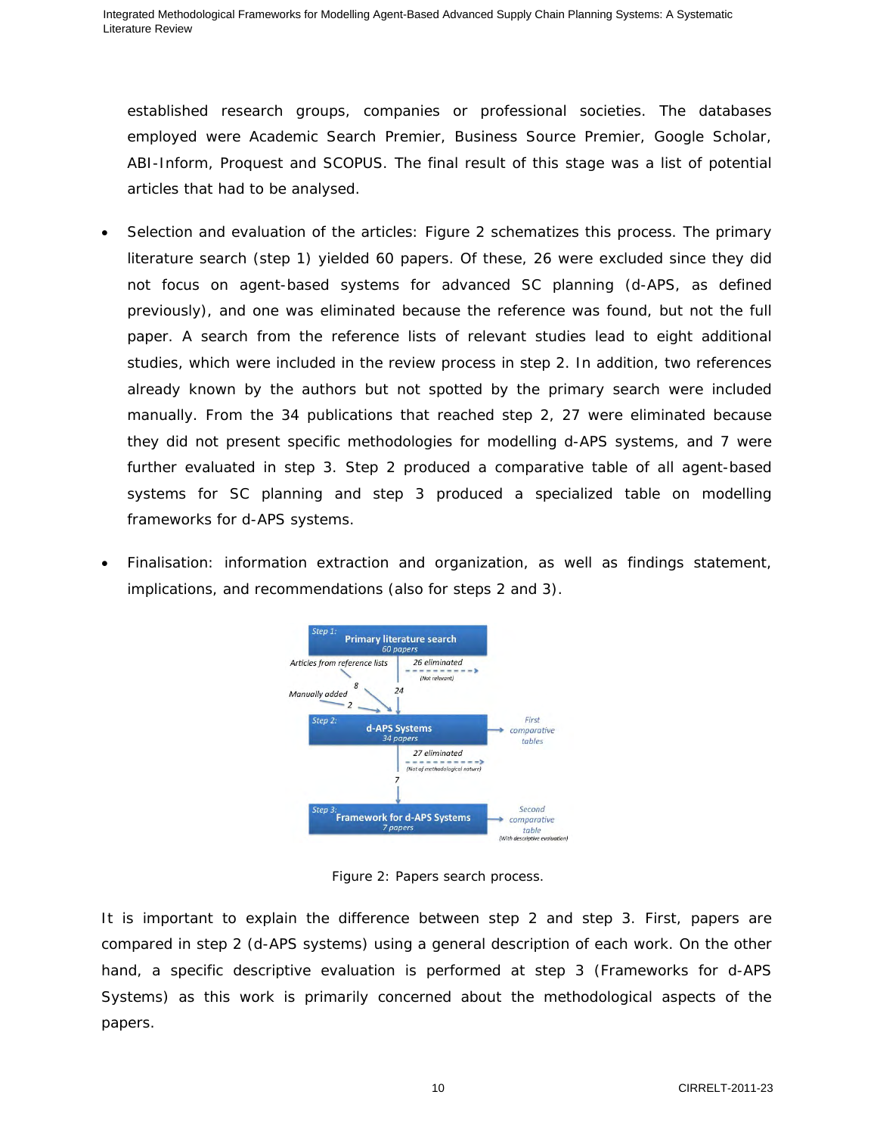established research groups, companies or professional societies. The databases employed were Academic Search Premier, Business Source Premier, Google Scholar, ABI-Inform, Proquest and SCOPUS. The final result of this stage was a list of potential articles that had to be analysed.

- Selection and evaluation of the articles: Figure 2 schematizes this process. The primary literature search (step 1) yielded 60 papers. Of these, 26 were excluded since they did not focus on agent-based systems for advanced SC planning (d-APS, as defined previously), and one was eliminated because the reference was found, but not the full paper. A search from the reference lists of relevant studies lead to eight additional studies, which were included in the review process in step 2. In addition, two references already known by the authors but not spotted by the primary search were included manually. From the 34 publications that reached step 2, 27 were eliminated because they did not present specific methodologies for modelling d-APS systems, and 7 were further evaluated in step 3. Step 2 produced a comparative table of all agent-based systems for SC planning and step 3 produced a specialized table on modelling frameworks for d-APS systems.
- Finalisation: information extraction and organization, as well as findings statement, implications, and recommendations (also for steps 2 and 3).



Figure 2: Papers search process.

It is important to explain the difference between step 2 and step 3. First, papers are compared in step 2 (d-APS systems) using a general description of each work. On the other hand, a specific descriptive evaluation is performed at step 3 (Frameworks for d-APS Systems) as this work is primarily concerned about the methodological aspects of the papers.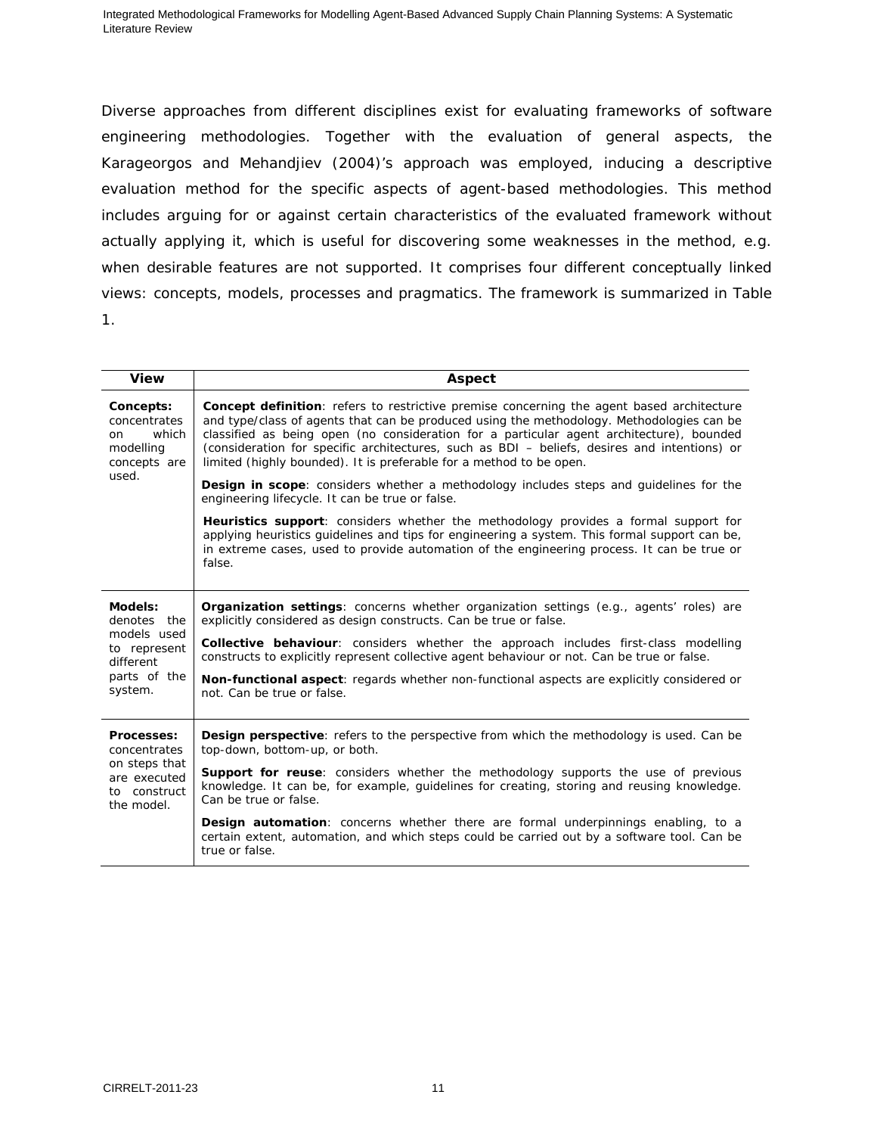Diverse approaches from different disciplines exist for evaluating frameworks of software engineering methodologies. Together with the evaluation of general aspects, the Karageorgos and Mehandjiev (2004)'s approach was employed, inducing a descriptive evaluation method for the specific aspects of agent-based methodologies. This method includes arguing for or against certain characteristics of the evaluated framework without actually applying it, which is useful for discovering some weaknesses in the method, e.g. when desirable features are not supported. It comprises four different conceptually linked views: concepts, models, processes and pragmatics. The framework is summarized in Table 1.

| <b>View</b>                                                            | Aspect                                                                                                                                                                                                                                                                                                                                                                                                                                                            |
|------------------------------------------------------------------------|-------------------------------------------------------------------------------------------------------------------------------------------------------------------------------------------------------------------------------------------------------------------------------------------------------------------------------------------------------------------------------------------------------------------------------------------------------------------|
| Concepts:<br>concentrates<br>which<br>on.<br>modelling<br>concepts are | <b>Concept definition</b> : refers to restrictive premise concerning the agent based architecture<br>and type/class of agents that can be produced using the methodology. Methodologies can be<br>classified as being open (no consideration for a particular agent architecture), bounded<br>(consideration for specific architectures, such as BDI - beliefs, desires and intentions) or<br>limited (highly bounded). It is preferable for a method to be open. |
| used.                                                                  | <b>Design in scope:</b> considers whether a methodology includes steps and quidelines for the<br>engineering lifecycle. It can be true or false.                                                                                                                                                                                                                                                                                                                  |
|                                                                        | <b>Heuristics support:</b> considers whether the methodology provides a formal support for<br>applying heuristics guidelines and tips for engineering a system. This formal support can be,<br>in extreme cases, used to provide automation of the engineering process. It can be true or<br>false.                                                                                                                                                               |
| Models:<br>denotes the                                                 | <b>Organization settings:</b> concerns whether organization settings (e.g., agents' roles) are<br>explicitly considered as design constructs. Can be true or false.                                                                                                                                                                                                                                                                                               |
| models used<br>to represent<br>different                               | <b>Collective behaviour:</b> considers whether the approach includes first-class modelling<br>constructs to explicitly represent collective agent behaviour or not. Can be true or false.                                                                                                                                                                                                                                                                         |
| parts of the<br>system.                                                | <b>Non-functional aspect:</b> regards whether non-functional aspects are explicitly considered or<br>not. Can be true or false.                                                                                                                                                                                                                                                                                                                                   |
| Processes:<br>concentrates                                             | <b>Design perspective:</b> refers to the perspective from which the methodology is used. Can be<br>top-down, bottom-up, or both.                                                                                                                                                                                                                                                                                                                                  |
| on steps that<br>are executed<br>to construct<br>the model.            | <b>Support for reuse:</b> considers whether the methodology supports the use of previous<br>knowledge. It can be, for example, guidelines for creating, storing and reusing knowledge.<br>Can be true or false.                                                                                                                                                                                                                                                   |
|                                                                        | <b>Design automation:</b> concerns whether there are formal underpinnings enabling, to a<br>certain extent, automation, and which steps could be carried out by a software tool. Can be<br>true or false.                                                                                                                                                                                                                                                         |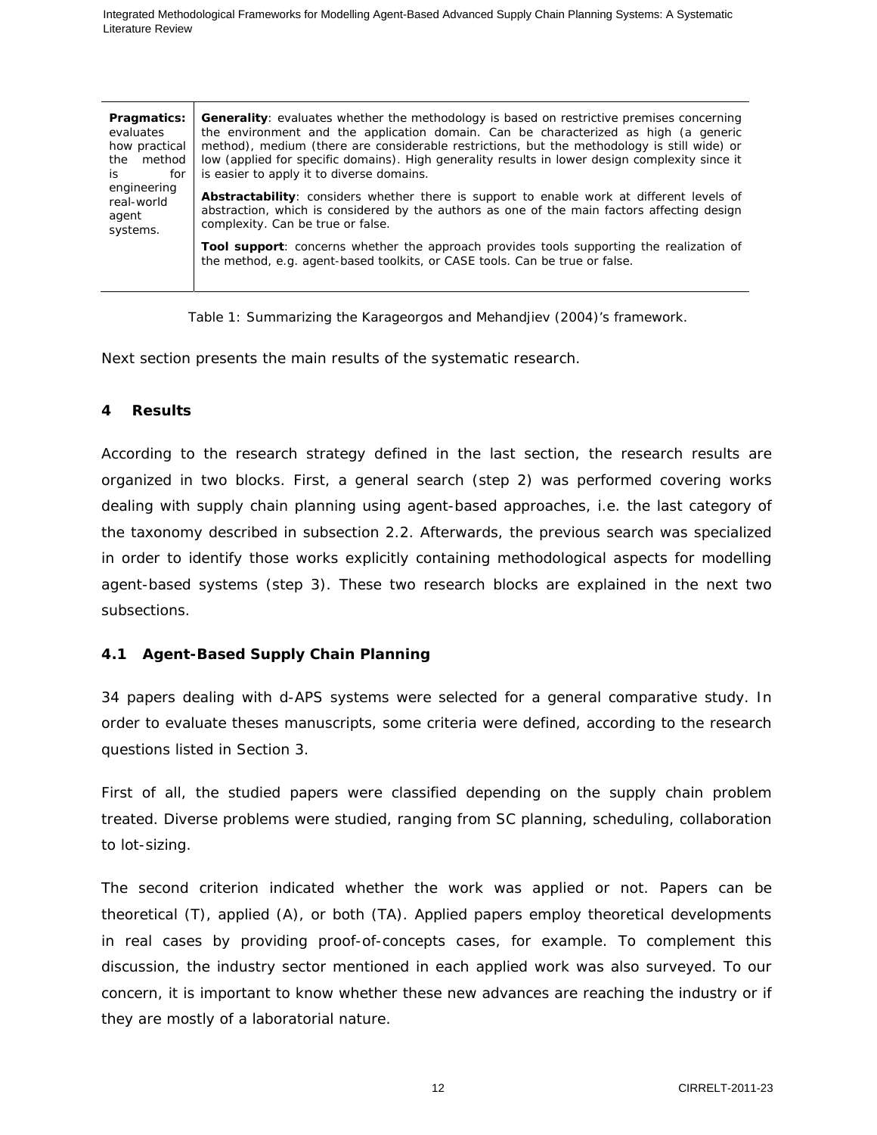| Pragmatics:<br>evaluates<br>how practical<br>method<br>the<br>is.<br>for | <b>Generality:</b> evaluates whether the methodology is based on restrictive premises concerning<br>the environment and the application domain. Can be characterized as high (a generic<br>method), medium (there are considerable restrictions, but the methodology is still wide) or<br>low (applied for specific domains). High generality results in lower design complexity since it<br>is easier to apply it to diverse domains. |
|--------------------------------------------------------------------------|----------------------------------------------------------------------------------------------------------------------------------------------------------------------------------------------------------------------------------------------------------------------------------------------------------------------------------------------------------------------------------------------------------------------------------------|
| engineering<br>real-world<br>agent<br>systems.                           | Abstractability: considers whether there is support to enable work at different levels of<br>abstraction, which is considered by the authors as one of the main factors affecting design<br>complexity. Can be true or false.                                                                                                                                                                                                          |
|                                                                          | Tool support: concerns whether the approach provides tools supporting the realization of<br>the method, e.g. agent-based toolkits, or CASE tools. Can be true or false.                                                                                                                                                                                                                                                                |

Table 1: Summarizing the Karageorgos and Mehandjiev (2004)'s framework.

Next section presents the main results of the systematic research.

# **4 Results**

According to the research strategy defined in the last section, the research results are organized in two blocks. First, a general search (step 2) was performed covering works dealing with supply chain planning using agent-based approaches, i.e. the last category of the taxonomy described in subsection 2.2. Afterwards, the previous search was specialized in order to identify those works explicitly containing methodological aspects for modelling agent-based systems (step 3). These two research blocks are explained in the next two subsections.

# **4.1 Agent-Based Supply Chain Planning**

34 papers dealing with d-APS systems were selected for a general comparative study. In order to evaluate theses manuscripts, some criteria were defined, according to the research questions listed in Section 3.

First of all, the studied papers were classified depending on the supply chain problem treated. Diverse problems were studied, ranging from SC planning, scheduling, collaboration to lot-sizing.

The second criterion indicated whether the work was applied or not. Papers can be theoretical (T), applied (A), or both (TA). Applied papers employ theoretical developments in real cases by providing proof-of-concepts cases, for example. To complement this discussion, the industry sector mentioned in each applied work was also surveyed. To our concern, it is important to know whether these new advances are reaching the industry or if they are mostly of a laboratorial nature.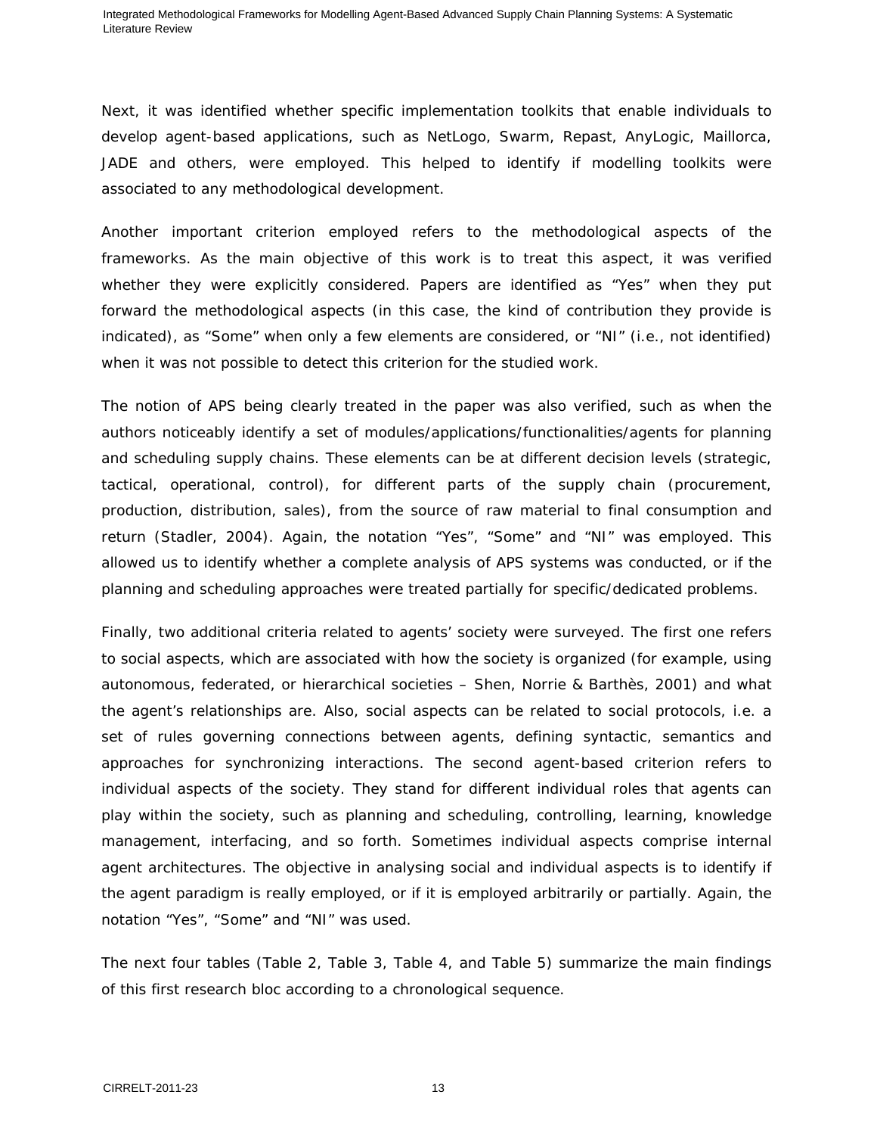Next, it was identified whether specific implementation toolkits that enable individuals to develop agent-based applications, such as NetLogo, Swarm, Repast, AnyLogic, Maillorca, JADE and others, were employed. This helped to identify if modelling toolkits were associated to any methodological development.

Another important criterion employed refers to the methodological aspects of the frameworks. As the main objective of this work is to treat this aspect, it was verified whether they were explicitly considered. Papers are identified as "Yes" when they put forward the methodological aspects (in this case, the kind of contribution they provide is indicated), as "Some" when only a few elements are considered, or "NI" (i.e., not identified) when it was not possible to detect this criterion for the studied work.

The notion of APS being clearly treated in the paper was also verified, such as when the authors noticeably identify a set of modules/applications/functionalities/agents for planning and scheduling supply chains. These elements can be at different decision levels (strategic, tactical, operational, control), for different parts of the supply chain (procurement, production, distribution, sales), from the source of raw material to final consumption and return (Stadler, 2004). Again, the notation "Yes", "Some" and "NI" was employed. This allowed us to identify whether a complete analysis of APS systems was conducted, or if the planning and scheduling approaches were treated partially for specific/dedicated problems.

Finally, two additional criteria related to agents' society were surveyed. The first one refers to social aspects, which are associated with how the society is organized (for example, using autonomous, federated, or hierarchical societies – Shen, Norrie & Barthès, 2001) and what the agent's relationships are. Also, social aspects can be related to social protocols, i.e. a set of rules governing connections between agents, defining syntactic, semantics and approaches for synchronizing interactions. The second agent-based criterion refers to individual aspects of the society. They stand for different individual roles that agents can play within the society, such as planning and scheduling, controlling, learning, knowledge management, interfacing, and so forth. Sometimes individual aspects comprise internal agent architectures. The objective in analysing social and individual aspects is to identify if the agent paradigm is really employed, or if it is employed arbitrarily or partially. Again, the notation "Yes", "Some" and "NI" was used.

The next four tables (Table 2, Table 3, Table 4, and Table 5) summarize the main findings of this first research bloc according to a chronological sequence.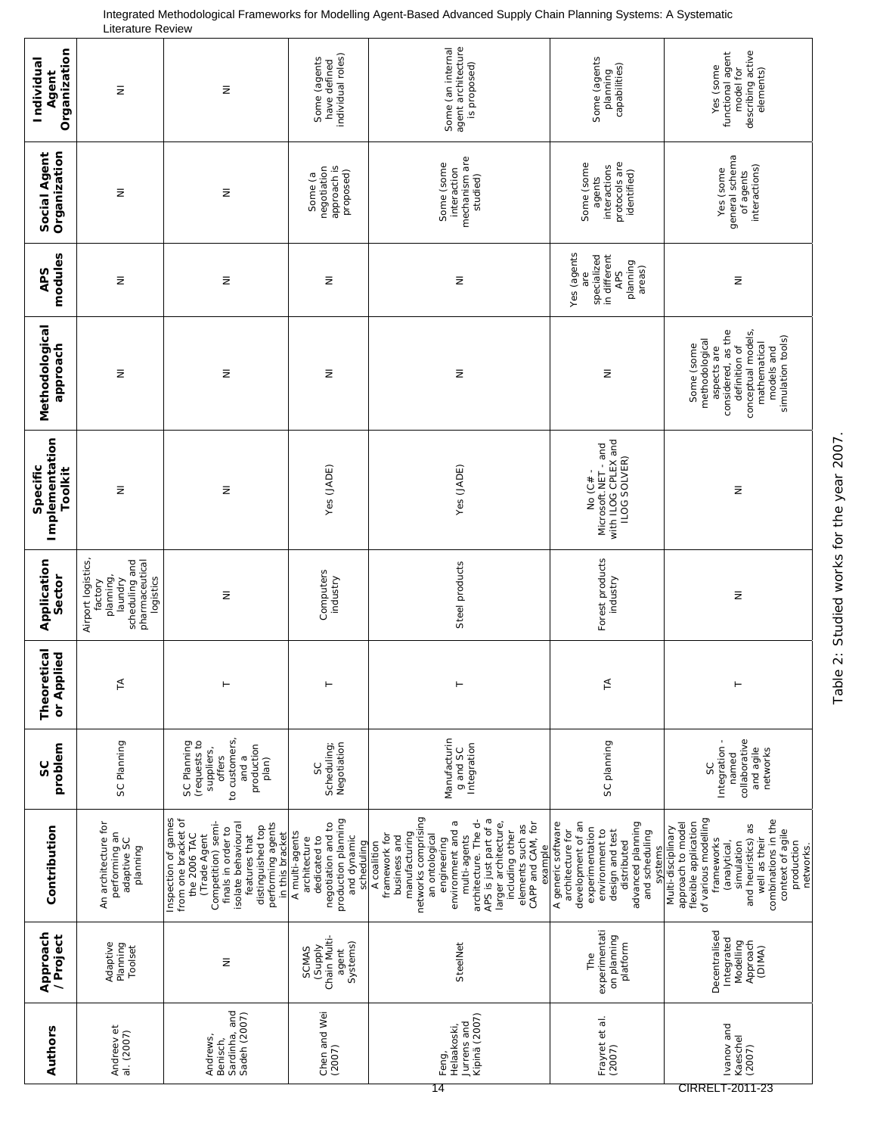| Organization<br>Individual<br>Agent   | $\bar{z}$                                                                                             | $\bar{z}$                                                                                                                                                                                                                  | individual roles)<br>Some (agents<br>have defined                                                                        | Some (an internal<br>agent architecture<br>is proposed)                                                                                                                                                                                                                                                    | Some (agents<br>capabilities)<br>planning                                                                                                                                            | describing active<br>functional agent<br>Yes (some<br>elements)<br>model for                                                                                                                                                                     |
|---------------------------------------|-------------------------------------------------------------------------------------------------------|----------------------------------------------------------------------------------------------------------------------------------------------------------------------------------------------------------------------------|--------------------------------------------------------------------------------------------------------------------------|------------------------------------------------------------------------------------------------------------------------------------------------------------------------------------------------------------------------------------------------------------------------------------------------------------|--------------------------------------------------------------------------------------------------------------------------------------------------------------------------------------|--------------------------------------------------------------------------------------------------------------------------------------------------------------------------------------------------------------------------------------------------|
| Organization<br>Social Agent          | $\bar{z}$                                                                                             | $\bar{z}$                                                                                                                                                                                                                  | negotiation<br>approach is<br>proposed)<br>Some (a                                                                       | mechanism are<br>Some (some<br>interaction<br>studied)                                                                                                                                                                                                                                                     | protocols are<br>Some (some<br>interactions<br>identified)<br>agents                                                                                                                 | general schema<br>interactions)<br>Yes (some<br>of agents                                                                                                                                                                                        |
| modules<br>APS                        | $\bar{z}$                                                                                             | Ξ                                                                                                                                                                                                                          | $\bar{z}$                                                                                                                | Ξ                                                                                                                                                                                                                                                                                                          | Yes (agents<br>in different<br>specialized<br>planning<br>areas)<br><b>APS</b><br>are                                                                                                | $\bar{z}$                                                                                                                                                                                                                                        |
| Methodological<br>doproach            | $\bar{z}$                                                                                             | $\bar{z}$                                                                                                                                                                                                                  | Ξ                                                                                                                        | $\bar{z}$                                                                                                                                                                                                                                                                                                  | $\bar{z}$                                                                                                                                                                            | considered, as the<br>conceptual models,<br>simulation tools)<br>methodological<br>mathematical<br>Some (some<br>definition of<br>aspects are<br>models and                                                                                      |
| Implementation<br>Specific<br>Toolkit | $\bar{z}$                                                                                             | $\bar{z}$                                                                                                                                                                                                                  | Yes (JADE)                                                                                                               | Yes (JADE)                                                                                                                                                                                                                                                                                                 | Microsoft.NET - and<br>with ILOG CPLEX and<br>ILOG SOLVER)<br>No (C# -                                                                                                               | $\bar{z}$                                                                                                                                                                                                                                        |
| Application<br>Sector                 | pharmaceutical<br>Airport logistics<br>scheduling and<br>planning,<br>laundry<br>logistics<br>factory | $\bar{z}$                                                                                                                                                                                                                  | Computers<br>industry                                                                                                    | Steel products                                                                                                                                                                                                                                                                                             | Forest products<br>industry                                                                                                                                                          | Ξ                                                                                                                                                                                                                                                |
| etical<br>pollad<br>Theor<br>or Ap    | $\leq$                                                                                                |                                                                                                                                                                                                                            |                                                                                                                          |                                                                                                                                                                                                                                                                                                            | $\preceq$                                                                                                                                                                            |                                                                                                                                                                                                                                                  |
| problem<br>ပ္တ                        | SC Planning                                                                                           | to customers,<br>(requests to<br>SC Planning<br>production<br>suppliers,<br>offers<br>and a<br>plan)                                                                                                                       | Scheduling;<br>Negotiation<br>SC                                                                                         | Manufacturin<br>Integration<br>g and SC                                                                                                                                                                                                                                                                    | SC planning                                                                                                                                                                          | collaborative<br>Integration-<br>and agile<br>networks<br>named<br>SC                                                                                                                                                                            |
| Contribution                          | An architecture for<br>performing an<br>adaptive SC<br>planning                                       | Inspection of games<br>from one bracket of<br>Competition) semi-<br>performing agents<br>isolate behavioural<br>distinguished top<br>finals in order to<br>the 2006 TAC<br>Trade Agent<br>features that<br>in this bracket | production planning<br>negotiation and to<br>A multi-agents<br>dedicated to<br>and dynamic<br>architecture<br>scheduling | networks comprising<br>APS is just part of a<br>architecture. The d-<br>environment and a<br>larger architecture,<br>CAPP and CAM, for<br>elements such as<br>including other<br>manufacturing<br>an ontological<br>framework for<br>business and<br>multi-agents<br>engineering<br>A coalition<br>example | A generic software<br>development of an<br>advanced planning<br>experimentation<br>environment to<br>design and test<br>architecture for<br>and scheduling<br>distributed<br>systems | of various modelling<br>combinations in the<br>flexible application<br>approach to model<br>and heuristics) as<br>Multi-disciplinary<br>context of agile<br>well as their<br>frameworks<br>production<br>(analytical,<br>simulation<br>networks. |
| Approach<br>/Project                  | Adaptive<br>Planning<br>Toolset                                                                       | $\bar{z}$                                                                                                                                                                                                                  | (Supply<br>Chain Multi-<br>Systems)<br><b>SCMAS</b><br>agent                                                             | SteelNet                                                                                                                                                                                                                                                                                                   | experimentati<br>on planning<br>platform<br>The                                                                                                                                      | Decentralised<br>Integrated<br>Modelling<br>Approach<br>(DIMA)                                                                                                                                                                                   |
| Authors                               | Andreev et<br>al. (2007)                                                                              | Sardinha, and<br>Sadeh (2007)<br>Andrews,<br>Benisch,                                                                                                                                                                      | Chen and Wei<br>(2007)                                                                                                   | Kipinä (2007)<br>Jurrens and<br>Helaakoski,<br>Feng,                                                                                                                                                                                                                                                       | Frayret et al.<br>(2007)                                                                                                                                                             | vanov and<br>Kaeschel<br>(2007)                                                                                                                                                                                                                  |

Integrated Methodological Frameworks for Modelling Agent-Based Advanced Supply Chain Planning Systems: A Systematic Literature Review

Table 2: Studied works for the year 2007. Table 2: Studied works for the year 2007.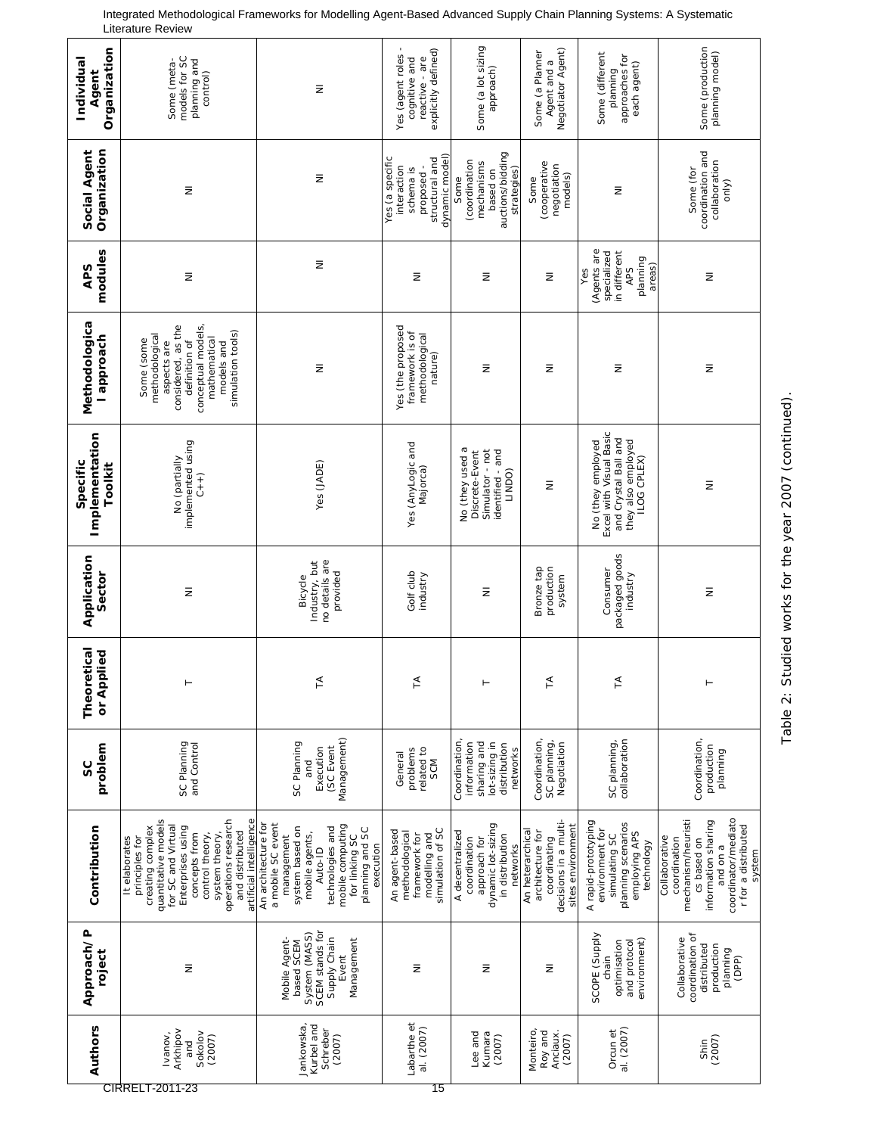| Organization<br>Individual<br>Agent   | models for SC<br>planning and<br>Some (meta-<br>control)                                                                                                                                                                                         | $\bar{z}$                                                                                                                                                                                        | reactive - are<br>explicitly defined)<br>Yes (agent roles<br>cognitive and                    | Some (a lot sizing<br>approach)                                                                      | Negotiator Agent)<br>Some (a Planner<br>Agent and a                                                | Some (different<br>approaches for<br>each agent)<br>planning                                                 | Some (production<br>planning model)                                                                                                                           |
|---------------------------------------|--------------------------------------------------------------------------------------------------------------------------------------------------------------------------------------------------------------------------------------------------|--------------------------------------------------------------------------------------------------------------------------------------------------------------------------------------------------|-----------------------------------------------------------------------------------------------|------------------------------------------------------------------------------------------------------|----------------------------------------------------------------------------------------------------|--------------------------------------------------------------------------------------------------------------|---------------------------------------------------------------------------------------------------------------------------------------------------------------|
| Organization<br><b>Social Agent</b>   | $\bar{z}$                                                                                                                                                                                                                                        | Ξ                                                                                                                                                                                                | dynamic model)<br>Yes (a specific<br>proposed -<br>structural and<br>interaction<br>schema is | auctions/bidding<br>(coordination<br>mechanisms<br>strategies)<br>based on<br>Some                   | (cooperative<br>negotiation<br>models)<br>Some                                                     | $\bar{z}$                                                                                                    | Some (for<br>coordination and<br>collaboration<br>only)                                                                                                       |
| modules<br><b>APS</b>                 | $\bar{z}$                                                                                                                                                                                                                                        | Ξ                                                                                                                                                                                                | Ξ                                                                                             | Ξ                                                                                                    | $\bar{z}$                                                                                          | (Agents are<br>specialized<br>in different<br>planning<br>areas)<br><b>APS</b><br>Yes                        | $\bar{z}$                                                                                                                                                     |
| Methodologica<br>approach             | considered, as the<br>conceptual models,<br>simulation tools)<br>methodological<br>mathematical<br>Some (some<br>definition of<br>aspects are<br>models and                                                                                      | $\bar{z}$                                                                                                                                                                                        | Yes (the proposed<br>framework is of<br>methodological<br>nature)                             | Ξ                                                                                                    | Ξ                                                                                                  | Ξ                                                                                                            | $\bar{z}$                                                                                                                                                     |
| Implementation<br>Specific<br>Toolkit | implemented using<br>No (partially<br>$C + 1$                                                                                                                                                                                                    | Yes (JADE)                                                                                                                                                                                       | Yes (AnyLogic and<br>Majorca)                                                                 | No (they used a<br>Simulator - not<br>identified - and<br>Discrete-Event<br>LINDO)                   | $\overline{\ge}$                                                                                   | Excel with Visual Basic<br>and Crystal Ball and<br>they also employed<br>ILOG CPLEX)<br>No (they employed    | Ξ                                                                                                                                                             |
| Application<br>Sector                 | Ξ                                                                                                                                                                                                                                                | Industry, but<br>no details are<br>provided<br>Bicycle                                                                                                                                           | Golf club<br>industry                                                                         | Ξ                                                                                                    | Bronze tap<br>production<br>system                                                                 | packaged goods<br>industry<br>Consumer                                                                       | $\bar{z}$                                                                                                                                                     |
| Theoretical<br>pplied<br>or Ap        | $\vdash$                                                                                                                                                                                                                                         | E                                                                                                                                                                                                | $\tilde{A}$                                                                                   |                                                                                                      | ₹                                                                                                  | ₹                                                                                                            |                                                                                                                                                               |
| problem<br>ပ္တ                        | SC Planning<br>and Control                                                                                                                                                                                                                       | Management)<br>SC Planning<br>Execution<br>(SC Event<br>and                                                                                                                                      | related to<br>problems<br>General<br>SCM                                                      | Coordination,<br>sharing and<br>lot-sizing in<br>information<br>distribution<br>networks             | Coordination<br>SC planning,<br>Negotiation                                                        | collaboration<br>SC planning,                                                                                | Coordination,<br>production<br>planning                                                                                                                       |
| Contribution                          | quantitative models<br>artificial intelligence<br>operations research<br>for SC and Virtual<br>creating complex<br>Enterprises using<br>and distributed<br>concepts from<br>control theory,<br>system theory,<br>principles for<br>It elaborates | An architecture for<br>a mobile SC event<br>mobile computing<br>system based on<br>technologies and<br>planning and SC<br>mobile agents,<br>management<br>for linking SC<br>execution<br>Auto-ID | simulation of SC<br>An agent-based<br>methodological<br>framework for<br>modelling and        | dynamic lot-sizing<br>A decentralized<br>in distribution<br>approach for<br>coordination<br>networks | decisions in a multi-<br>sites environment<br>An heterarchical<br>architecture for<br>coordinating | A rapid-prototyping<br>planning scenarios<br>environment for<br>employing APS<br>simulating SC<br>technology | coordinator/mediato<br>mechanism/heuristi<br>information sharing<br>r for a distributed<br>Collaborative<br>coordination<br>cs based on<br>and on a<br>system |
| Approach/P<br>roject                  | $\bar{z}$                                                                                                                                                                                                                                        | SCEM stands for<br>System (MASS)<br>Supply Chain<br>Mobile Agent-<br>Management<br>based SCEM<br>Event                                                                                           | Ξ                                                                                             | Ξ                                                                                                    | Ξ                                                                                                  | SCOPE (Supply<br>environment)<br>optimisation<br>and protocol<br>chain                                       | coordination of<br>Collaborative<br>production<br>distributed<br>planning<br>(OPP)                                                                            |
| Authors                               | Arkhipov<br>Sokolov<br>Ivanov,<br>(2007)<br>and<br>CIRRELT-2011-23                                                                                                                                                                               | Kurbel and<br>Jankowska<br>Schreber<br>(2007)                                                                                                                                                    | Labarthe et<br>al. (2007)<br>15                                                               | Lee and<br>Kumara<br>(2007)                                                                          | Monteiro<br>Roy and<br>Anciaux.<br>(2007)                                                          | al. (2007)<br>Orcun et                                                                                       | (2007)<br>Shin                                                                                                                                                |

Table 2: Studied works for the year 2007 (continued).

Table 2: Studied works for the year 2007 (continued).

Integrated Methodological Frameworks for Modelling Agent-Based Advanced Supply Chain Planning Systems: A Systematic Literature Review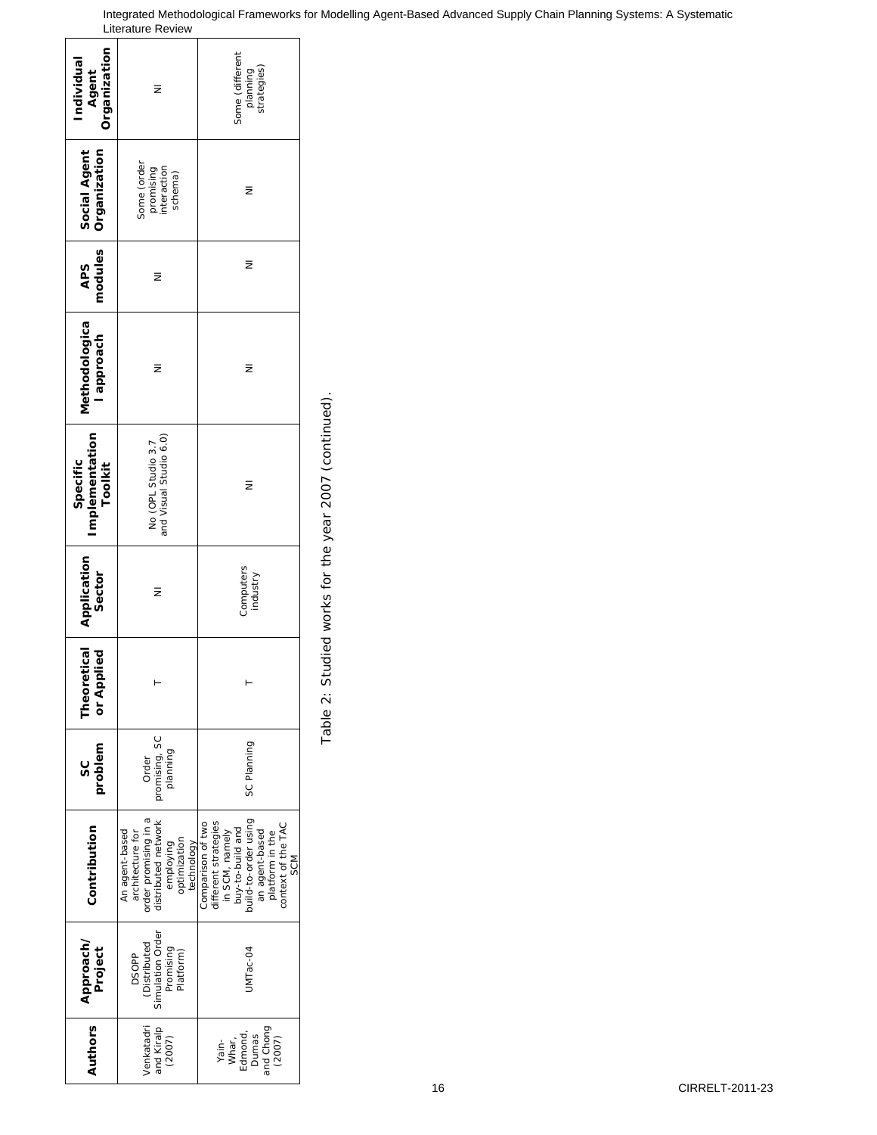| Drganization<br>Individual<br>Agent   | Ξ                                                                                                                            | Some (different<br>planning<br>strategies)                                                                                                                                      |
|---------------------------------------|------------------------------------------------------------------------------------------------------------------------------|---------------------------------------------------------------------------------------------------------------------------------------------------------------------------------|
| Social Agent<br>Organization          | Some (order<br>promising<br>interaction<br>schema)                                                                           | Ξ                                                                                                                                                                               |
| modules<br>APS                        | Ξ                                                                                                                            | Ξ                                                                                                                                                                               |
| Methodologica<br>l approach           | Ξ                                                                                                                            | Ξ                                                                                                                                                                               |
| Implementation<br>Specific<br>Toolkit | No (OPL Studio 3.7<br>and Visual Studio 6.0)                                                                                 | Ξ                                                                                                                                                                               |
| Application<br>Sector                 | Ξ                                                                                                                            | Computers<br>industry                                                                                                                                                           |
| <b>Theoretical</b><br>or Applied      |                                                                                                                              |                                                                                                                                                                                 |
| problem<br>ပ္တ                        | promising, SC<br>planning<br>Order                                                                                           | SC Planning                                                                                                                                                                     |
| Contribution                          | order promising in a<br>distributed network<br>An agent-based<br>architecture for<br>optimization<br>employing<br>technology | uild-to-order using<br>Comparison of two<br>different strategies<br>platform in the<br>context of the TAC<br>buy-to-build and<br>in SCM, namely<br>an agent-based<br><b>SCM</b> |
| Approach/<br>Project                  | Simulation Order<br>(Distributed<br>Promising<br>Platform)<br><b>DSOPP</b>                                                   | JMTac-04                                                                                                                                                                        |
| <b>Authors</b>                        | /enkatadri<br>and Kiralp<br>(2007)                                                                                           | and Chong<br>Whar,<br>Edmond,<br>Dumas<br>(2007)<br>Yain-                                                                                                                       |

r

Table 2: Studied works for the year 2007 (continued). Table 2: Studied works for the year 2007 (continued).

#### Integrated Methodological Frameworks for Modelling Agent-Based Advanced Supply Chain Planning Systems: A Systematic Literature Review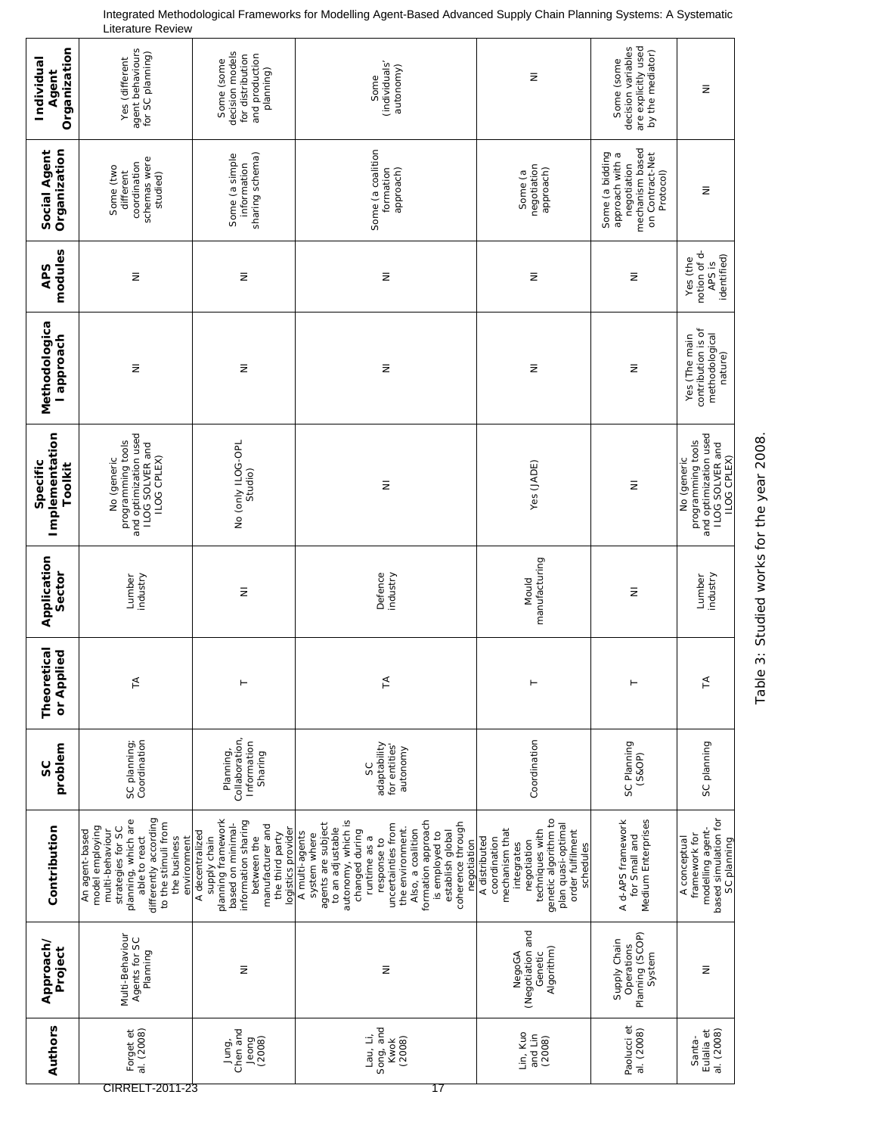| Organization<br>Individual<br>Agent   | agent behaviours<br>for SC planning)<br>Yes (different                                                                                                                                           | decision models<br>and production<br>for distribution<br>Some (some<br>planning)                                                                                              | (individuals'<br>autonomy)<br>Some                                                                                                                                                                                                                                                                             | Ξ                                                                                                                                                                              | are explicitly used<br>decision variables<br>by the mediator)<br>Some (some                          | Ξ                                                                                                  |
|---------------------------------------|--------------------------------------------------------------------------------------------------------------------------------------------------------------------------------------------------|-------------------------------------------------------------------------------------------------------------------------------------------------------------------------------|----------------------------------------------------------------------------------------------------------------------------------------------------------------------------------------------------------------------------------------------------------------------------------------------------------------|--------------------------------------------------------------------------------------------------------------------------------------------------------------------------------|------------------------------------------------------------------------------------------------------|----------------------------------------------------------------------------------------------------|
| Social Agent<br>Organization          | schemas were<br>coordination<br>Some (two<br>different<br>studied)                                                                                                                               | sharing schema)<br>Some (a simple<br>information                                                                                                                              | Some (a coalition<br>formation<br>approach)                                                                                                                                                                                                                                                                    | negotiation<br>approach)<br>Some (a                                                                                                                                            | negotiation<br>mechanism based<br>Some (a bidding<br>approach with a<br>on Contract-Net<br>Protocol) | Ξ                                                                                                  |
| modules<br>APS                        | $\bar{z}$                                                                                                                                                                                        | $\bar{z}$                                                                                                                                                                     | Ξ                                                                                                                                                                                                                                                                                                              | Ξ                                                                                                                                                                              | Ξ                                                                                                    | notion of d-<br>APS is<br>identified)<br>Yes (the                                                  |
| Methodologica<br>l approach           | $\bar{z}$                                                                                                                                                                                        | $\bar{z}$                                                                                                                                                                     | Ξ                                                                                                                                                                                                                                                                                                              | Ξ                                                                                                                                                                              | Ξ                                                                                                    | contribution is of<br>methodological<br>Yes (The main<br>nature)                                   |
| Implementation<br>Specific<br>Toolkit | programming tools<br>and optimization used<br>ILOG SOLVER and<br>ILOG CPLEX)<br>No (generic                                                                                                      | No (only ILOG-OPL<br>Studio)                                                                                                                                                  | $\bar{z}$                                                                                                                                                                                                                                                                                                      | Yes (JADE)                                                                                                                                                                     | $\bar{z}$                                                                                            | programming tools<br>and optimization used<br>ILOG SOLVER and<br><b>ILOG CPLEX)</b><br>No (generic |
| Application<br>Sector                 | Lumber<br>industry                                                                                                                                                                               | Ξ                                                                                                                                                                             | Defence<br>industry                                                                                                                                                                                                                                                                                            | manufacturing<br>Mould                                                                                                                                                         | $\bar{z}$                                                                                            | Lumber<br>industry                                                                                 |
| Theoretical<br>or Applied             | $\leq$                                                                                                                                                                                           |                                                                                                                                                                               | Ā                                                                                                                                                                                                                                                                                                              |                                                                                                                                                                                |                                                                                                      | ⋖                                                                                                  |
| problem<br>SC                         | SC planning;<br>Coordination                                                                                                                                                                     | Collaboration,<br>Information<br>Planning,<br>Sharing                                                                                                                         | adaptability<br>for entities<br>autonomy<br>SC                                                                                                                                                                                                                                                                 | Coordination                                                                                                                                                                   | SC Planning<br>(S8OP)                                                                                | SC planning                                                                                        |
| Contribution                          | differently according<br>planning, which are<br>to the stimuli from<br>model employing<br>strategies for SC<br>multi-behaviour<br>An agent-based<br>the business<br>able to react<br>environment | planning framework<br>information sharing<br>based on minimal-<br>manufacturer and<br>logistics provider<br>A decentralized<br>the third party<br>supply chain<br>between the | autonomy, which is<br>formation approach<br>agents are subject<br>coherence through<br>uncertainties from<br>the environment.<br>to an adjustable<br>Also, a coalition<br>changed during<br>establish global<br>A multi-agents<br>is employed to<br>system where<br>runtime as a<br>response to<br>negotiation | genetic algorithm to<br>plan quasi-optimal<br>order fulfilment<br>techniques with<br>mechanism that<br>A distributed<br>coordination<br>negotiation<br>integrates<br>schedules | Medium Enterprises<br>A d-APS framework<br>for Small and                                             | based simulation for<br>modelling agent-<br>framework for<br>A conceptual<br>SC planning           |
| Approach/<br>Project                  | Multi-Behaviour<br>Agents for SC<br>Planning                                                                                                                                                     | $\bar{z}$                                                                                                                                                                     | $\bar{z}$                                                                                                                                                                                                                                                                                                      | (Negotiation and<br>Algorithm)<br>NegoGA<br>Genetic                                                                                                                            | Planning (SCOP)<br>Supply Chain<br>Operations<br>System                                              | Ξ                                                                                                  |
| Authors                               | al. (2008)<br>Forget et<br>CIRRELT-2011-23                                                                                                                                                       | Chen and<br>(2008)<br>Jeong<br>Jung,                                                                                                                                          | Song, and<br>Lau, Li,<br>(2008)<br><b>Kwok</b><br>17                                                                                                                                                                                                                                                           | Lin, Kuo<br>and Lin<br>(2008)                                                                                                                                                  | Paolucci et<br>al. (2008)                                                                            | al. (2008)<br>Eulalia et<br>Santa-                                                                 |

Table 3: Studied works for the year 2008.

Table 3: Studied works for the year 2008.

#### Integrated Methodological Frameworks for Modelling Agent-Based Advanced Supply Chain Planning Systems: A Systematic Literature Review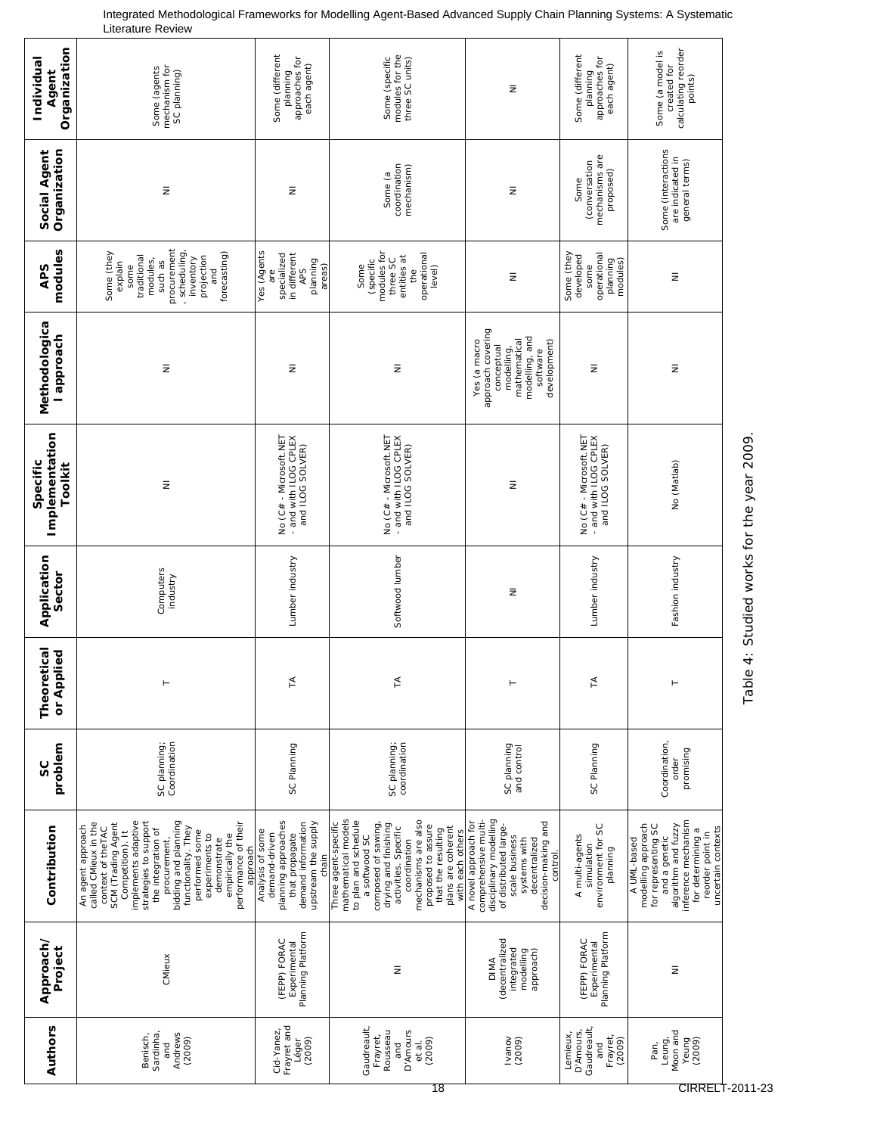| Organization<br>Individual<br>Agent   | mechanism for<br>Some (agents<br>SC planning)                                                                                                                                                                                                                                                                                                           | Some (different<br>planning<br>approaches for<br>each agent)                                                                     | modules for the<br>Some (specific<br>three SC units)                                                                                                                                                                                                                                     | Ξ                                                                                                                                                                                     | Some (different<br>planning<br>approaches for<br>each agent)           | calculating reorder<br>points)<br>Some (a model is<br>created for                                                                                                                      |
|---------------------------------------|---------------------------------------------------------------------------------------------------------------------------------------------------------------------------------------------------------------------------------------------------------------------------------------------------------------------------------------------------------|----------------------------------------------------------------------------------------------------------------------------------|------------------------------------------------------------------------------------------------------------------------------------------------------------------------------------------------------------------------------------------------------------------------------------------|---------------------------------------------------------------------------------------------------------------------------------------------------------------------------------------|------------------------------------------------------------------------|----------------------------------------------------------------------------------------------------------------------------------------------------------------------------------------|
| Social Agent<br>Organization          | Ξ                                                                                                                                                                                                                                                                                                                                                       | Ξ                                                                                                                                | coordination<br>mechanism)<br>Some (a                                                                                                                                                                                                                                                    | $\bar{z}$                                                                                                                                                                             | mechanisms are<br>(conversation<br>proposed)<br>Some                   | Some (interactions<br>are indicated in<br>general terms)                                                                                                                               |
| modules<br><b>APS</b>                 | procurement<br>, scheduling<br>forecasting)<br>Some (they<br>projection<br>traditional<br>inventory<br>modules,<br>such as<br>explain<br>some<br>and                                                                                                                                                                                                    | Yes (Agents<br>specialized<br>in different<br>planning<br>areas)<br><b>APS</b><br>are                                            | modules for<br>operational<br>entities at<br>three SC<br>(specific<br>Some<br>level)<br>the                                                                                                                                                                                              | $\bar{z}$                                                                                                                                                                             | Some (they<br>operational<br>developed<br>planning<br>modules)<br>some | Ξ                                                                                                                                                                                      |
| Methodologica<br>l approach           | Ξ                                                                                                                                                                                                                                                                                                                                                       | Ξ                                                                                                                                | Ξ                                                                                                                                                                                                                                                                                        | approach covering<br>modelling, and<br>development)<br>mathematical<br>Yes (a macro<br>conceptual<br>modelling,<br>software                                                           | Ξ                                                                      | Ξ                                                                                                                                                                                      |
| Implementation<br>Specific<br>Toolkit | $\bar{z}$                                                                                                                                                                                                                                                                                                                                               | No (C# - Microsoft.NET<br>- and with ILOG CPLEX<br>and ILOG SOLVER)                                                              | No (C# - Microsoft.NET<br>- and with ILOG CPLEX<br>and ILOG SOLVER)                                                                                                                                                                                                                      | Ξ                                                                                                                                                                                     | No (C# - Microsoft.NET<br>- and with ILOG CPLEX<br>and ILOG SOLVER)    | No (Matlab)                                                                                                                                                                            |
| Application<br>Sector                 | Computers<br>industry                                                                                                                                                                                                                                                                                                                                   | Lumber industry                                                                                                                  | Softwood lumber                                                                                                                                                                                                                                                                          | Ξ                                                                                                                                                                                     | Lumber industry                                                        | Fashion industry                                                                                                                                                                       |
| etical<br>or Applied<br>Theor         |                                                                                                                                                                                                                                                                                                                                                         | $\prec$                                                                                                                          | Ł,                                                                                                                                                                                                                                                                                       |                                                                                                                                                                                       | ⋖                                                                      |                                                                                                                                                                                        |
| problem<br>S                          | Coordination<br>SC planning;                                                                                                                                                                                                                                                                                                                            | SC Planning                                                                                                                      | SC planning;<br>coordination                                                                                                                                                                                                                                                             | SC planning<br>and control                                                                                                                                                            | SC Planning                                                            | Coordination,<br>promising<br>order                                                                                                                                                    |
| Contribution                          | implements adaptive<br>SCM (Trading Agent<br>strategies to support<br>bidding and planning<br>performance of their<br>called CMieux in the<br>An agent approach<br>functionality. They<br>context of theTAC<br>the integration of<br>Competition). It<br>performed some<br>experiments to<br>empirically the<br>procurement,<br>demonstrate<br>approach | planning approaches<br>demand information<br>upstream the supply<br>Analysis of some<br>demand-driven<br>that propagate<br>chain | mathematical models<br>to plan and schedule<br>mechanisms are also<br>composed of sawing,<br>Three agent-specific<br>drying and finishing<br>proposed to assure<br>plans are coherent<br>activities. Specific<br>that the resulting<br>with each others<br>a softwood SC<br>coordination | disciplinary modelling<br>comprehensive multi-<br>A novel approach for<br>decision-making and<br>of distributed large-<br>scale business<br>systems with<br>decentralized<br>control. | environment for SC<br>A multi-agents<br>simulation<br>planning         | inference mechanism<br>modelling approach<br>for representing SC<br>algorithm and fuzzy<br>uncertain contexts<br>for determining a<br>reorder point in<br>and a genetic<br>A UML-based |
| Approach/<br>Project                  | CMieux                                                                                                                                                                                                                                                                                                                                                  | Planning Platform<br>(FEPP) FORAC<br>Experimental                                                                                | $\bar{z}$                                                                                                                                                                                                                                                                                | (decentralized<br>integrated<br>modelling<br>approach)<br><b>DIMA</b>                                                                                                                 | Planning Platform<br>(FEPP) FORAC<br>Experimental                      | $\bar{z}$                                                                                                                                                                              |
| Authors                               | Sardinha,<br>Andrews<br>Benisch,<br>(2009)<br>and                                                                                                                                                                                                                                                                                                       | Frayret and<br>Cid-Yanez<br>(2009)<br>Léger                                                                                      | Gaudreault,<br>Rousseau<br>D'Amours<br>Frayret,<br>(2009)<br>and<br>et al.                                                                                                                                                                                                               | Ivanov<br>(2009)                                                                                                                                                                      | Gaudreault<br>D'Amours,<br>Lemieux,<br>Frayret<br>(2009)<br>and        | Moon and<br>Leung,<br>Yeung<br>(2009)<br>Pan,                                                                                                                                          |

Integrated Methodological Frameworks for Modelling Agent-Based Advanced Supply Chain Planning Systems: A Systematic Literature Review

Table 4: Studied works for the year 2009.

Table 4: Studied works for the year 2009.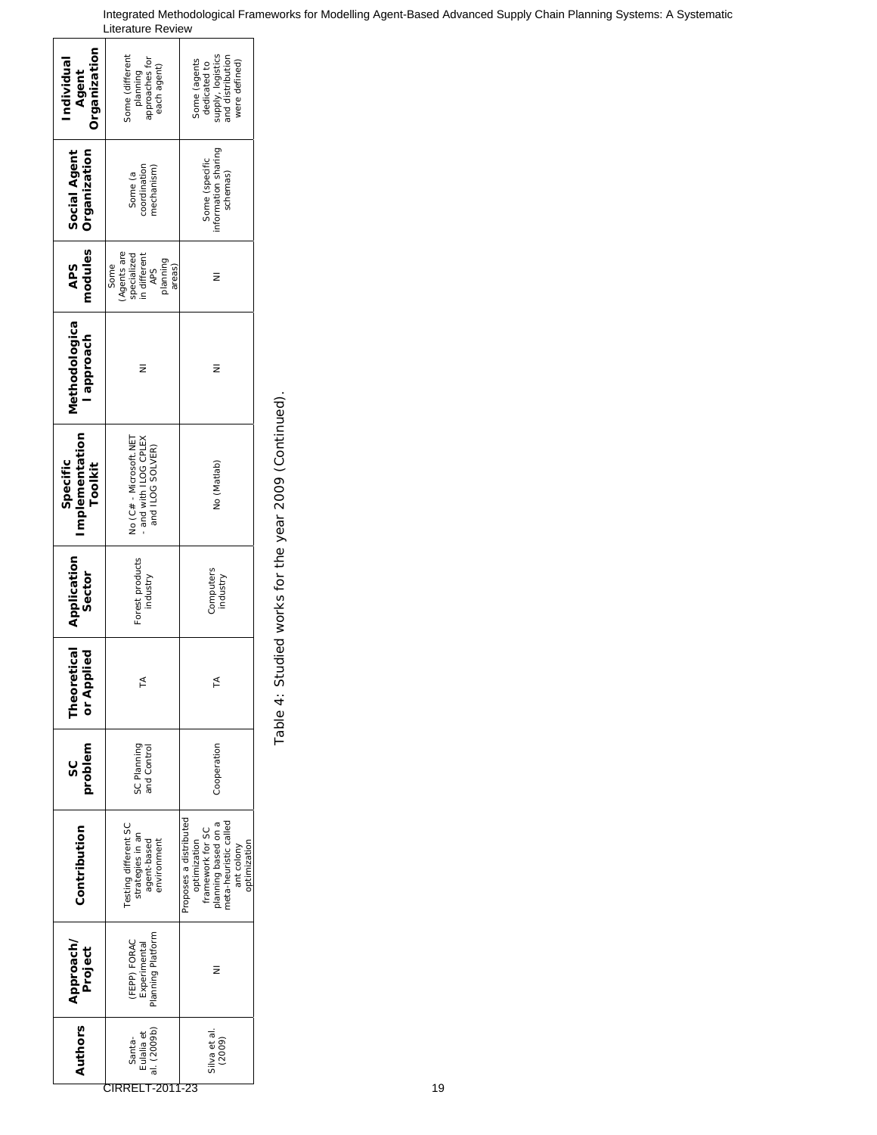| Organization<br>ndividual<br>Agent       | some (different<br>approaches for<br>each agent)<br>planning                          | supply, logistics<br>and distribution<br>Some (agents<br>dedicated to<br>were defined)                                                   |
|------------------------------------------|---------------------------------------------------------------------------------------|------------------------------------------------------------------------------------------------------------------------------------------|
| Organization<br>Social Agent             | coordination<br>mechanism)<br>Some (a                                                 | information sharing<br>Some (specific<br>schemas)                                                                                        |
| modules<br><b>APS</b>                    | (Agents are<br>specialized<br>n different<br>planning<br>Some<br>areas)<br><b>APS</b> | z                                                                                                                                        |
| Methodologica<br>l approach              | ₹                                                                                     | ₹                                                                                                                                        |
| mplementation<br>Specific<br>Toolkit     | No (C# - Microsoft.NET<br>and with ILOG CPLEX<br>and ILOG SOLVER)                     | No (Matlab)                                                                                                                              |
| Application<br>Sector                    | Forest products<br>industry                                                           | Computers<br>industry                                                                                                                    |
| etical<br>plied<br><b>Theor</b><br>or Ap | ⋖                                                                                     | ⋖                                                                                                                                        |
| problem<br>ပ္တ                           | SC Planning<br>and Control                                                            | Cooperation                                                                                                                              |
| Contribution                             | Testing different SC<br>strategies in an<br>agent-based<br>environment                | Proposes a distributed<br>planning based on a<br>meta-heuristic called<br>framework for SC<br>optimization<br>optimization<br>ant colony |
| Approach/<br>Project                     | Planning Platform<br>(FEPP) FORAC<br>Experimental                                     |                                                                                                                                          |
| Authors                                  | al. (2009b)<br>Eulalia et<br>Santa-                                                   | Silva et al.<br>(2009)                                                                                                                   |

Table 4: Studied works for the year 2009 (Continued). Table 4: Studied works for the year 2009 (Continued).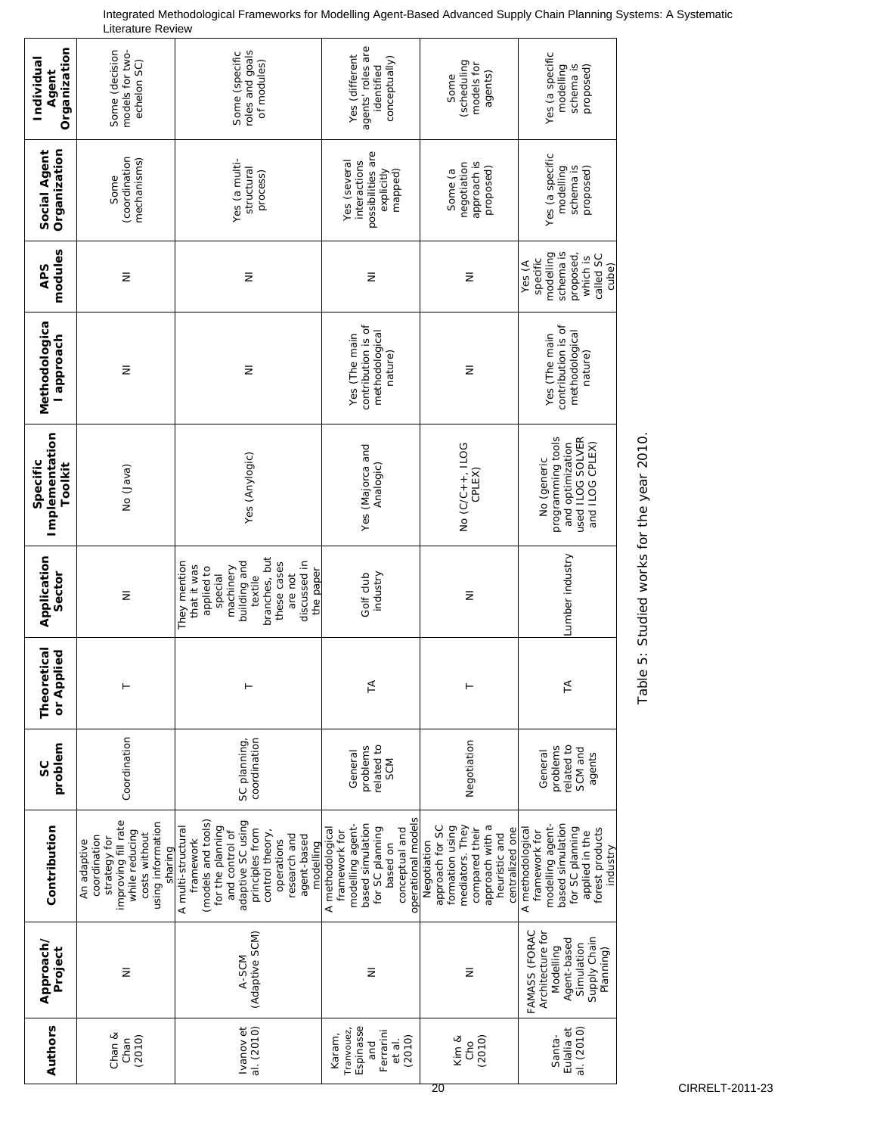| Organization<br>Individual<br>Agent   | models for two-<br>Some (decision<br>echelon SC)                                                                                      | roles and goals<br>Some (specific<br>of modules)                                                                                                                                                                 | agents' roles are<br>Yes (different<br>conceptually)<br>identified                                                                               | (scheduling<br>models for<br>agents)<br>Some                                                                                                  | Yes (a specific<br>modelling<br>schema is<br>proposed)                                                                                        |
|---------------------------------------|---------------------------------------------------------------------------------------------------------------------------------------|------------------------------------------------------------------------------------------------------------------------------------------------------------------------------------------------------------------|--------------------------------------------------------------------------------------------------------------------------------------------------|-----------------------------------------------------------------------------------------------------------------------------------------------|-----------------------------------------------------------------------------------------------------------------------------------------------|
| Organization<br>Social Agent          | (coordination<br>mechanisms)<br>Some                                                                                                  | Yes (a multi-<br>structural<br>process)                                                                                                                                                                          | possibilities are<br>Yes (several<br>interactions<br>explicitly<br>mapped)                                                                       | approach is<br>negotiation<br>proposed)<br>Some (a                                                                                            | Yes (a specific<br>modelling<br>schema is<br>proposed)                                                                                        |
| modules<br><b>APS</b>                 | $\bar{z}$                                                                                                                             | $\bar{z}$                                                                                                                                                                                                        | $\bar{z}$                                                                                                                                        | $\bar{z}$                                                                                                                                     | schema is<br>modelling<br>proposed,<br>called SC<br>which is<br>specific<br>Yes (A<br>cube)                                                   |
| Methodologica<br>l approach           | $\bar{z}$                                                                                                                             | Ξ                                                                                                                                                                                                                | contribution is of<br>methodological<br>Yes (The main<br>nature)                                                                                 | $\bar{z}$                                                                                                                                     | contribution is of<br>methodological<br>Yes (The main<br>nature)                                                                              |
| Implementation<br>Specific<br>Toolkit | (ever) oN                                                                                                                             | Yes (Anylogic)                                                                                                                                                                                                   | Yes (Majorca and<br>Analogic)                                                                                                                    | No (C/C++, ILOG<br>CPLEX)                                                                                                                     | used ILOG SOLVER<br>programming tools<br>and optimization<br>and ILOG CPLEX)<br>No (generic                                                   |
| Application<br>Sector                 | $\bar{z}$                                                                                                                             | branches, but<br>They mention<br>building and<br>discussed in<br>these cases<br>that it was<br>applied to<br>machinery<br>the paper<br>are not<br>textile<br>special                                             | industry<br>Golf club                                                                                                                            | $\bar{z}$                                                                                                                                     | Lumber industry                                                                                                                               |
| retical<br>pplied<br>Theor<br>or Ap   |                                                                                                                                       |                                                                                                                                                                                                                  | $\tilde{=}$                                                                                                                                      |                                                                                                                                               | $\tilde{H}$                                                                                                                                   |
| problem<br>SC                         | Coordination                                                                                                                          | coordination<br>SC planning,                                                                                                                                                                                     | related to<br>problems<br>General<br>SCM                                                                                                         | Negotiation                                                                                                                                   | related to<br>problems<br>SCM and<br>General<br>agents                                                                                        |
| Contribution                          | improving fill rate<br>using information<br>while reducing<br>costs without<br>coordination<br>strategy for<br>An adaptive<br>sharing | (models and tools)<br>adaptive SC using<br>for the planning<br>A multi-structural<br>principles from<br>and control of<br>control theory,<br>research and<br>agent-based<br>framework<br>operations<br>modelling | operational models<br>based simulation<br>modelling agent-<br>A methodological<br>for SC planning<br>conceptual and<br>framework for<br>based on | mediators. They<br>approach for SC<br>approach with a<br>formation using<br>centralized one<br>compared their<br>heuristic and<br>Negotiation | modelling agent-<br>based simulation<br>for SC planning<br>forest products<br>A methodological<br>applied in the<br>framework for<br>industry |
| Approach/<br>Project                  | $\bar{z}$                                                                                                                             | (Adaptive SCM)<br>A-SCM                                                                                                                                                                                          | $\bar{z}$                                                                                                                                        | $\bar{z}$                                                                                                                                     | FAMASS (FORAC<br>Architecture for<br>Supply Chain<br>Agent-based<br>Simulation<br>Modelling<br>Planning)                                      |
| Authors                               | Chan &<br>(2010)<br>Chan                                                                                                              | al. (2010)<br>Ivanov et                                                                                                                                                                                          | Espinasse<br>Tranvouez,<br>Ferrarini<br>Karam,<br>(2010)<br>et al.<br>and                                                                        | (2010)<br>Kim &<br>Cho                                                                                                                        | al. (2010)<br>Eulalia et<br>Santa-                                                                                                            |

Integrated Methodological Frameworks for Modelling Agent-Based Advanced Supply Chain Planning Systems: A Systematic Literature Review

Table 5: Studied works for the year 2010.

Table 5: Studied works for the year 2010.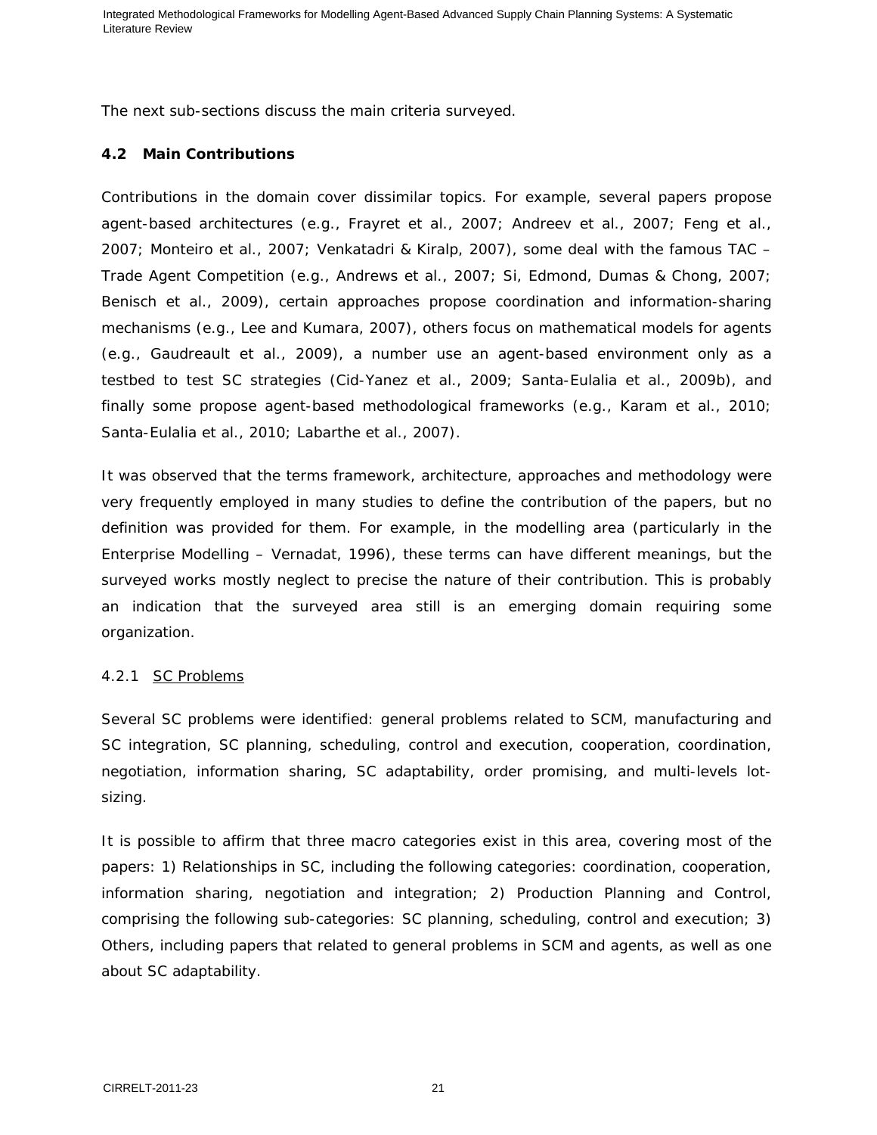The next sub-sections discuss the main criteria surveyed.

# **4.2 Main Contributions**

Contributions in the domain cover dissimilar topics. For example, several papers propose agent-based architectures (e.g., Frayret et al., 2007; Andreev et al., 2007; Feng et al., 2007; Monteiro et al., 2007; Venkatadri & Kiralp, 2007), some deal with the famous TAC – Trade Agent Competition (e.g., Andrews et al., 2007; Si, Edmond, Dumas & Chong, 2007; Benisch et al., 2009), certain approaches propose coordination and information-sharing mechanisms (e.g., Lee and Kumara, 2007), others focus on mathematical models for agents (e.g., Gaudreault et al., 2009), a number use an agent-based environment only as a testbed to test SC strategies (Cid-Yanez et al., 2009; Santa-Eulalia et al., 2009b), and finally some propose agent-based methodological frameworks (e.g., Karam et al., 2010; Santa-Eulalia et al., 2010; Labarthe et al., 2007).

It was observed that the terms framework, architecture, approaches and methodology were very frequently employed in many studies to define the contribution of the papers, but no definition was provided for them. For example, in the modelling area (particularly in the Enterprise Modelling – Vernadat, 1996), these terms can have different meanings, but the surveyed works mostly neglect to precise the nature of their contribution. This is probably an indication that the surveyed area still is an emerging domain requiring some organization.

# *4.2.1 SC Problems*

Several SC problems were identified: general problems related to SCM, manufacturing and SC integration, SC planning, scheduling, control and execution, cooperation, coordination, negotiation, information sharing, SC adaptability, order promising, and multi-levels lotsizing.

It is possible to affirm that three macro categories exist in this area, covering most of the papers: 1) Relationships in SC, including the following categories: coordination, cooperation, information sharing, negotiation and integration; 2) Production Planning and Control, comprising the following sub-categories: SC planning, scheduling, control and execution; 3) Others, including papers that related to general problems in SCM and agents, as well as one about SC adaptability.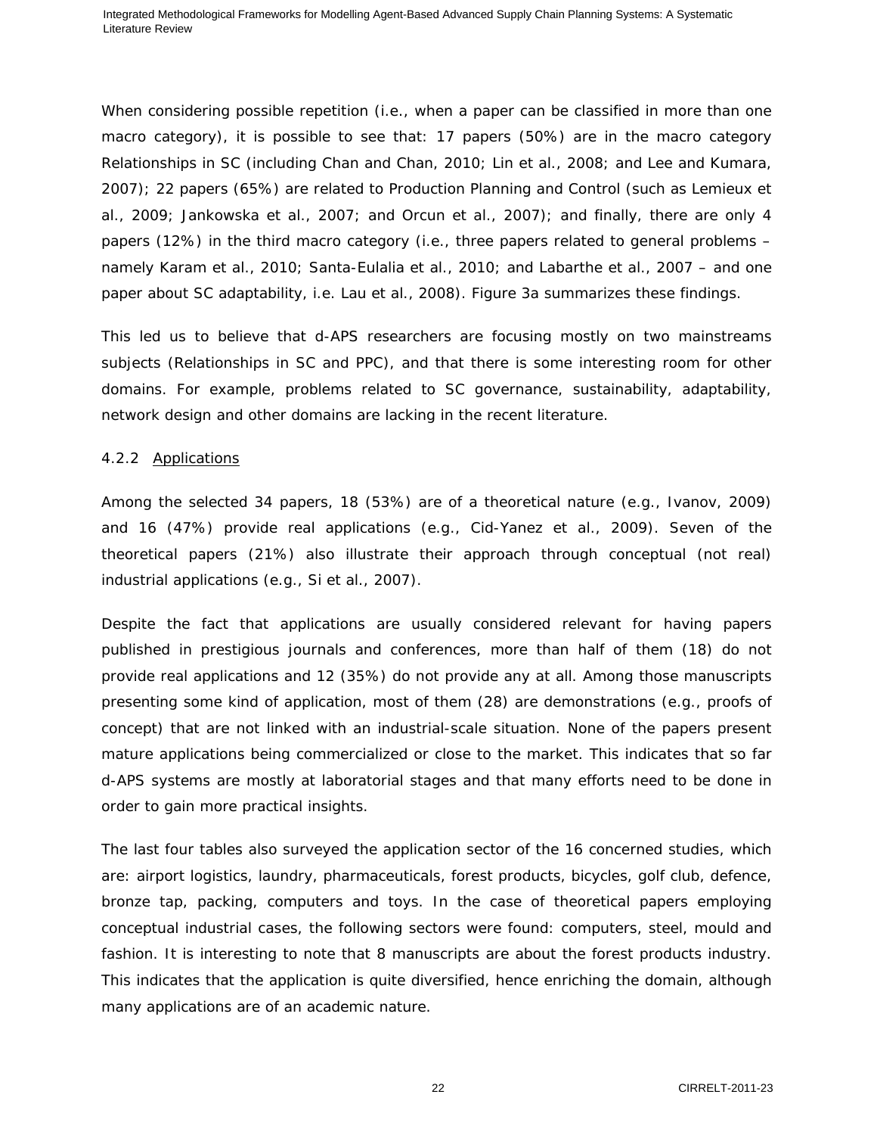When considering possible repetition (i.e., when a paper can be classified in more than one macro category), it is possible to see that: 17 papers (50%) are in the macro category Relationships in SC (including Chan and Chan, 2010; Lin et al., 2008; and Lee and Kumara, 2007); 22 papers (65%) are related to Production Planning and Control (such as Lemieux et al., 2009; Jankowska et al., 2007; and Orcun et al., 2007); and finally, there are only 4 papers (12%) in the third macro category (i.e., three papers related to general problems – namely Karam et al., 2010; Santa-Eulalia et al., 2010; and Labarthe et al., 2007 – and one paper about SC adaptability, i.e. Lau et al., 2008). Figure 3a summarizes these findings.

This led us to believe that d-APS researchers are focusing mostly on two mainstreams subjects (Relationships in SC and PPC), and that there is some interesting room for other domains. For example, problems related to SC governance, sustainability, adaptability, network design and other domains are lacking in the recent literature.

#### *4.2.2 Applications*

Among the selected 34 papers, 18 (53%) are of a theoretical nature (e.g., Ivanov, 2009) and 16 (47%) provide real applications (e.g., Cid-Yanez et al., 2009). Seven of the theoretical papers (21%) also illustrate their approach through conceptual (not real) industrial applications (e.g., Si et al., 2007).

Despite the fact that applications are usually considered relevant for having papers published in prestigious journals and conferences, more than half of them (18) do not provide real applications and 12 (35%) do not provide any at all. Among those manuscripts presenting some kind of application, most of them (28) are demonstrations (e.g., proofs of concept) that are not linked with an industrial-scale situation. None of the papers present mature applications being commercialized or close to the market. This indicates that so far d-APS systems are mostly at laboratorial stages and that many efforts need to be done in order to gain more practical insights.

The last four tables also surveyed the application sector of the 16 concerned studies, which are: airport logistics, laundry, pharmaceuticals, forest products, bicycles, golf club, defence, bronze tap, packing, computers and toys. In the case of theoretical papers employing conceptual industrial cases, the following sectors were found: computers, steel, mould and fashion. It is interesting to note that 8 manuscripts are about the forest products industry. This indicates that the application is quite diversified, hence enriching the domain, although many applications are of an academic nature.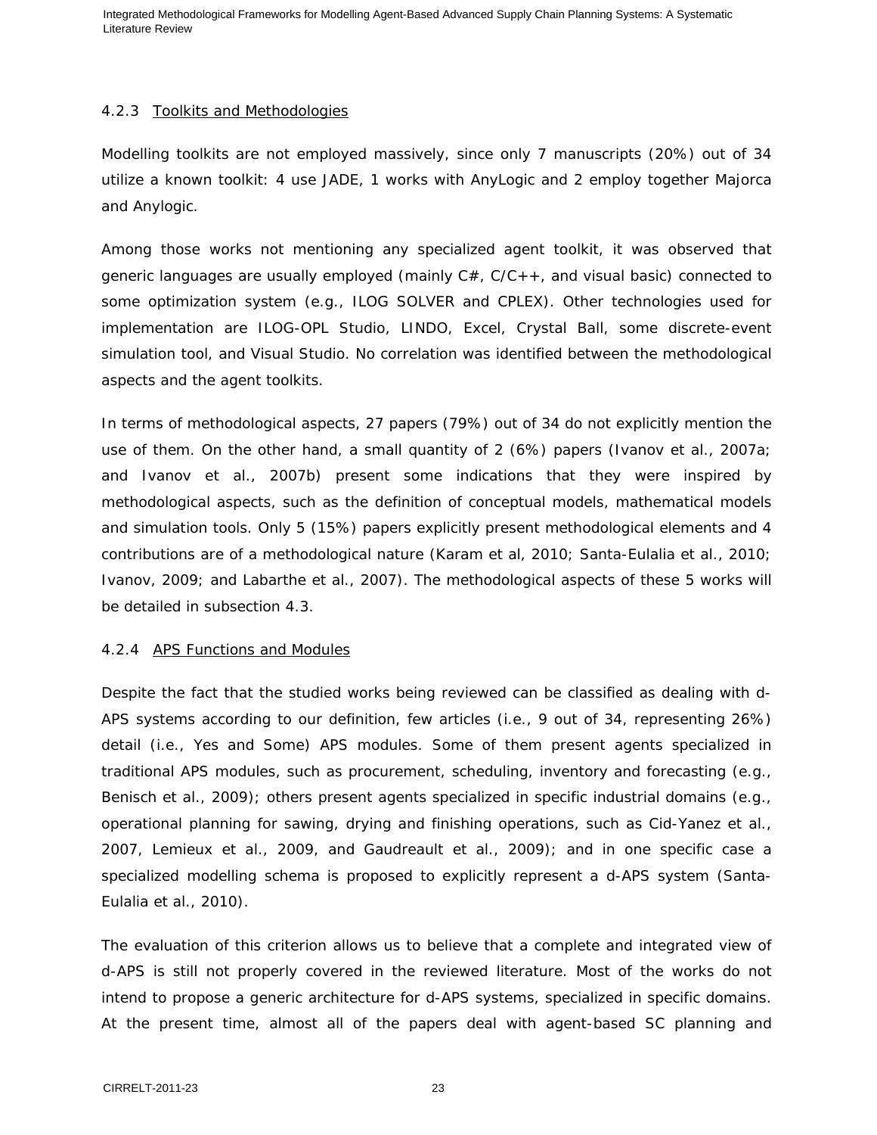#### *4.2.3 Toolkits and Methodologies*

Modelling toolkits are not employed massively, since only 7 manuscripts (20%) out of 34 utilize a known toolkit: 4 use JADE, 1 works with AnyLogic and 2 employ together Majorca and Anylogic.

Among those works not mentioning any specialized agent toolkit, it was observed that generic languages are usually employed (mainly  $C#$ ,  $C/C++$ , and visual basic) connected to some optimization system (e.g., ILOG SOLVER and CPLEX). Other technologies used for implementation are ILOG-OPL Studio, LINDO, Excel, Crystal Ball, some discrete-event simulation tool, and Visual Studio. No correlation was identified between the methodological aspects and the agent toolkits.

In terms of methodological aspects, 27 papers (79%) out of 34 do not explicitly mention the use of them. On the other hand, a small quantity of 2 (6%) papers (Ivanov et al., 2007a; and Ivanov et al., 2007b) present some indications that they were inspired by methodological aspects, such as the definition of conceptual models, mathematical models and simulation tools. Only 5 (15%) papers explicitly present methodological elements and 4 contributions are of a methodological nature (Karam et al, 2010; Santa-Eulalia et al., 2010; Ivanov, 2009; and Labarthe et al., 2007). The methodological aspects of these 5 works will be detailed in subsection 4.3.

#### *4.2.4 APS Functions and Modules*

Despite the fact that the studied works being reviewed can be classified as dealing with d-APS systems according to our definition, few articles (i.e., 9 out of 34, representing 26%) detail (i.e., Yes and Some) APS modules. Some of them present agents specialized in traditional APS modules, such as procurement, scheduling, inventory and forecasting (e.g., Benisch et al., 2009); others present agents specialized in specific industrial domains (e.g., operational planning for sawing, drying and finishing operations, such as Cid-Yanez et al., 2007, Lemieux et al., 2009, and Gaudreault et al., 2009); and in one specific case a specialized modelling schema is proposed to explicitly represent a d-APS system (Santa-Eulalia et al., 2010).

The evaluation of this criterion allows us to believe that a complete and integrated view of d-APS is still not properly covered in the reviewed literature. Most of the works do not intend to propose a generic architecture for d-APS systems, specialized in specific domains. At the present time, almost all of the papers deal with agent-based SC planning and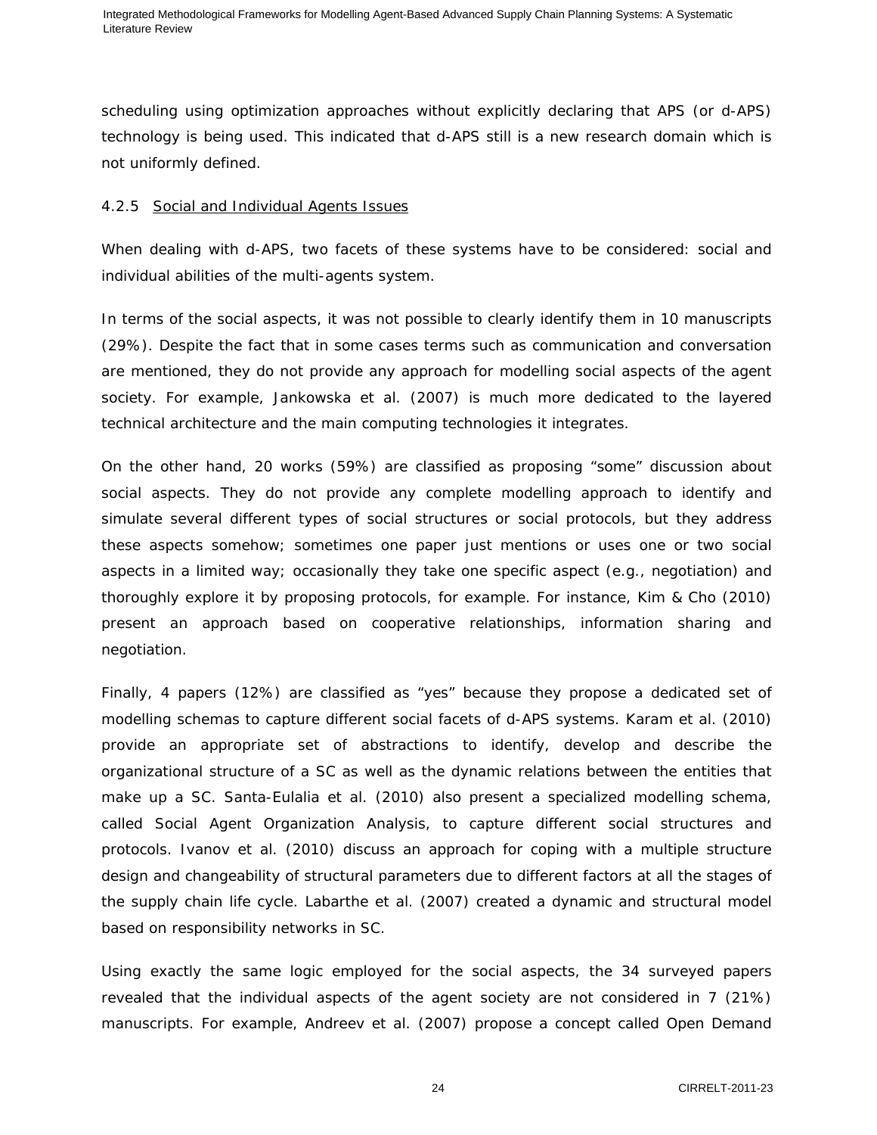scheduling using optimization approaches without explicitly declaring that APS (or d-APS) technology is being used. This indicated that d-APS still is a new research domain which is not uniformly defined.

# *4.2.5 Social and Individual Agents Issues*

When dealing with d-APS, two facets of these systems have to be considered: social and individual abilities of the multi-agents system.

In terms of the social aspects, it was not possible to clearly identify them in 10 manuscripts (29%). Despite the fact that in some cases terms such as communication and conversation are mentioned, they do not provide any approach for modelling social aspects of the agent society. For example, Jankowska et al. (2007) is much more dedicated to the layered technical architecture and the main computing technologies it integrates.

On the other hand, 20 works (59%) are classified as proposing "some" discussion about social aspects. They do not provide any complete modelling approach to identify and simulate several different types of social structures or social protocols, but they address these aspects somehow; sometimes one paper just mentions or uses one or two social aspects in a limited way; occasionally they take one specific aspect (e.g., negotiation) and thoroughly explore it by proposing protocols, for example. For instance, Kim & Cho (2010) present an approach based on cooperative relationships, information sharing and negotiation.

Finally, 4 papers (12%) are classified as "yes" because they propose a dedicated set of modelling schemas to capture different social facets of d-APS systems. Karam et al. (2010) provide an appropriate set of abstractions to identify, develop and describe the organizational structure of a SC as well as the dynamic relations between the entities that make up a SC. Santa-Eulalia et al. (2010) also present a specialized modelling schema, called Social Agent Organization Analysis, to capture different social structures and protocols. Ivanov et al. (2010) discuss an approach for coping with a multiple structure design and changeability of structural parameters due to different factors at all the stages of the supply chain life cycle. Labarthe et al. (2007) created a dynamic and structural model based on responsibility networks in SC.

Using exactly the same logic employed for the social aspects, the 34 surveyed papers revealed that the individual aspects of the agent society are not considered in 7 (21%) manuscripts. For example, Andreev et al. (2007) propose a concept called Open Demand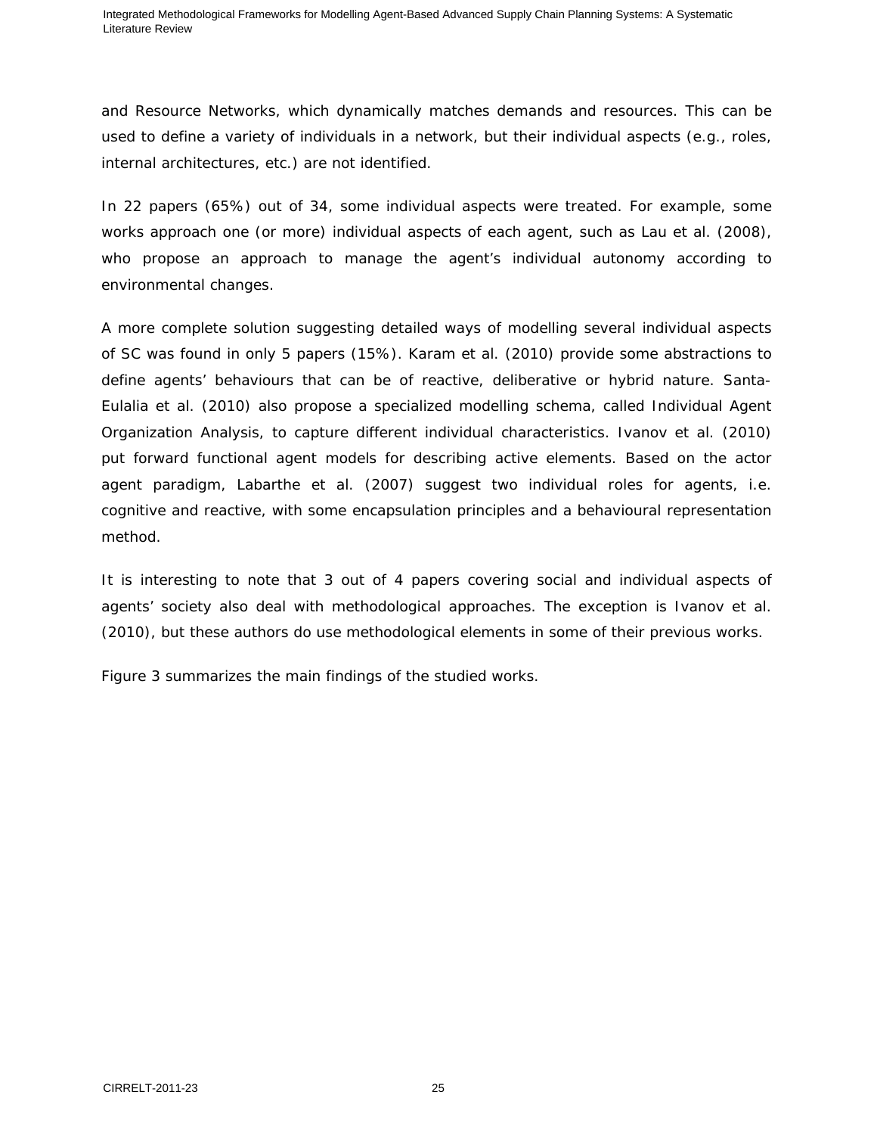and Resource Networks, which dynamically matches demands and resources. This can be used to define a variety of individuals in a network, but their individual aspects (e.g., roles, internal architectures, etc.) are not identified.

In 22 papers (65%) out of 34, some individual aspects were treated. For example, some works approach one (or more) individual aspects of each agent, such as Lau et al. (2008), who propose an approach to manage the agent's individual autonomy according to environmental changes.

A more complete solution suggesting detailed ways of modelling several individual aspects of SC was found in only 5 papers (15%). Karam et al. (2010) provide some abstractions to define agents' behaviours that can be of reactive, deliberative or hybrid nature. Santa-Eulalia et al. (2010) also propose a specialized modelling schema, called Individual Agent Organization Analysis, to capture different individual characteristics. Ivanov et al. (2010) put forward functional agent models for describing active elements. Based on the actor agent paradigm, Labarthe et al. (2007) suggest two individual roles for agents, i.e. cognitive and reactive, with some encapsulation principles and a behavioural representation method.

It is interesting to note that 3 out of 4 papers covering social and individual aspects of agents' society also deal with methodological approaches. The exception is Ivanov et al. (2010), but these authors do use methodological elements in some of their previous works.

Figure 3 summarizes the main findings of the studied works.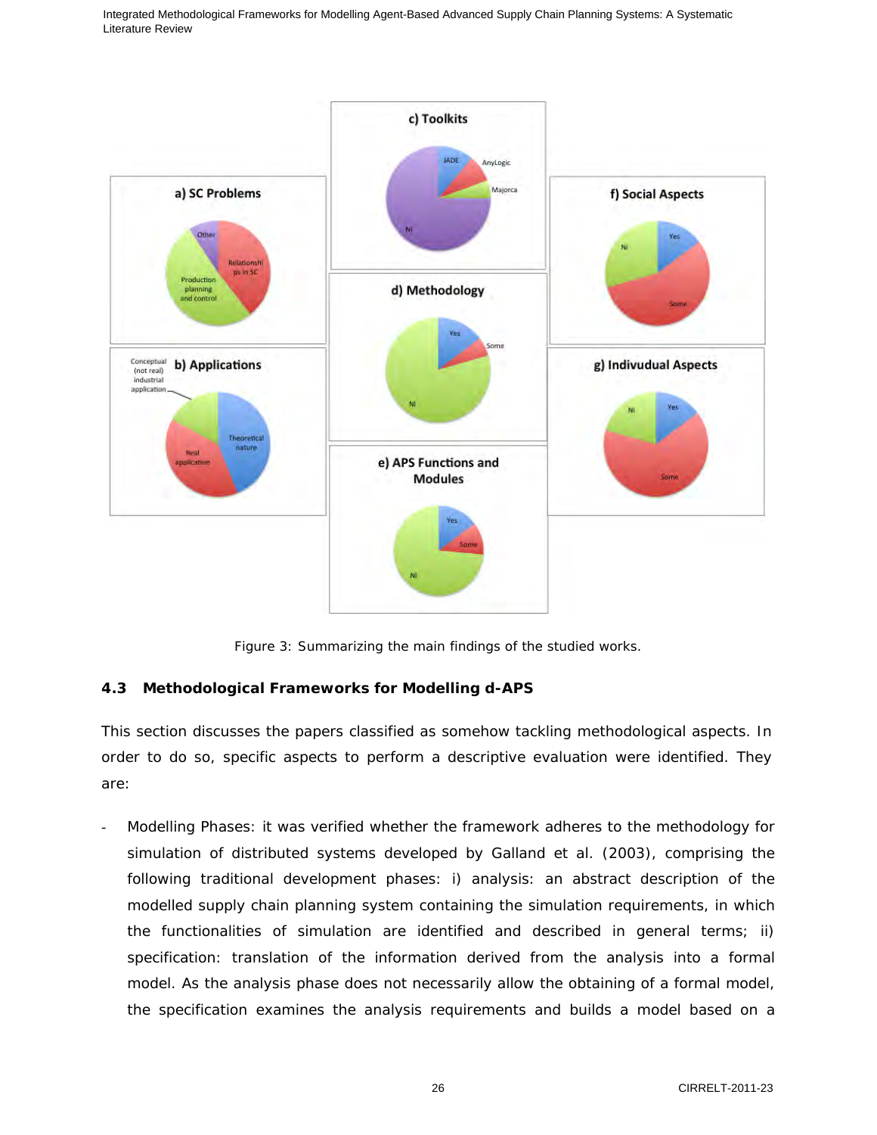

Figure 3: Summarizing the main findings of the studied works.

# **4.3 Methodological Frameworks for Modelling d-APS**

This section discusses the papers classified as somehow tackling methodological aspects. In order to do so, specific aspects to perform a descriptive evaluation were identified. They are:

- *Modelling Phases*: it was verified whether the framework adheres to the methodology for simulation of distributed systems developed by Galland et al. (2003), comprising the following traditional development phases: i) *analysis*: an abstract description of the modelled supply chain planning system containing the simulation requirements, in which the functionalities of simulation are identified and described in general terms; ii) *specification*: translation of the information derived from the analysis into a formal model. As the analysis phase does not necessarily allow the obtaining of a formal model, the specification examines the analysis requirements and builds a model based on a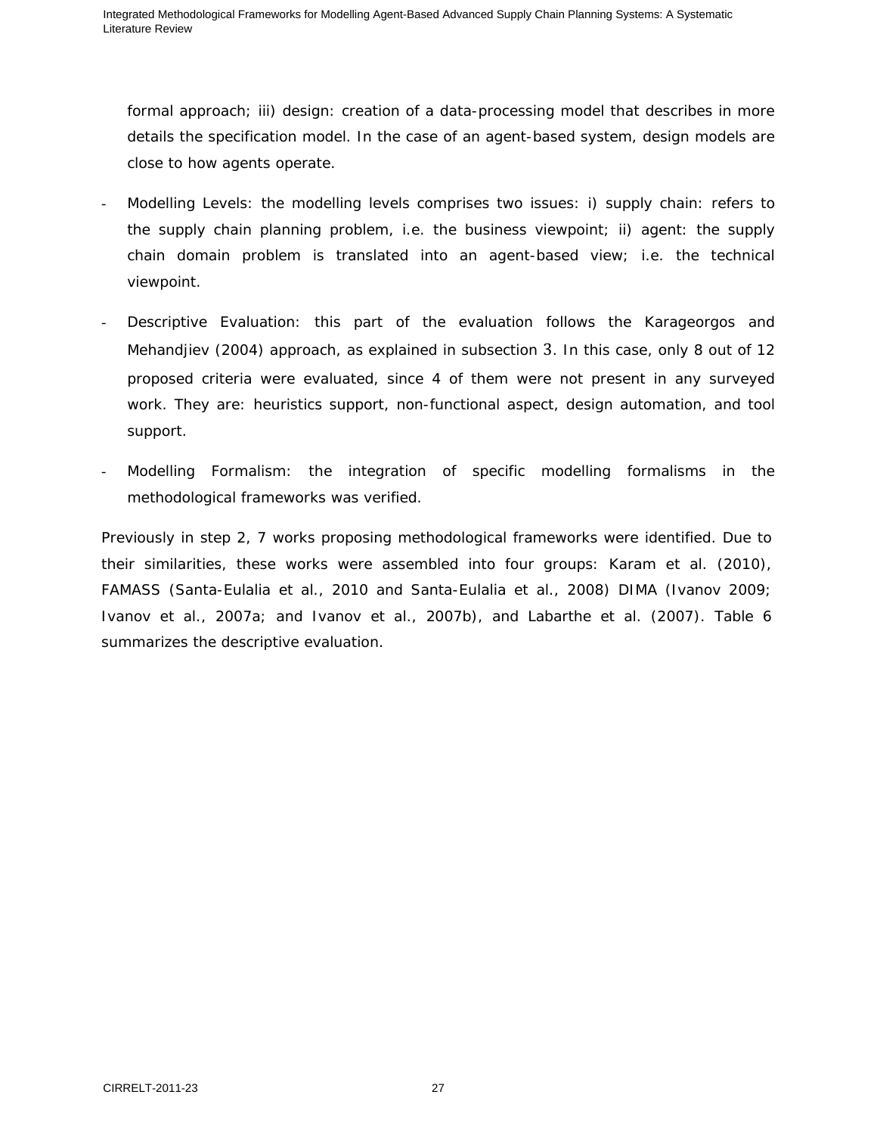formal approach; iii) *design*: creation of a data-processing model that describes in more details the specification model. In the case of an agent-based system, design models are close to how agents operate.

- *Modelling Levels*: the modelling levels comprises two issues: i) *supply chain*: refers to the supply chain planning problem, i.e. the business viewpoint; ii) *agent*: the supply chain domain problem is translated into an agent-based view; i.e. the technical viewpoint.
- *Descriptive Evaluation*: this part of the evaluation follows the Karageorgos and Mehandjiev (2004) approach, as explained in subsection 3. In this case, only 8 out of 12 proposed criteria were evaluated, since 4 of them were not present in any surveyed work. They are: heuristics support, non-functional aspect, design automation, and tool support.
- *Modelling Formalism*: the integration of specific modelling formalisms in the methodological frameworks was verified.

Previously in step 2, 7 works proposing methodological frameworks were identified. Due to their similarities, these works were assembled into four groups: Karam et al. (2010), FAMASS (Santa-Eulalia et al., 2010 and Santa-Eulalia et al., 2008) DIMA (Ivanov 2009; Ivanov et al., 2007a; and Ivanov et al., 2007b), and Labarthe et al. (2007). Table 6 summarizes the descriptive evaluation.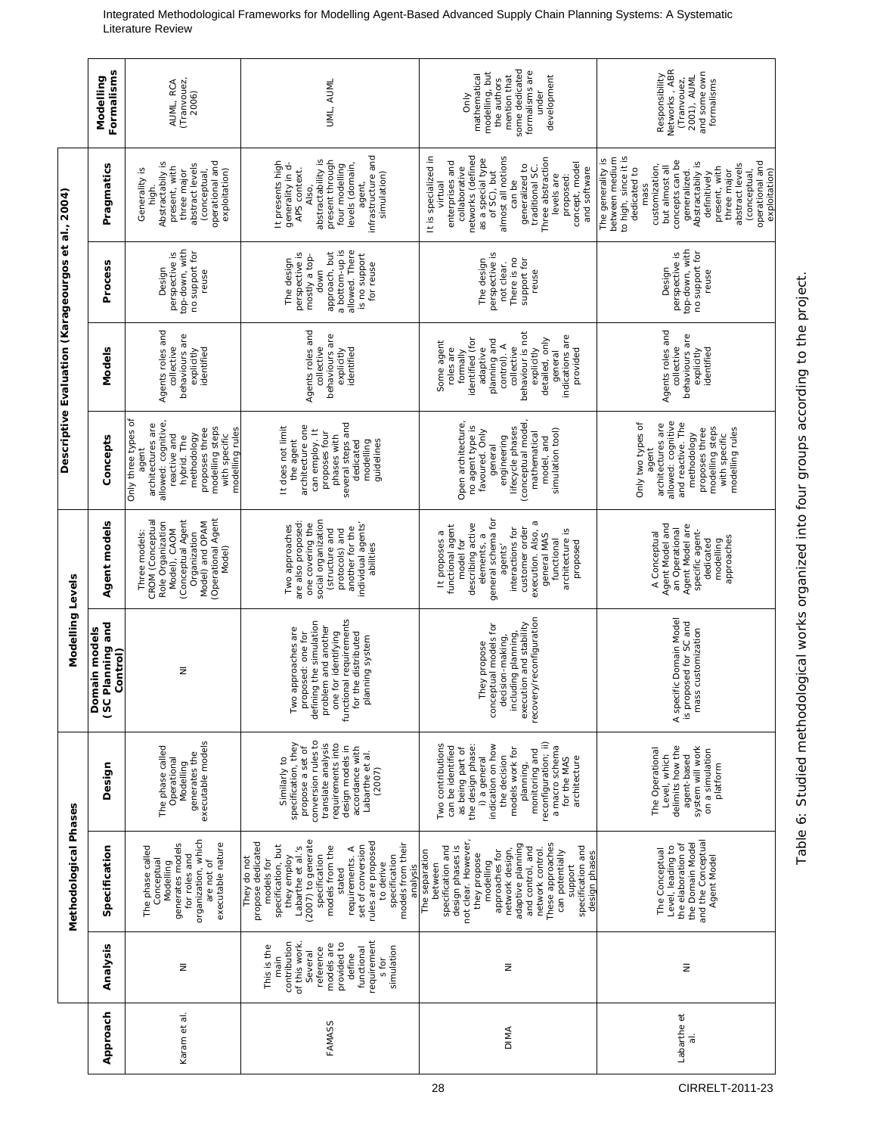|                                                                                                                                                                                                                                                                                                                                                                                                                                                                                      | Methodological Phases |                                                                                                                                                                                                                                                                | Modelling Levels                                                                                                                                                                      |                                                                                                                                                                                                                                             |                                                                                                                                                                                                 | Descriptive Evaluation (Karageourgos et al., 2004)                                                                                                                                                            |                                                                                                                                          |                                                                                                                                                                                                                                                                                                      |                                                                                                                                   |
|--------------------------------------------------------------------------------------------------------------------------------------------------------------------------------------------------------------------------------------------------------------------------------------------------------------------------------------------------------------------------------------------------------------------------------------------------------------------------------------|-----------------------|----------------------------------------------------------------------------------------------------------------------------------------------------------------------------------------------------------------------------------------------------------------|---------------------------------------------------------------------------------------------------------------------------------------------------------------------------------------|---------------------------------------------------------------------------------------------------------------------------------------------------------------------------------------------------------------------------------------------|-------------------------------------------------------------------------------------------------------------------------------------------------------------------------------------------------|---------------------------------------------------------------------------------------------------------------------------------------------------------------------------------------------------------------|------------------------------------------------------------------------------------------------------------------------------------------|------------------------------------------------------------------------------------------------------------------------------------------------------------------------------------------------------------------------------------------------------------------------------------------------------|-----------------------------------------------------------------------------------------------------------------------------------|
| Specification<br>Analysis                                                                                                                                                                                                                                                                                                                                                                                                                                                            |                       | Design                                                                                                                                                                                                                                                         | Planning and<br>main models<br>Control)<br>å<br>(SC                                                                                                                                   | Agent models                                                                                                                                                                                                                                | Concepts                                                                                                                                                                                        | Models                                                                                                                                                                                                        | Process                                                                                                                                  | Pragmatics                                                                                                                                                                                                                                                                                           | Formalisms<br>Modelling                                                                                                           |
| organization, which<br>executable nature<br>generates models<br>The phase called<br>for roles and<br>Conceptual<br>are not of<br>Modelling<br>Ξ                                                                                                                                                                                                                                                                                                                                      |                       | executable models<br>The phase called<br>generates the<br>Operational<br>Modelling                                                                                                                                                                             | $\bar{z}$                                                                                                                                                                             | (Conceptual Agent<br>Model) and OPAM<br>(Operational Agent<br>CROM (Conceptual<br>Role Organization<br>Model), CAOM<br>Three models:<br>Organization<br>Model)                                                                              | Only three types of<br>architectures are<br>allowed: cognitive,<br>modelling steps<br>proposes three<br>modelling rules<br>reactive and<br>methodology<br>with specific<br>hybrid. The<br>agent | Agents roles and<br>behaviours are<br>collective<br>identified<br>explicitly                                                                                                                                  | top-down, with<br>no support for<br>perspective is<br>Design<br>reuse                                                                    | Abstractabily is<br>operational and<br>exploitation)<br>abstract levels<br>present, with<br>Generality is<br>(conceptual,<br>three major<br>high.                                                                                                                                                    | (Tranvouez,<br>AUML, RCA<br>2006)                                                                                                 |
| (2007) to generate<br>propose dedicated<br>rules are proposed<br>models from their<br>specification, but<br>set of conversion<br>Labarthe et al.'s<br>models from the<br>requirements. A<br>specification<br>specification<br>they employ<br>They do not<br>models for<br>to derive<br>analysis<br>stated<br>requirement<br>contribution<br>of this work.<br>provided to<br>models are<br>This is the<br>simulation<br>functional<br>reference<br>Several<br>define<br>main<br>s for |                       | conversion rules to<br>specification, they<br>translate analysis<br>requirements into<br>design models in<br>propose a set of<br>accordance with<br>Labarthe et al.<br>Similarly to<br>(2007)                                                                  | functional requirements<br>defining the simulation<br>problem and another<br>Two approaches are<br>for the distributed<br>one for identifying<br>proposed: one for<br>planning system | social organization<br>are also proposed:<br>individual agents'<br>one covering the<br>Two approaches<br>another for the<br>protocols) and<br>(structure and<br>abilities                                                                   | several steps and<br>architecture one<br>It does not limit<br>can employ. It<br>proposes four<br>phases with<br>the agent<br>modelling<br>guidelines<br>dedicated                               | Agents roles and<br>behaviours are<br>collective<br>identified<br>explicitly                                                                                                                                  | a bottom-up is<br>allowed. There<br>perspective is<br>approach, but<br>is no support<br>mostly a top-<br>The design<br>for reuse<br>down | infrastructure and<br>abstractability is<br>present through<br>It presents high<br>generality in d-<br>four modelling<br>levels (domain,<br>APS context.<br>simulation)<br>agent,<br>Also,                                                                                                           | UML, AUML                                                                                                                         |
| not clear. However<br>These approaches<br>adaptive planning<br>specification and<br>design phases is<br>specification and<br>and control, and<br>network control.<br>The separation<br>network design,<br>approaches for<br>can potentially<br>design phases<br>they propose<br>modelling<br>between<br>support<br>Ξ                                                                                                                                                                 |                       | Two contributions<br>reconfiguration; ii)<br>i) a general<br>indication on how<br>can be identified<br>the design phase<br>a macro schema<br>models work for<br>as being part of<br>monitoring and<br>the decision<br>architecture<br>for the MAS<br>planning, | recovery/reconfiguration<br>including planning,<br>execution and stability<br>conceptual models for<br>decision-making,<br>They propose                                               | general schema for<br>execution. Also, a<br>describing active<br>functional agent<br>customer order<br>interactions for<br>architecture is<br>general MAS<br>It proposes a<br>elements, a<br>functional<br>proposed<br>model for<br>agents' | Open architecture<br>(conceptual model<br>no agent type is<br>lifecycle phases<br>simulation tool)<br>favoured. Only<br>mathematical<br>engineering<br>model, and<br>general                    | behaviour is not<br>indications are<br>detailed, only<br>identified (for<br>planning and<br>Some agent<br>control). A<br>collective<br>roles are<br>adaptive<br>explicitly<br>provided<br>formally<br>general | perspective is<br>There is no<br>The design<br>support for<br>not clear.<br>reuse                                                        | It is specialized in<br>networks (defined<br>as a special type<br>of SC), but<br>almost all notions<br>Three abstraction<br>enterprises and<br>concept, model<br>generalized to<br>collaborative<br>traditional SC<br>and software<br>levels are<br>proposed:<br>can be<br>virtual                   | some dedicated<br>formalisms are<br>modelling, but<br>mathematical<br>mention that<br>development<br>the authors<br>under<br>Only |
| and the Conceptual<br>the Domain Model<br>the elaboration of<br>Level, leading to<br>The Conceptual<br>Agent Model<br>Ξ                                                                                                                                                                                                                                                                                                                                                              |                       | Level, which<br>delimits how the<br>system will work<br>The Operational<br>on a simulation<br>agent-based<br>platform                                                                                                                                          | A specific Domain Model<br>is proposed for SC and<br>mass customization                                                                                                               | Agent Model and<br>Agent Model are<br>an Operational<br>specific agent-<br>A Conceptual<br>approaches<br>dedicated<br>modelling                                                                                                             | Only two types of<br>architectures are<br>allowed: cognitive<br>and reactive. The<br>modelling steps<br>proposes three<br>modelling rules<br>methodology<br>with specific<br>agent              | Agents roles and<br>behaviours are<br>collective<br>identified<br>explicitly                                                                                                                                  | top-down, with<br>no support for<br>perspective is<br>Design<br>reuse                                                                    | to high, since it is<br>between medium<br>The generality is<br>concepts can be<br>operational and<br>Abstractabily is<br>abstract levels<br>customization,<br>but almost all<br>present, with<br>dedicated to<br>exploitation)<br>generalized.<br>three major<br>(conceptual<br>definitively<br>mass | Responsibility<br>Networks, ABR<br>and some own<br>formalisms<br>2001), AUML<br>(Tranvouez,                                       |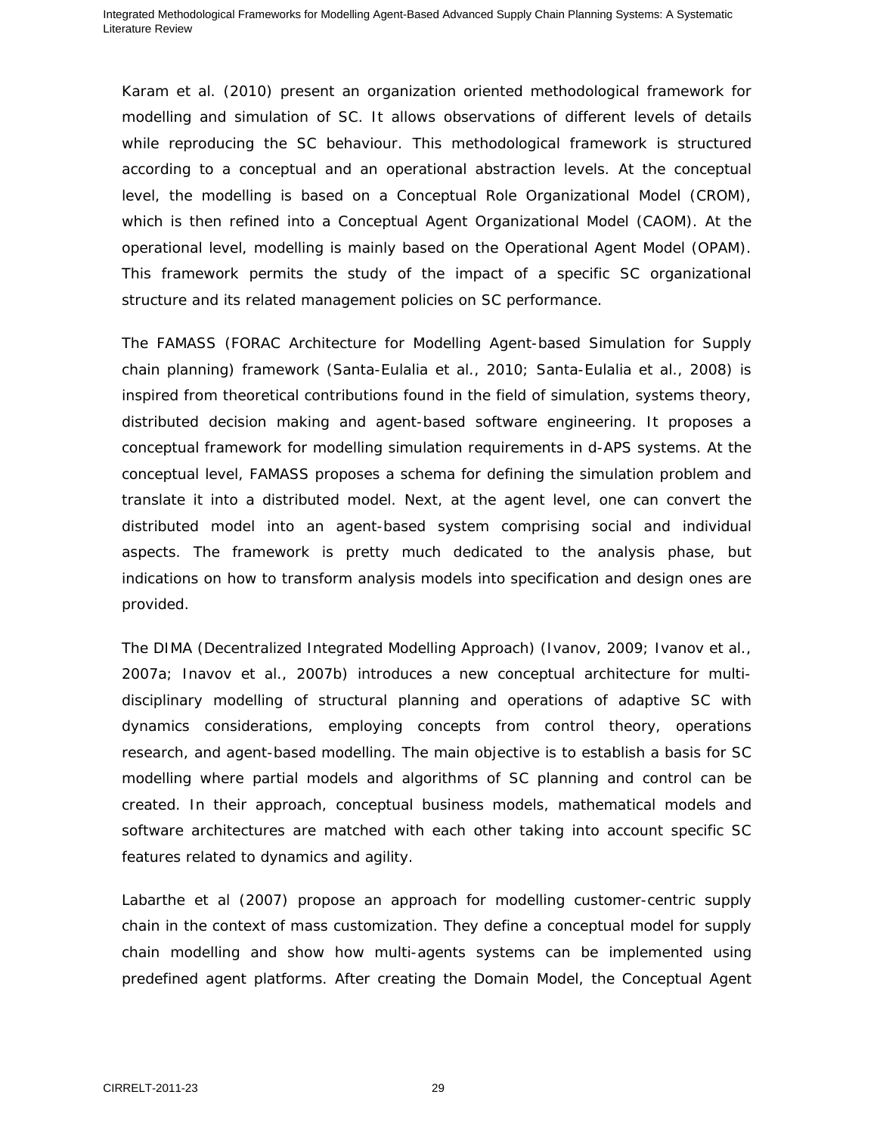Karam et al. (2010) present an organization oriented methodological framework for modelling and simulation of SC. It allows observations of different levels of details while reproducing the SC behaviour. This methodological framework is structured according to a conceptual and an operational abstraction levels. At the conceptual level, the modelling is based on a Conceptual Role Organizational Model (CROM), which is then refined into a Conceptual Agent Organizational Model (CAOM). At the operational level, modelling is mainly based on the Operational Agent Model (OPAM). This framework permits the study of the impact of a specific SC organizational structure and its related management policies on SC performance.

The FAMASS (*F*ORAC *A*rchitecture for *M*odelling *A*gent-based *S*imulation for *S*upply chain planning) framework (Santa-Eulalia et al., 2010; Santa-Eulalia et al., 2008) is inspired from theoretical contributions found in the field of simulation, systems theory, distributed decision making and agent-based software engineering. It proposes a conceptual framework for modelling simulation requirements in d-APS systems. At the conceptual level, FAMASS proposes a schema for defining the simulation problem and translate it into a distributed model. Next, at the agent level, one can convert the distributed model into an agent-based system comprising social and individual aspects. The framework is pretty much dedicated to the analysis phase, but indications on how to transform analysis models into specification and design ones are provided.

The DIMA (Decentralized Integrated Modelling Approach) (Ivanov, 2009; Ivanov et al., 2007a; Inavov et al., 2007b) introduces a new conceptual architecture for multidisciplinary modelling of structural planning and operations of adaptive SC with dynamics considerations, employing concepts from control theory, operations research, and agent-based modelling. The main objective is to establish a basis for SC modelling where partial models and algorithms of SC planning and control can be created. In their approach, conceptual business models, mathematical models and software architectures are matched with each other taking into account specific SC features related to dynamics and agility.

Labarthe et al (2007) propose an approach for modelling customer-centric supply chain in the context of mass customization. They define a conceptual model for supply chain modelling and show how multi-agents systems can be implemented using predefined agent platforms. After creating the Domain Model, the Conceptual Agent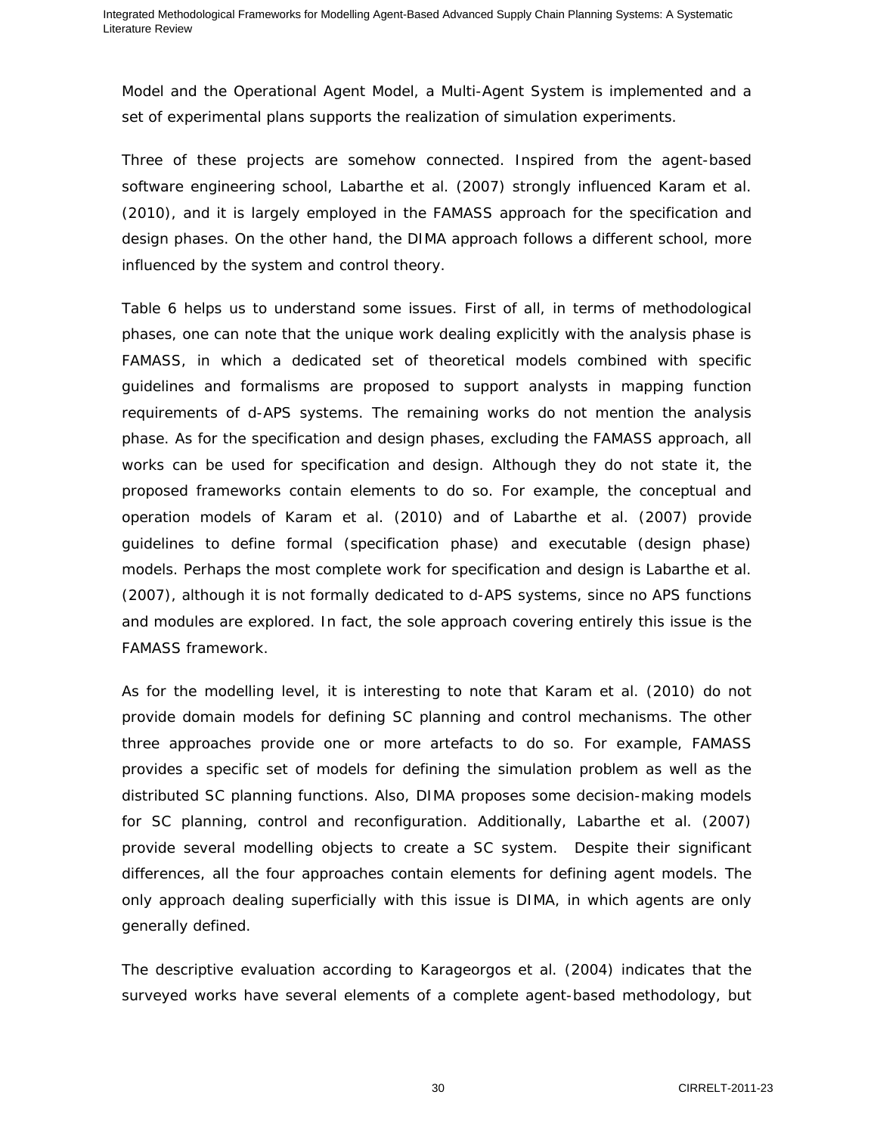Model and the Operational Agent Model, a Multi-Agent System is implemented and a set of experimental plans supports the realization of simulation experiments.

Three of these projects are somehow connected. Inspired from the agent-based software engineering school, Labarthe et al. (2007) strongly influenced Karam et al. (2010), and it is largely employed in the FAMASS approach for the specification and design phases. On the other hand, the DIMA approach follows a different school, more influenced by the system and control theory.

Table 6 helps us to understand some issues. First of all, in terms of methodological phases, one can note that the unique work dealing explicitly with the analysis phase is FAMASS, in which a dedicated set of theoretical models combined with specific guidelines and formalisms are proposed to support analysts in mapping function requirements of d-APS systems. The remaining works do not mention the analysis phase. As for the specification and design phases, excluding the FAMASS approach, all works can be used for specification and design. Although they do not state it, the proposed frameworks contain elements to do so. For example, the conceptual and operation models of Karam et al. (2010) and of Labarthe et al. (2007) provide guidelines to define formal (specification phase) and executable (design phase) models. Perhaps the most complete work for specification and design is Labarthe et al. (2007), although it is not formally dedicated to d-APS systems, since no APS functions and modules are explored. In fact, the sole approach covering entirely this issue is the FAMASS framework.

As for the modelling level, it is interesting to note that Karam et al. (2010) do not provide domain models for defining SC planning and control mechanisms. The other three approaches provide one or more artefacts to do so. For example, FAMASS provides a specific set of models for defining the simulation problem as well as the distributed SC planning functions. Also, DIMA proposes some decision-making models for SC planning, control and reconfiguration. Additionally, Labarthe et al. (2007) provide several modelling objects to create a SC system. Despite their significant differences, all the four approaches contain elements for defining agent models. The only approach dealing superficially with this issue is DIMA, in which agents are only generally defined.

The descriptive evaluation according to Karageorgos et al. (2004) indicates that the surveyed works have several elements of a complete agent-based methodology, but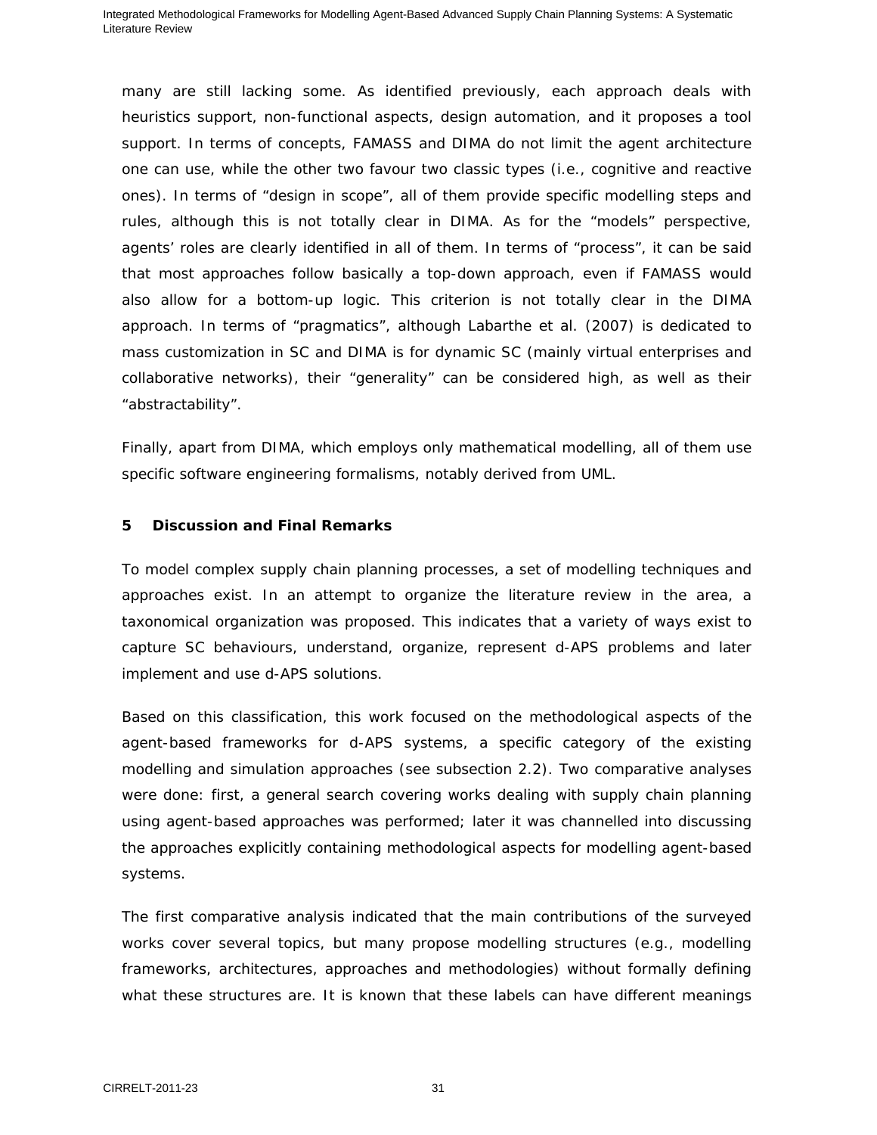many are still lacking some. As identified previously, each approach deals with heuristics support, non-functional aspects, design automation, and it proposes a tool support. In terms of concepts, FAMASS and DIMA do not limit the agent architecture one can use, while the other two favour two classic types (i.e., cognitive and reactive ones). In terms of "design in scope", all of them provide specific modelling steps and rules, although this is not totally clear in DIMA. As for the "models" perspective, agents' roles are clearly identified in all of them. In terms of "process", it can be said that most approaches follow basically a top-down approach, even if FAMASS would also allow for a bottom-up logic. This criterion is not totally clear in the DIMA approach. In terms of "pragmatics", although Labarthe et al. (2007) is dedicated to mass customization in SC and DIMA is for dynamic SC (mainly virtual enterprises and collaborative networks), their "generality" can be considered high, as well as their "abstractability".

Finally, apart from DIMA, which employs only mathematical modelling, all of them use specific software engineering formalisms, notably derived from UML.

#### **5 Discussion and Final Remarks**

To model complex supply chain planning processes, a set of modelling techniques and approaches exist. In an attempt to organize the literature review in the area, a taxonomical organization was proposed. This indicates that a variety of ways exist to capture SC behaviours, understand, organize, represent d-APS problems and later implement and use d-APS solutions.

Based on this classification, this work focused on the methodological aspects of the agent-based frameworks for d-APS systems, a specific category of the existing modelling and simulation approaches (see subsection 2.2). Two comparative analyses were done: first, a general search covering works dealing with supply chain planning using agent-based approaches was performed; later it was channelled into discussing the approaches explicitly containing methodological aspects for modelling agent-based systems.

The first comparative analysis indicated that the main contributions of the surveyed works cover several topics, but many propose modelling structures (e.g., modelling frameworks, architectures, approaches and methodologies) without formally defining what these structures are. It is known that these labels can have different meanings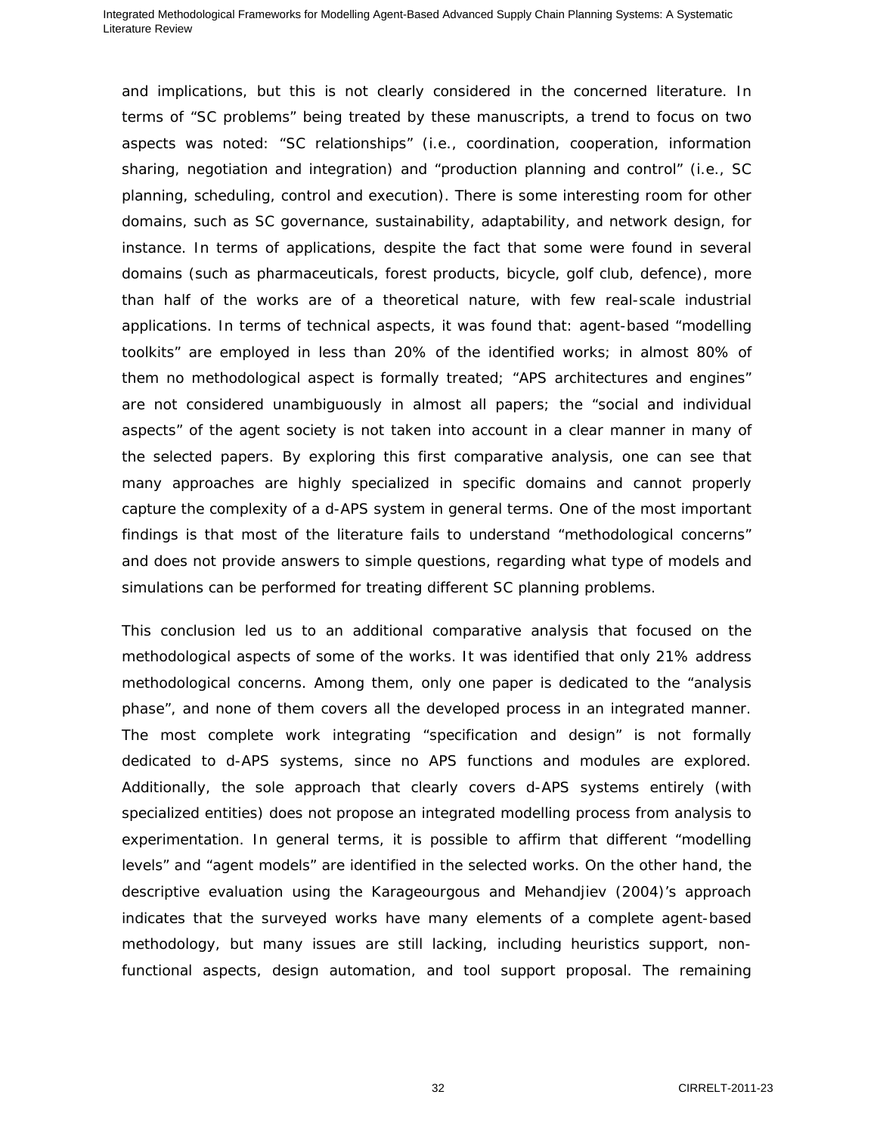and implications, but this is not clearly considered in the concerned literature. In terms of "SC problems" being treated by these manuscripts, a trend to focus on two aspects was noted: "SC relationships" (i.e., coordination, cooperation, information sharing, negotiation and integration) and "production planning and control" (i.e., SC planning, scheduling, control and execution). There is some interesting room for other domains, such as SC governance, sustainability, adaptability, and network design, for instance. In terms of applications, despite the fact that some were found in several domains (such as pharmaceuticals, forest products, bicycle, golf club, defence), more than half of the works are of a theoretical nature, with few real-scale industrial applications. In terms of technical aspects, it was found that: agent-based "modelling toolkits" are employed in less than 20% of the identified works; in almost 80% of them no methodological aspect is formally treated; "APS architectures and engines" are not considered unambiguously in almost all papers; the "social and individual aspects" of the agent society is not taken into account in a clear manner in many of the selected papers. By exploring this first comparative analysis, one can see that many approaches are highly specialized in specific domains and cannot properly capture the complexity of a d-APS system in general terms. One of the most important findings is that most of the literature fails to understand "methodological concerns" and does not provide answers to simple questions, regarding what type of models and simulations can be performed for treating different SC planning problems.

This conclusion led us to an additional comparative analysis that focused on the methodological aspects of some of the works. It was identified that only 21% address methodological concerns. Among them, only one paper is dedicated to the "analysis phase", and none of them covers all the developed process in an integrated manner. The most complete work integrating "specification and design" is not formally dedicated to d-APS systems, since no APS functions and modules are explored. Additionally, the sole approach that clearly covers d-APS systems entirely (with specialized entities) does not propose an integrated modelling process from analysis to experimentation. In general terms, it is possible to affirm that different "modelling levels" and "agent models" are identified in the selected works. On the other hand, the descriptive evaluation using the Karageourgous and Mehandjiev (2004)'s approach indicates that the surveyed works have many elements of a complete agent-based methodology, but many issues are still lacking, including heuristics support, nonfunctional aspects, design automation, and tool support proposal. The remaining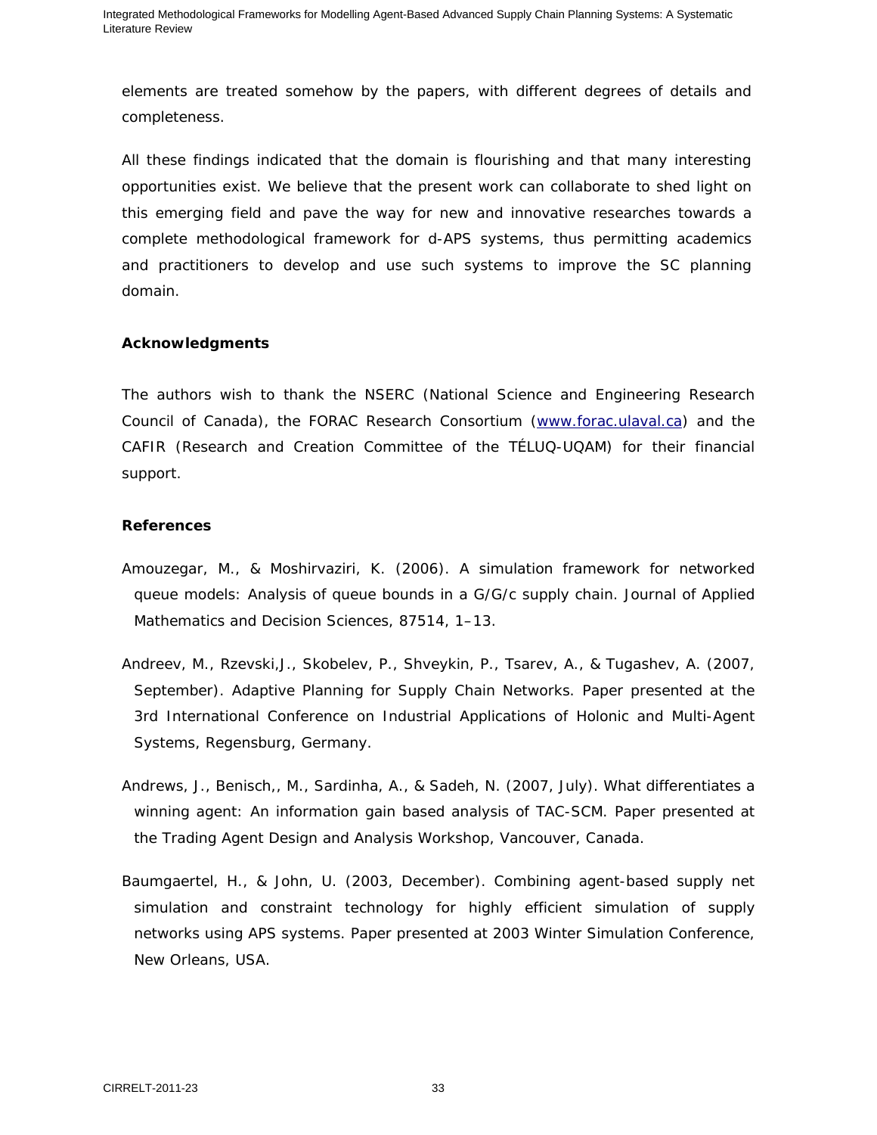elements are treated somehow by the papers, with different degrees of details and completeness.

All these findings indicated that the domain is flourishing and that many interesting opportunities exist. We believe that the present work can collaborate to shed light on this emerging field and pave the way for new and innovative researches towards a complete methodological framework for d-APS systems, thus permitting academics and practitioners to develop and use such systems to improve the SC planning domain.

#### **Acknowledgments**

The authors wish to thank the NSERC (National Science and Engineering Research Council of Canada), the FORAC Research Consortium (www.forac.ulaval.ca) and the CAFIR (Research and Creation Committee of the TÉLUQ-UQAM) for their financial support.

#### **References**

- Amouzegar, M., & Moshirvaziri, K. (2006). A simulation framework for networked queue models: Analysis of queue bounds in a G/G/c supply chain. *Journal of Applied Mathematics and Decision Sciences*, 87514, 1–13.
- Andreev, M., Rzevski,J., Skobelev, P., Shveykin, P., Tsarev, A., & Tugashev, A. (2007, September). *Adaptive Planning for Supply Chain Networks*. Paper presented at the 3rd International Conference on Industrial Applications of Holonic and Multi-Agent Systems, Regensburg, Germany.
- Andrews, J., Benisch,, M., Sardinha, A., & Sadeh, N. (2007, July). *What differentiates a winning agent: An information gain based analysis of TAC-SCM*. Paper presented at the Trading Agent Design and Analysis Workshop, Vancouver, Canada.
- Baumgaertel, H., & John, U. (2003, December). *Combining agent-based supply net simulation and constraint technology for highly efficient simulation of supply networks using APS systems*. Paper presented at 2003 Winter Simulation Conference, New Orleans, USA.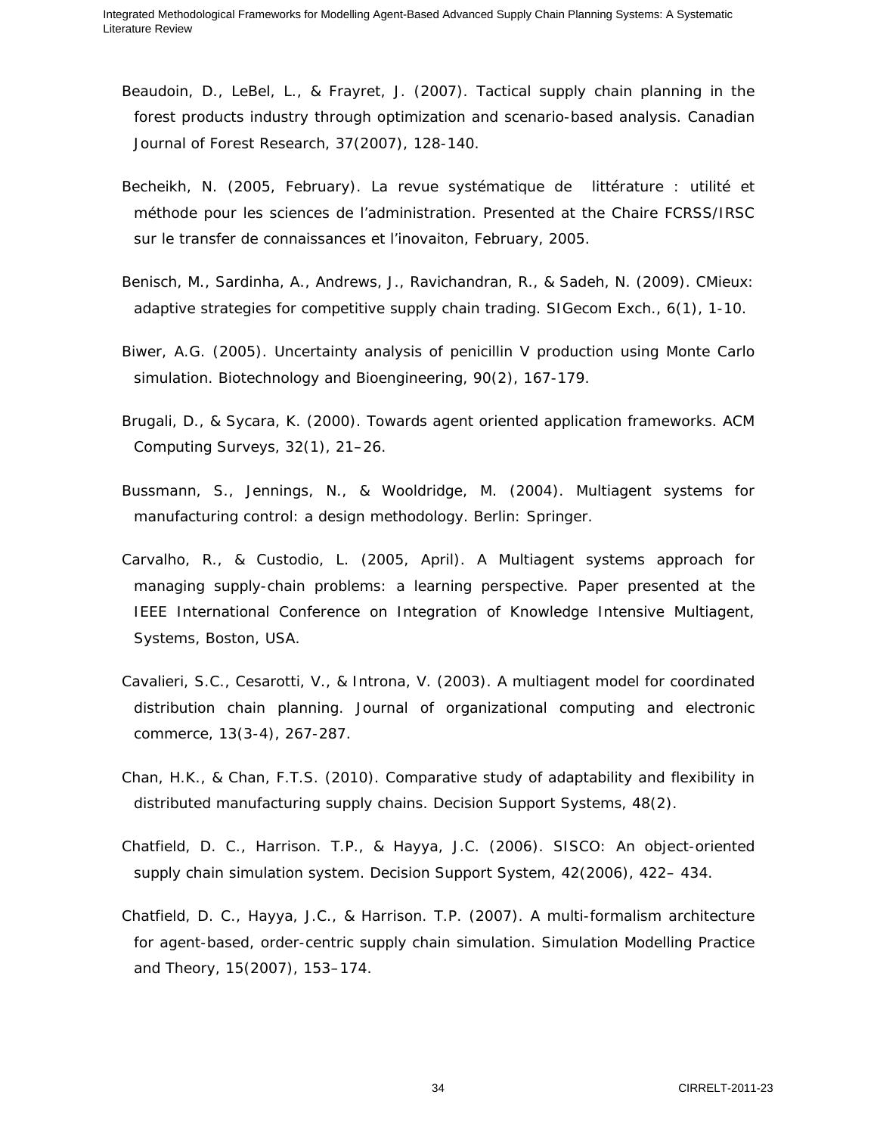- Beaudoin, D., LeBel, L., & Frayret, J. (2007). Tactical supply chain planning in the forest products industry through optimization and scenario-based analysis. *Canadian Journal of Forest Research*, 37(2007), 128-140.
- Becheikh, N. (2005, February). *La revue systématique de littérature : utilité et méthode pour les sciences de l'administration*. Presented at the Chaire FCRSS/IRSC sur le transfer de connaissances et l'inovaiton, February, 2005.
- Benisch, M., Sardinha, A., Andrews, J., Ravichandran, R., & Sadeh, N. (2009). CMieux: adaptive strategies for competitive supply chain trading. *SIGecom Exch.*, 6(1), 1-10.
- Biwer, A.G. (2005). Uncertainty analysis of penicillin V production using Monte Carlo simulation. *Biotechnology and Bioengineering*, 90(2), 167-179.
- Brugali, D., & Sycara, K. (2000). Towards agent oriented application frameworks. *ACM Computing Surveys,* 32(1), 21–26.
- Bussmann, S., Jennings, N., & Wooldridge, M. (2004). *Multiagent systems for manufacturing control: a design methodology*. Berlin: Springer.
- Carvalho, R., & Custodio, L. (2005, April). *A Multiagent systems approach for managing supply-chain problems: a learning perspective*. Paper presented at the IEEE International Conference on Integration of Knowledge Intensive Multiagent, Systems, Boston, USA.
- Cavalieri, S.C., Cesarotti, V., & Introna, V. (2003). A multiagent model for coordinated distribution chain planning. *Journal of organizational computing and electronic commerce*, 13(3-4), 267-287.
- Chan, H.K., & Chan, F.T.S. (2010). Comparative study of adaptability and flexibility in distributed manufacturing supply chains. *Decision Support Systems*, 48(2).
- Chatfield, D. C., Harrison. T.P., & Hayya, J.C. (2006). SISCO: An object-oriented supply chain simulation system. *Decision Support System*, 42(2006), 422– 434.
- Chatfield, D. C., Hayya, J.C., & Harrison. T.P. (2007). A multi-formalism architecture for agent-based, order-centric supply chain simulation. *Simulation Modelling Practice and Theory*, 15(2007), 153–174.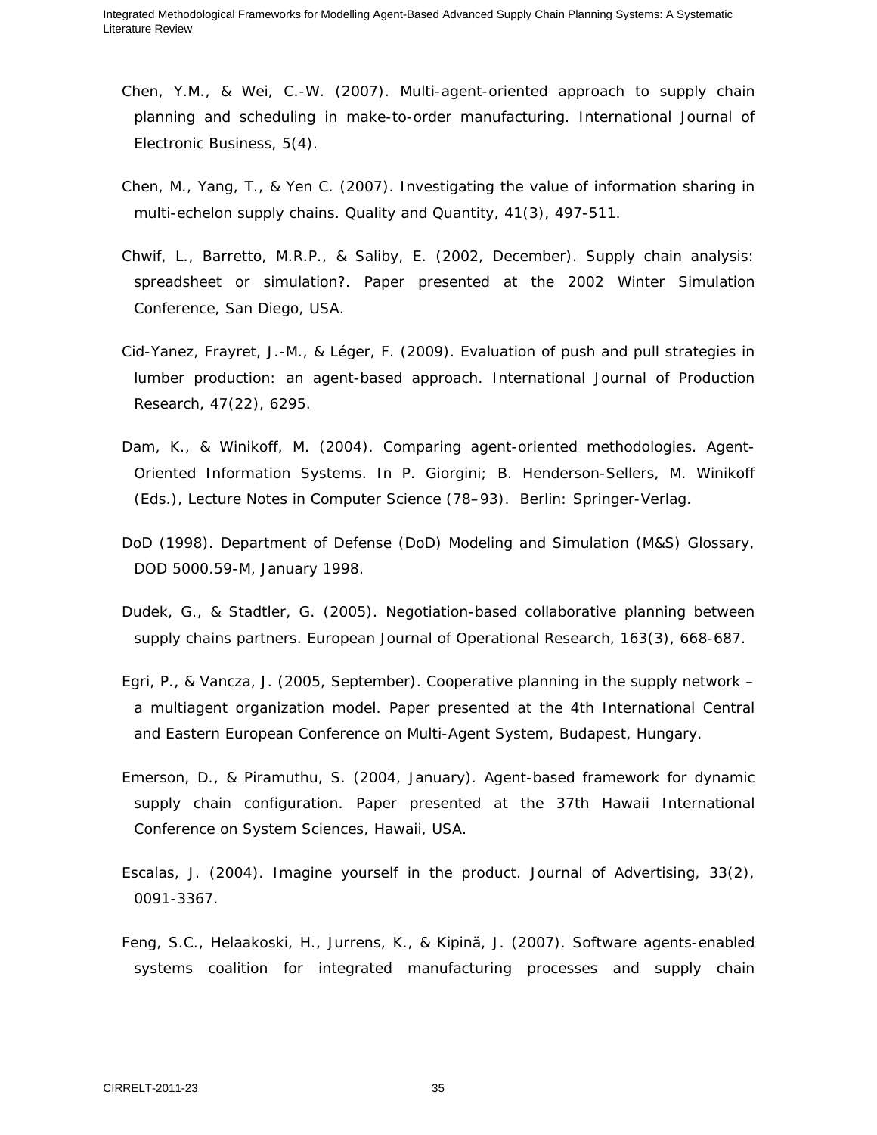- Chen, Y.M., & Wei, C.-W. (2007). Multi-agent-oriented approach to supply chain planning and scheduling in make-to-order manufacturing. *International Journal of Electronic Business*, 5(4).
- Chen, M., Yang, T., & Yen C. (2007). Investigating the value of information sharing in multi-echelon supply chains. *Quality and Quantity*, 41(3), 497-511.
- Chwif, L., Barretto, M.R.P., & Saliby, E. (2002, December). *Supply chain analysis: spreadsheet or simulation?*. Paper presented at the 2002 Winter Simulation Conference, San Diego, USA.
- Cid-Yanez, Frayret, J.-M., & Léger, F. (2009). Evaluation of push and pull strategies in lumber production: an agent-based approach. *International Journal of Production Research*, 47(22), 6295.
- Dam, K., & Winikoff, M. (2004). Comparing agent-oriented methodologies. Agent-Oriented Information Systems. In P. Giorgini; B. Henderson-Sellers, M. Winikoff (Eds.), *Lecture Notes in Computer Science* (78–93). Berlin: Springer-Verlag.
- DoD (1998). *Department of Defense (DoD) Modeling and Simulation (M&S) Glossary*, DOD 5000.59-M, January 1998.
- Dudek, G., & Stadtler, G. (2005). Negotiation-based collaborative planning between supply chains partners. *European Journal of Operational Research*, 163(3), 668-687.
- Egri, P., & Vancza, J. (2005, September). *Cooperative planning in the supply network a multiagent organization model*. Paper presented at the 4th International Central and Eastern European Conference on Multi-Agent System, Budapest, Hungary.
- Emerson, D., & Piramuthu, S. (2004, January). *Agent-based framework for dynamic supply chain configuration*. Paper presented at the 37th Hawaii International Conference on System Sciences, Hawaii, USA.
- Escalas, J. (2004). Imagine yourself in the product. *Journal of Advertising*, 33(2), 0091-3367.
- Feng, S.C., Helaakoski, H., Jurrens, K., & Kipinä, J. (2007). Software agents-enabled systems coalition for integrated manufacturing processes and supply chain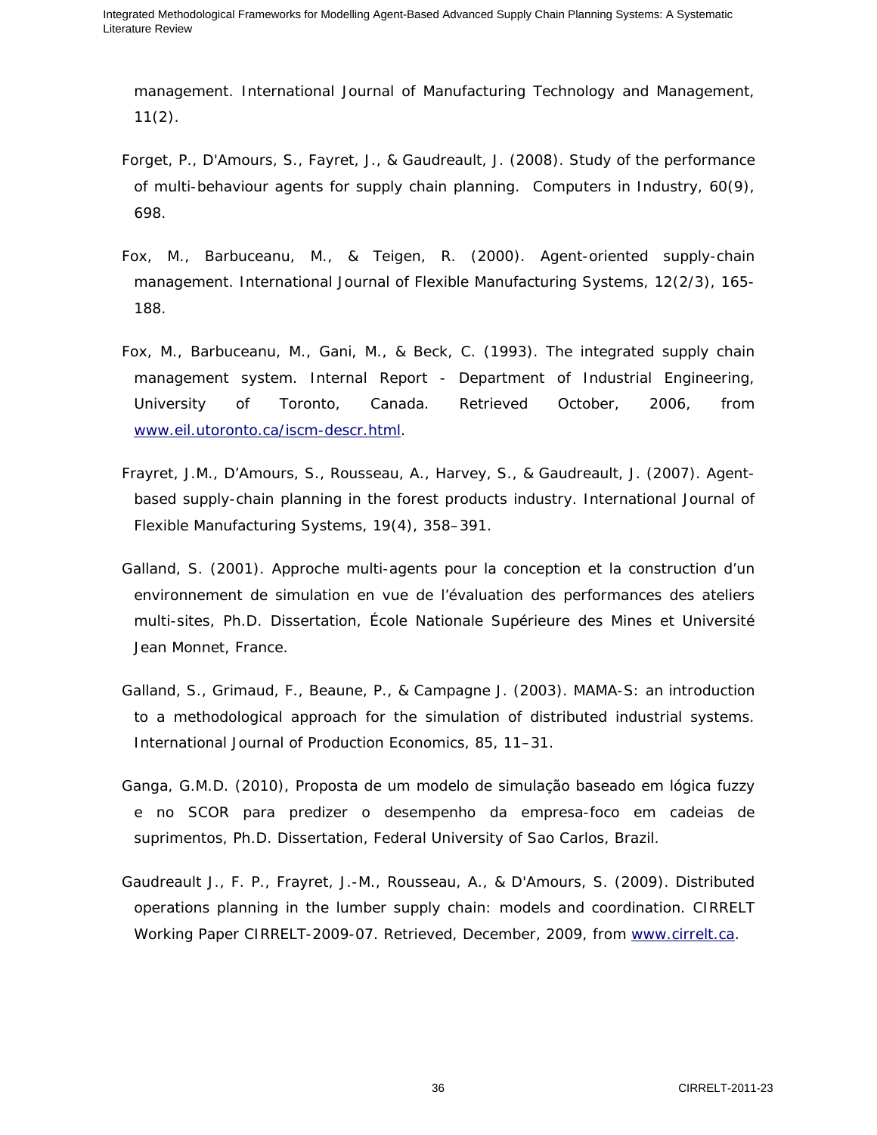management. *International Journal of Manufacturing Technology and Management*,  $11(2)$ .

- Forget, P., D'Amours, S., Fayret, J., & Gaudreault, J. (2008). Study of the performance of multi-behaviour agents for supply chain planning. *Computers in Industry*, 60(9), 698.
- Fox, M., Barbuceanu, M., & Teigen, R. (2000). Agent-oriented supply-chain management. *International Journal of Flexible Manufacturing Systems*, 12(2/3), 165- 188.
- Fox, M., Barbuceanu, M., Gani, M., & Beck, C. (1993). *The integrated supply chain management system*. Internal Report - Department of Industrial Engineering, University of Toronto, Canada. Retrieved October, 2006, from www.eil.utoronto.ca/iscm-descr.html.
- Frayret, J.M., D'Amours, S., Rousseau, A., Harvey, S., & Gaudreault, J. (2007). Agentbased supply-chain planning in the forest products industry. *International Journal of Flexible Manufacturing Systems*, 19(4), 358–391.
- Galland, S. (2001). Approche multi-agents pour la conception et la construction d'un environnement de simulation en vue de l'évaluation des performances des ateliers multi-sites, Ph.D. Dissertation, École Nationale Supérieure des Mines et Université Jean Monnet, France.
- Galland, S., Grimaud, F., Beaune, P., & Campagne J. (2003). MAMA-S: an introduction to a methodological approach for the simulation of distributed industrial systems. *International Journal of Production Economics*, 85, 11–31.
- Ganga, G.M.D. (2010), Proposta de um modelo de simulação baseado em lógica fuzzy e no SCOR para predizer o desempenho da empresa-foco em cadeias de suprimentos, Ph.D. Dissertation, Federal University of Sao Carlos, Brazil.
- Gaudreault J., F. P., Frayret, J.-M., Rousseau, A., & D'Amours, S. (2009). *Distributed operations planning in the lumber supply chain: models and coordination*. *CIRRELT Working Paper CIRRELT-2009-07*. Retrieved, December, 2009, from www.cirrelt.ca.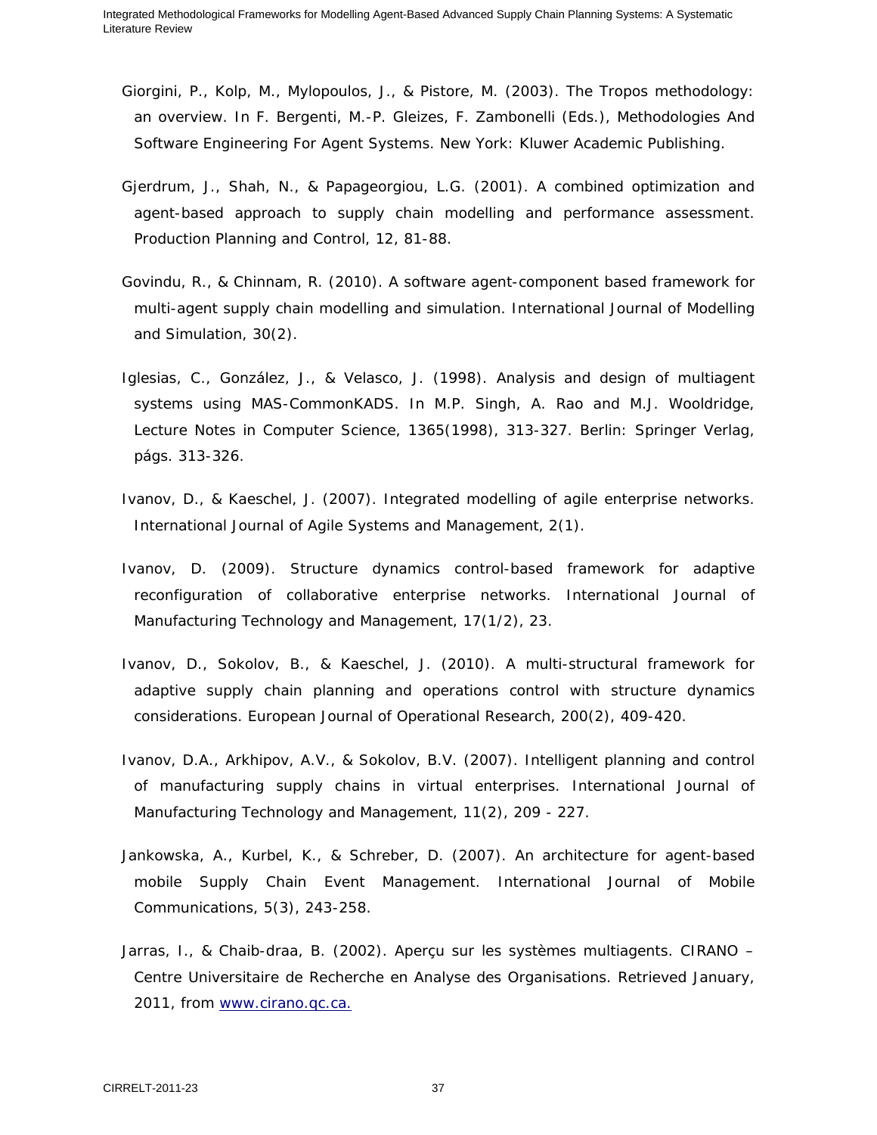- Giorgini, P., Kolp, M., Mylopoulos, J., & Pistore, M. (2003). The Tropos methodology: an overview. In F. Bergenti, M.-P. Gleizes, F. Zambonelli (Eds.), *Methodologies And Software Engineering For Agent Systems*. New York: Kluwer Academic Publishing.
- Gjerdrum, J., Shah, N., & Papageorgiou, L.G. (2001). A combined optimization and agent-based approach to supply chain modelling and performance assessment. *Production Planning and Control*, 12, 81-88.
- Govindu, R., & Chinnam, R. (2010). A software agent-component based framework for multi-agent supply chain modelling and simulation. *International Journal of Modelling and Simulation*, 30(2).
- Iglesias, C., González, J., & Velasco, J. (1998). Analysis and design of multiagent systems using MAS-CommonKADS. In M.P. Singh, A. Rao and M.J. Wooldridge, *Lecture Notes in Computer Science*, 1365(1998), 313-327. Berlin: Springer Verlag, págs. 313-326.
- Ivanov, D., & Kaeschel, J. (2007). Integrated modelling of agile enterprise networks. *International Journal of Agile Systems and Management*, 2(1).
- Ivanov, D. (2009). Structure dynamics control-based framework for adaptive reconfiguration of collaborative enterprise networks. *International Journal of Manufacturing Technology and Management*, 17(1/2), 23.
- Ivanov, D., Sokolov, B., & Kaeschel, J. (2010). A multi-structural framework for adaptive supply chain planning and operations control with structure dynamics considerations. *European Journal of Operational Research*, 200(2), 409-420.
- Ivanov, D.A., Arkhipov, A.V., & Sokolov, B.V. (2007). Intelligent planning and control of manufacturing supply chains in virtual enterprises. *International Journal of Manufacturing Technology and Management*, 11(2), 209 - 227.
- Jankowska, A., Kurbel, K., & Schreber, D. (2007). An architecture for agent-based mobile Supply Chain Event Management. *International Journal of Mobile Communications*, 5(3), 243-258.
- Jarras, I., & Chaib-draa, B. (2002). *Aperçu sur les systèmes multiagents*. CIRANO Centre Universitaire de Recherche en Analyse des Organisations. Retrieved January, 2011, from www.cirano.qc.ca.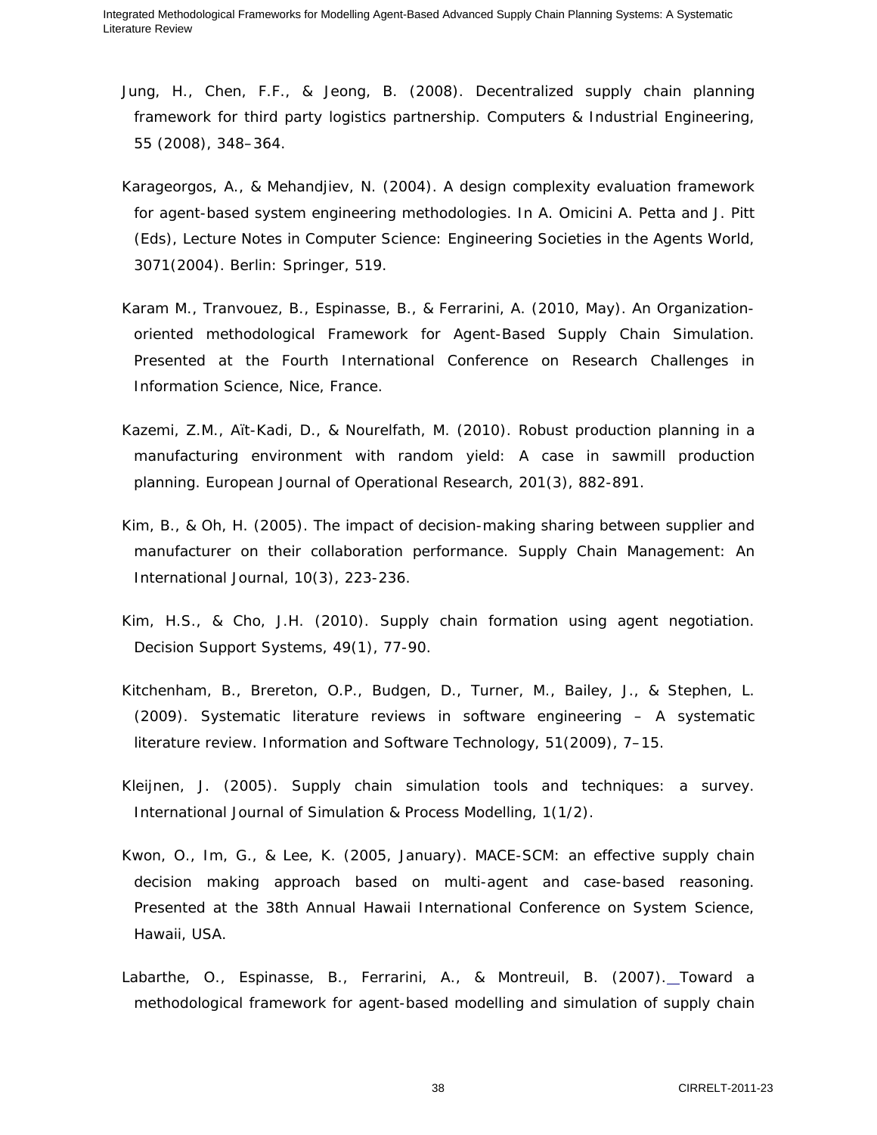- Jung, H., Chen, F.F., & Jeong, B. (2008). Decentralized supply chain planning framework for third party logistics partnership. *Computers & Industrial Engineering*, 55 (2008), 348–364.
- Karageorgos, A., & Mehandjiev, N. (2004). A design complexity evaluation framework for agent-based system engineering methodologies. In A. Omicini A. Petta and J. Pitt (Eds), *Lecture Notes in Computer Science: Engineering Societies in the Agents World*, 3071(2004). Berlin: Springer, 519.
- Karam M., Tranvouez, B., Espinasse, B., & Ferrarini, A. (2010, May). *An Organizationoriented methodological Framework for Agent-Based Supply Chain Simulation*. Presented at the Fourth International Conference on Research Challenges in Information Science, Nice, France.
- Kazemi, Z.M., Aït-Kadi, D., & Nourelfath, M. (2010). Robust production planning in a manufacturing environment with random yield: A case in sawmill production planning. *European Journal of Operational Research*, 201(3), 882-891.
- Kim, B., & Oh, H. (2005). The impact of decision-making sharing between supplier and manufacturer on their collaboration performance. *Supply Chain Management: An International Journal*, 10(3), 223-236.
- Kim, H.S., & Cho, J.H. (2010). Supply chain formation using agent negotiation. *Decision Support Systems*, 49(1), 77-90.
- Kitchenham, B., Brereton, O.P., Budgen, D., Turner, M., Bailey, J., & Stephen, L. (2009). Systematic literature reviews in software engineering – A systematic literature review. *Information and Software Technology*, 51(2009), 7–15.
- Kleijnen, J. (2005). Supply chain simulation tools and techniques: a survey. *International Journal of Simulation & Process Modelling*, 1(1/2).
- Kwon, O., Im, G., & Lee, K. (2005, January). *MACE-SCM: an effective supply chain decision making approach based on multi-agent and case-based reasoning*. Presented at the 38th Annual Hawaii International Conference on System Science, Hawaii, USA.
- Labarthe, O., Espinasse, B., Ferrarini, A., & Montreuil, B. (2007). Toward a methodological framework for agent-based modelling and simulation of supply chain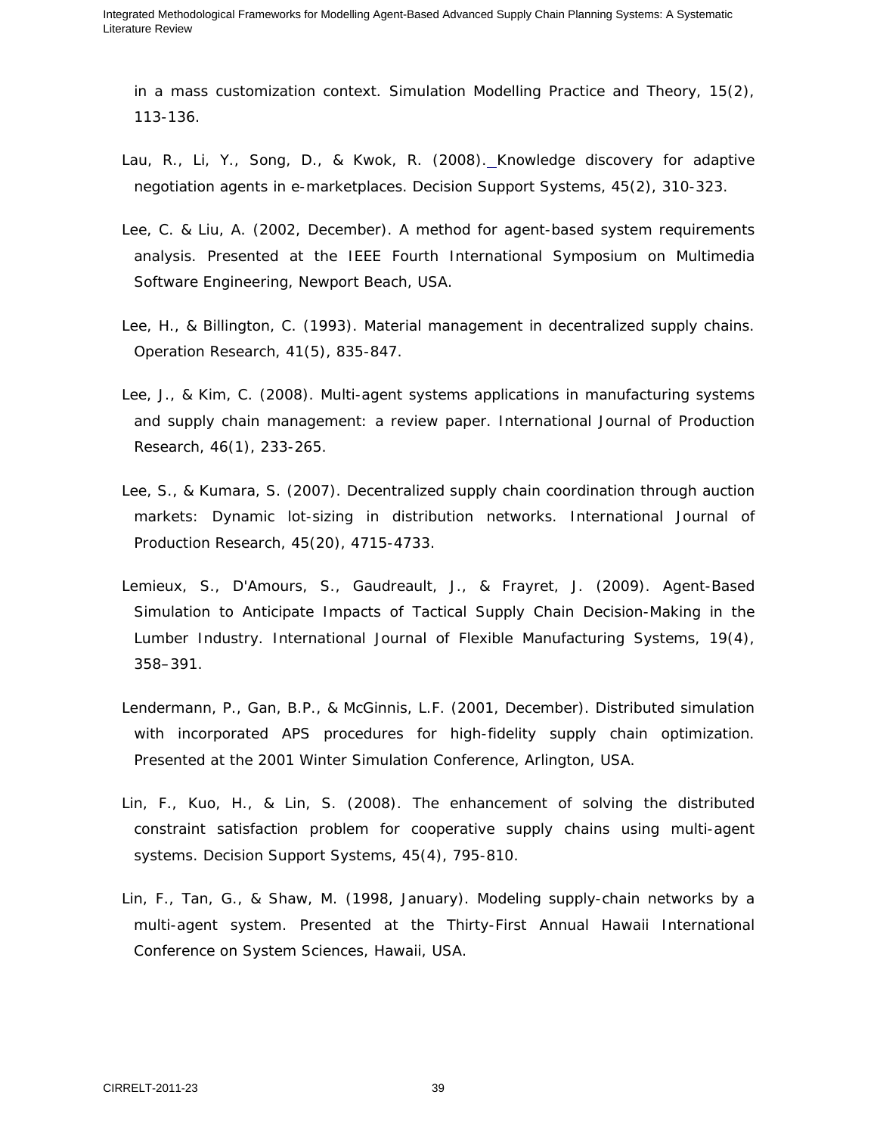in a mass customization context. *Simulation Modelling Practice and Theory*, 15(2), 113-136.

- Lau, R., Li, Y., Song, D., & Kwok, R. (2008). Knowledge discovery for adaptive negotiation agents in e-marketplaces. *Decision Support Systems*, 45(2), 310-323.
- Lee, C. & Liu, A. (2002, December). *A method for agent-based system requirements analysis*. Presented at the IEEE Fourth International Symposium on Multimedia Software Engineering, Newport Beach, USA.
- Lee, H., & Billington, C. (1993). Material management in decentralized supply chains. *Operation Research*, 41(5), 835-847.
- Lee, J., & Kim, C. (2008). Multi-agent systems applications in manufacturing systems and supply chain management: a review paper. *International Journal of Production Research*, 46(1), 233-265.
- Lee, S., & Kumara, S. (2007). Decentralized supply chain coordination through auction markets: Dynamic lot-sizing in distribution networks. *International Journal of Production Research*, 45(20), 4715-4733.
- Lemieux, S., D'Amours, S., Gaudreault, J., & Frayret, J. (2009). Agent-Based Simulation to Anticipate Impacts of Tactical Supply Chain Decision-Making in the Lumber Industry. *International Journal of Flexible Manufacturing Systems*, 19(4), 358–391.
- Lendermann, P., Gan, B.P., & McGinnis, L.F. (2001, December). *Distributed simulation with incorporated APS procedures for high-fidelity supply chain optimization*. Presented at the 2001 Winter Simulation Conference, Arlington, USA.
- Lin, F., Kuo, H., & Lin, S. (2008). The enhancement of solving the distributed constraint satisfaction problem for cooperative supply chains using multi-agent systems. *Decision Support Systems*, 45(4), 795-810.
- Lin, F., Tan, G., & Shaw, M. (1998, January). *Modeling supply-chain networks by a multi-agent system*. Presented at the Thirty-First Annual Hawaii International Conference on System Sciences, Hawaii, USA.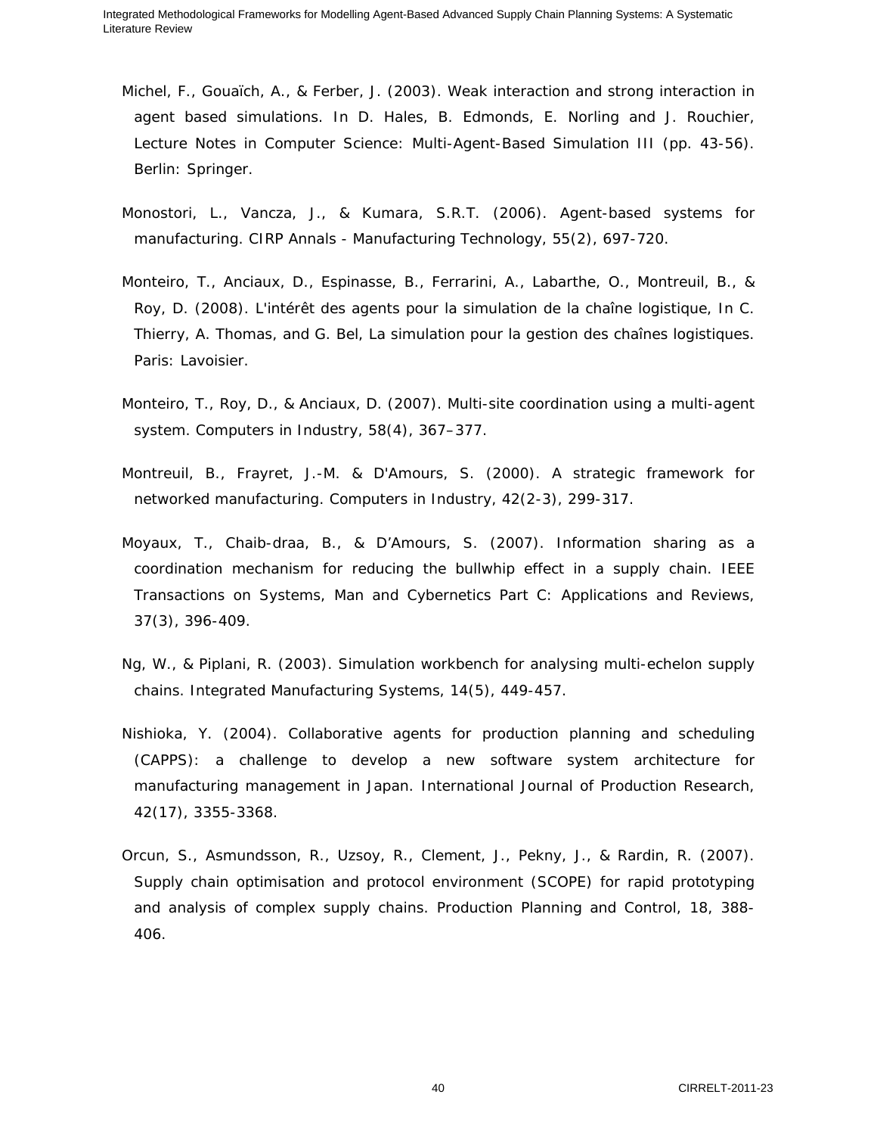- Michel, F., Gouaïch, A., & Ferber, J. (2003). Weak interaction and strong interaction in agent based simulations. In D. Hales, B. Edmonds, E. Norling and J. Rouchier, *Lecture Notes in Computer Science: Multi-Agent-Based Simulation III* (pp. 43-56). Berlin: Springer.
- Monostori, L., Vancza, J., & Kumara, S.R.T. (2006). Agent-based systems for manufacturing. *CIRP Annals - Manufacturing Technology*, 55(2), 697-720.
- Monteiro, T., Anciaux, D., Espinasse, B., Ferrarini, A., Labarthe, O., Montreuil, B., & Roy, D. (2008). L'intérêt des agents pour la simulation de la chaîne logistique*,* In C. Thierry, A. Thomas, and G. Bel, *La simulation pour la gestion des chaînes logistiques*. Paris: Lavoisier.
- Monteiro, T., Roy, D., & Anciaux, D. (2007). Multi-site coordination using a multi-agent system. *Computers in Industry*, 58(4), 367–377.
- Montreuil, B., Frayret, J.-M. & D'Amours, S. (2000). A strategic framework for networked manufacturing. *Computers in Industry,* 42(2-3), 299-317.
- Moyaux, T., Chaib-draa, B., & D'Amours, S. (2007). Information sharing as a coordination mechanism for reducing the bullwhip effect in a supply chain. *IEEE Transactions on Systems, Man and Cybernetics Part C: Applications and Reviews*, 37(3), 396-409.
- Ng, W., & Piplani, R. (2003). Simulation workbench for analysing multi-echelon supply chains. *Integrated Manufacturing Systems*, 14(5), 449-457.
- Nishioka, Y. (2004). Collaborative agents for production planning and scheduling (CAPPS): a challenge to develop a new software system architecture for manufacturing management in Japan. *International Journal of Production Research*, 42(17), 3355-3368.
- Orcun, S., Asmundsson, R., Uzsoy, R., Clement, J., Pekny, J., & Rardin, R. (2007). Supply chain optimisation and protocol environment (SCOPE) for rapid prototyping and analysis of complex supply chains. *Production Planning and Control*, 18, 388- 406.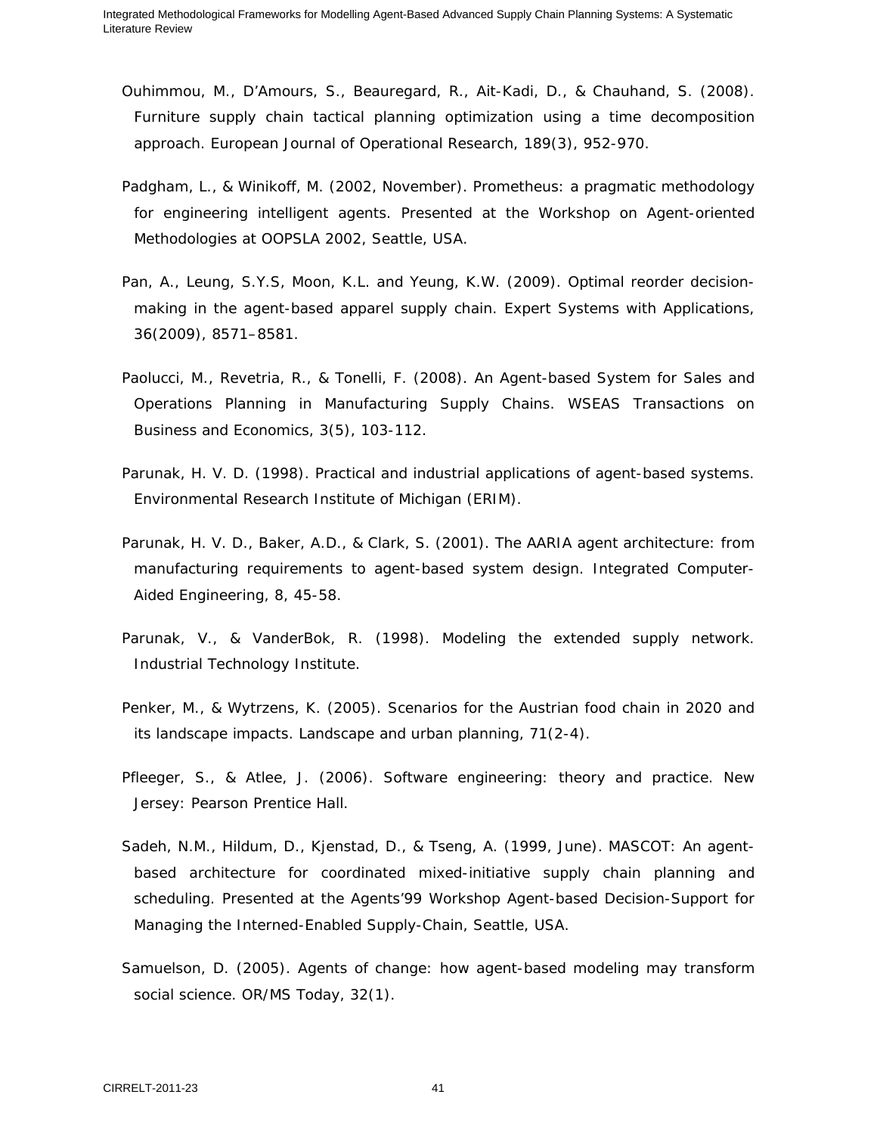- Ouhimmou, M., D'Amours, S., Beauregard, R., Ait-Kadi, D., & Chauhand, S. (2008). Furniture supply chain tactical planning optimization using a time decomposition approach. *European Journal of Operational Research*, 189(3), 952-970.
- Padgham, L., & Winikoff, M. (2002, November). *Prometheus: a pragmatic methodology for engineering intelligent agents*. Presented at the Workshop on Agent-oriented Methodologies at OOPSLA 2002, Seattle, USA.
- Pan, A., Leung, S.Y.S, Moon, K.L. and Yeung, K.W. (2009). Optimal reorder decisionmaking in the agent-based apparel supply chain. *Expert Systems with Applications*, 36(2009), 8571–8581.
- Paolucci, M., Revetria, R., & Tonelli, F. (2008). An Agent-based System for Sales and Operations Planning in Manufacturing Supply Chains. *WSEAS Transactions on Business and Economics*, 3(5), 103-112.
- Parunak, H. V. D. (1998). *Practical and industrial applications of agent-based systems*. Environmental Research Institute of Michigan (ERIM).
- Parunak, H. V. D., Baker, A.D., & Clark, S. (2001). The AARIA agent architecture: from manufacturing requirements to agent-based system design. *Integrated Computer-Aided Engineering*, 8, 45-58.
- Parunak, V., & VanderBok, R. (1998). *Modeling the extended supply network*. Industrial Technology Institute.
- Penker, M., & Wytrzens, K. (2005). Scenarios for the Austrian food chain in 2020 and its landscape impacts. *Landscape and urban planning*, 71(2-4).
- Pfleeger, S., & Atlee, J. (2006). *Software engineering: theory and practice*. New Jersey: Pearson Prentice Hall.
- Sadeh, N.M., Hildum, D., Kjenstad, D., & Tseng, A. (1999, June). *MASCOT: An agentbased architecture for coordinated mixed-initiative supply chain planning and scheduling*. Presented at the Agents'99 Workshop Agent-based Decision-Support for Managing the Interned-Enabled Supply-Chain, Seattle, USA.
- Samuelson, D. (2005). Agents of change: how agent-based modeling may transform social science. *OR/MS Today*, 32(1).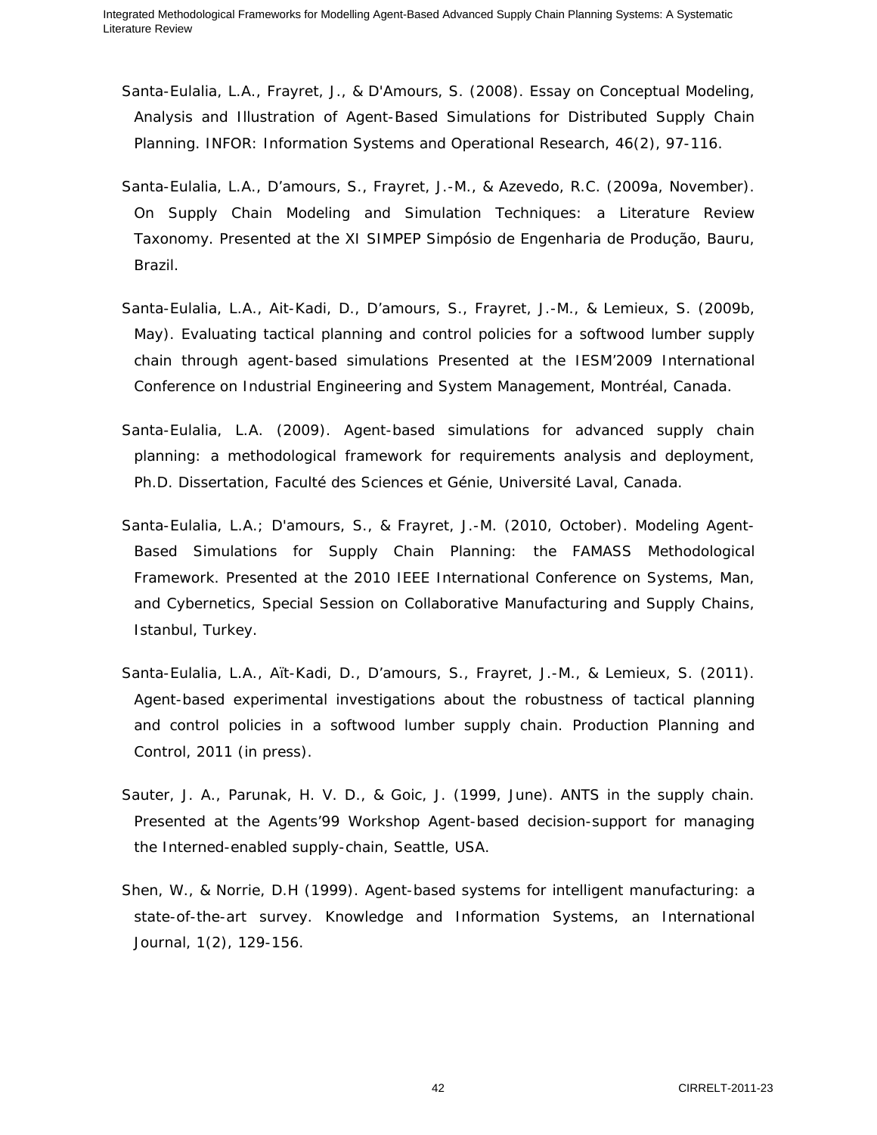- Santa-Eulalia, L.A., Frayret, J., & D'Amours, S. (2008). Essay on Conceptual Modeling, Analysis and Illustration of Agent-Based Simulations for Distributed Supply Chain Planning. *INFOR: Information Systems and Operational Research*, 46(2), 97-116.
- Santa-Eulalia, L.A., D'amours, S., Frayret, J.-M., & Azevedo, R.C. (2009a, November). *On Supply Chain Modeling and Simulation Techniques: a Literature Review Taxonomy*. Presented at the XI SIMPEP Simpósio de Engenharia de Produção, Bauru, Brazil.
- Santa-Eulalia, L.A., Ait-Kadi, D., D'amours, S., Frayret, J.-M., & Lemieux, S. (2009b, May). *Evaluating tactical planning and control policies for a softwood lumber supply chain through agent-based simulations* Presented at the IESM'2009 International Conference on Industrial Engineering and System Management, Montréal, Canada.
- Santa-Eulalia, L.A. (2009). Agent-based simulations for advanced supply chain planning: a methodological framework for requirements analysis and deployment, Ph.D. Dissertation, Faculté des Sciences et Génie, Université Laval, Canada.
- Santa-Eulalia, L.A.; D'amours, S., & Frayret, J.-M. (2010, October). *Modeling Agent-Based Simulations for Supply Chain Planning: the FAMASS Methodological Framework*. Presented at the 2010 IEEE International Conference on Systems, Man, and Cybernetics, Special Session on Collaborative Manufacturing and Supply Chains, Istanbul, Turkey.
- Santa-Eulalia, L.A., Aït-Kadi, D., D'amours, S., Frayret, J.-M., & Lemieux, S. (2011). Agent-based experimental investigations about the robustness of tactical planning and control policies in a softwood lumber supply chain. *Production Planning and Control*, 2011 (in press).
- Sauter, J. A., Parunak, H. V. D., & Goic, J. (1999, June). *ANTS in the supply chain*. Presented at the Agents'99 Workshop Agent-based decision-support for managing the Interned-enabled supply-chain, Seattle, USA.
- Shen, W., & Norrie, D.H (1999). Agent-based systems for intelligent manufacturing: a state-of-the-art survey. *Knowledge and Information Systems, an International Journal*, 1(2), 129-156.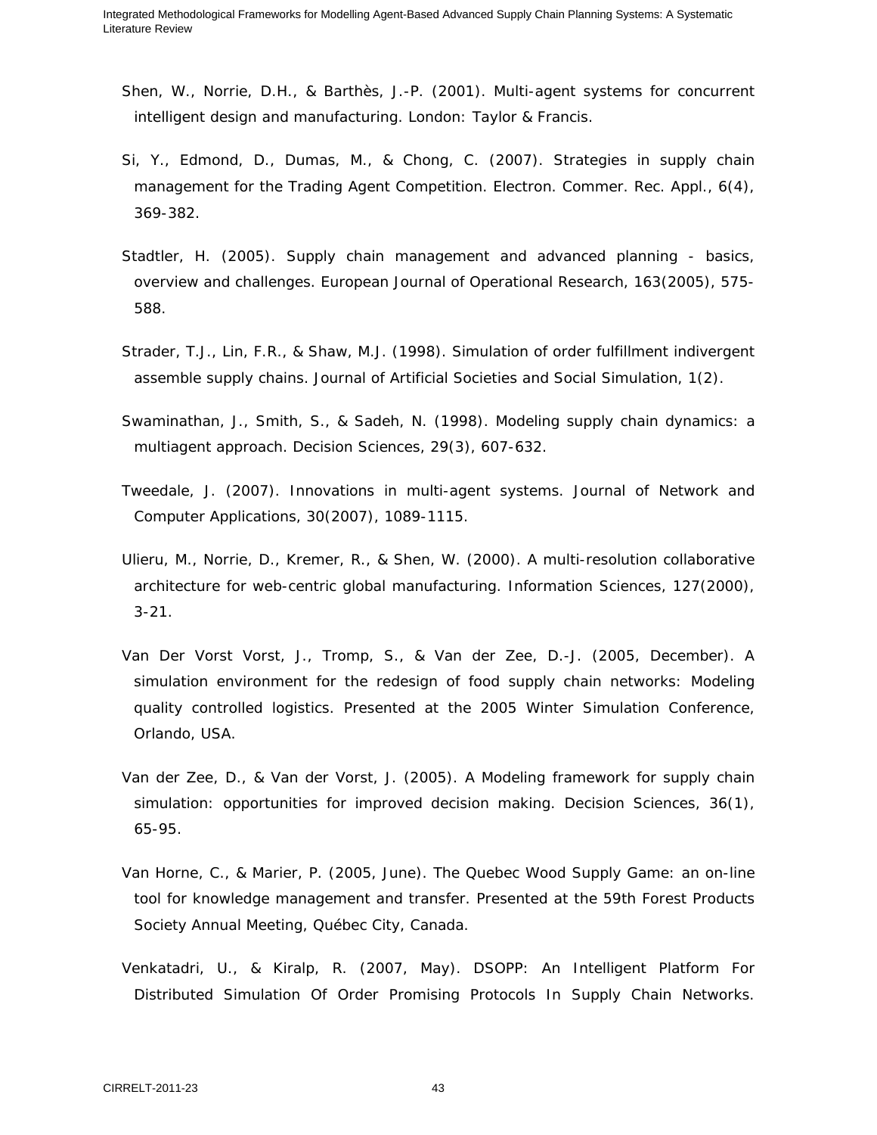- Shen, W., Norrie, D.H., & Barthès, J.-P. (2001). *Multi-agent systems for concurrent intelligent design and manufacturing*. London: Taylor & Francis.
- Si, Y., Edmond, D., Dumas, M., & Chong, C. (2007). Strategies in supply chain management for the Trading Agent Competition. *Electron. Commer. Rec. Appl.*, 6(4), 369-382.
- Stadtler, H. (2005). Supply chain management and advanced planning basics, overview and challenges. *European Journal of Operational Research*, 163(2005), 575- 588.
- Strader, T.J., Lin, F.R., & Shaw, M.J. (1998). Simulation of order fulfillment indivergent assemble supply chains. *Journal of Artificial Societies and Social Simulation*, 1(2).
- Swaminathan, J., Smith, S., & Sadeh, N. (1998). Modeling supply chain dynamics: a multiagent approach. *Decision Sciences*, 29(3), 607-632.
- Tweedale, J. (2007). Innovations in multi-agent systems. *Journal of Network and Computer Applications*, 30(2007), 1089-1115.
- Ulieru, M., Norrie, D., Kremer, R., & Shen, W. (2000). A multi-resolution collaborative architecture for web-centric global manufacturing. *Information Sciences*, 127(2000), 3-21.
- Van Der Vorst Vorst, J., Tromp, S., & Van der Zee, D.-J. (2005, December). *A simulation environment for the redesign of food supply chain networks: Modeling quality controlled logistics*. Presented at the 2005 Winter Simulation Conference, Orlando, USA.
- Van der Zee, D., & Van der Vorst, J. (2005). A Modeling framework for supply chain simulation: opportunities for improved decision making. *Decision Sciences*, 36(1), 65-95.
- Van Horne, C., & Marier, P. (2005, June). *The Quebec Wood Supply Game: an on-line tool for knowledge management and transfer*. Presented at the 59th Forest Products Society Annual Meeting, Québec City, Canada.
- Venkatadri, U., & Kiralp, R. (2007, May). *DSOPP: An Intelligent Platform For Distributed Simulation Of Order Promising Protocols In Supply Chain Networks*.